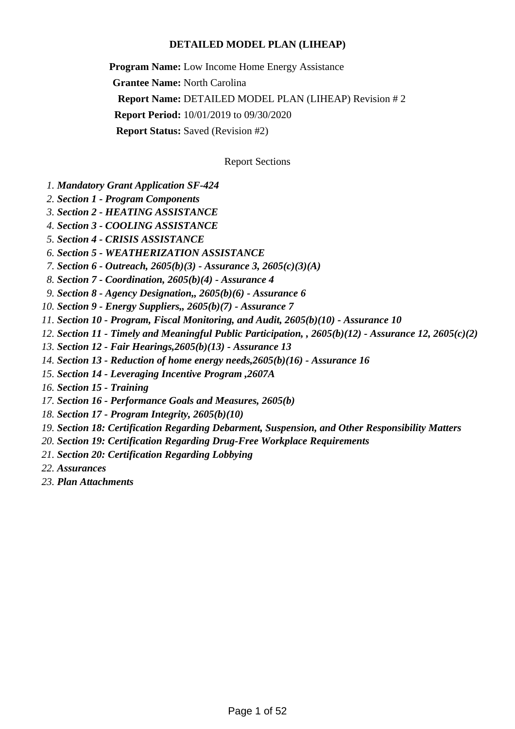## **DETAILED MODEL PLAN (LIHEAP)**

**Program Name:** Low Income Home Energy Assistance **Grantee Name:** North Carolina **Report Name:** DETAILED MODEL PLAN (LIHEAP) Revision # 2 **Report Period:** 10/01/2019 to 09/30/2020 **Report Status:** Saved (Revision #2)

## Report Sections

- *1. [Mandatory Grant Application SF-424](#page-1-0)*
- *2. [Section 1 Program Components](#page-3-0)*
- *3. [Section 2 HEATING ASSISTANCE](#page-7-0)*
- *4. [Section 3 COOLING ASSISTANCE](#page-9-0)*
- *5. [Section 4 CRISIS ASSISTANCE](#page-11-0)*
- *6. [Section 5 WEATHERIZATION ASSISTANCE](#page-14-0)*
- *7. [Section 6 Outreach, 2605\(b\)\(3\) Assurance 3, 2605\(c\)\(3\)\(A\)](#page-16-0)*
- *8. [Section 7 Coordination, 2605\(b\)\(4\) Assurance 4](#page-17-0)*
- *9. [Section 8 Agency Designation,, 2605\(b\)\(6\) Assurance 6](#page-18-0)*
- *10. [Section 9 Energy Suppliers,, 2605\(b\)\(7\) Assurance 7](#page-22-0)*
- *11. [Section 10 Program, Fiscal Monitoring, and Audit, 2605\(b\)\(10\) Assurance 10](#page-23-0)*
- *12. [Section 11 Timely and Meaningful Public Participation, , 2605\(b\)\(12\) Assurance 12, 2605\(c\)\(2\)](#page-25-0)*
- *13. [Section 12 Fair Hearings,2605\(b\)\(13\) Assurance 13](#page-27-0)*
- *14. [Section 13 Reduction of home energy needs,2605\(b\)\(16\) Assurance 16](#page-28-0)*
- *15. [Section 14 Leveraging Incentive Program ,2607A](#page-29-0)*
- *16. [Section 15 Training](#page-30-0)*
- *17. [Section 16 Performance Goals and Measures, 2605\(b\)](#page-32-0)*
- *18. [Section 17 Program Integrity, 2605\(b\)\(10\)](#page-33-0)*
- *19. [Section 18: Certification Regarding Debarment, Suspension, and Other Responsibility Matters](#page-37-0)*
- *20. [Section 19: Certification Regarding Drug-Free Workplace Requirements](#page-41-0)*
- *21. [Section 20: Certification Regarding Lobbying](#page-45-0)*
- *22. [Assurances](#page-47-0)*
- *23. [Plan Attachments](#page-51-0)*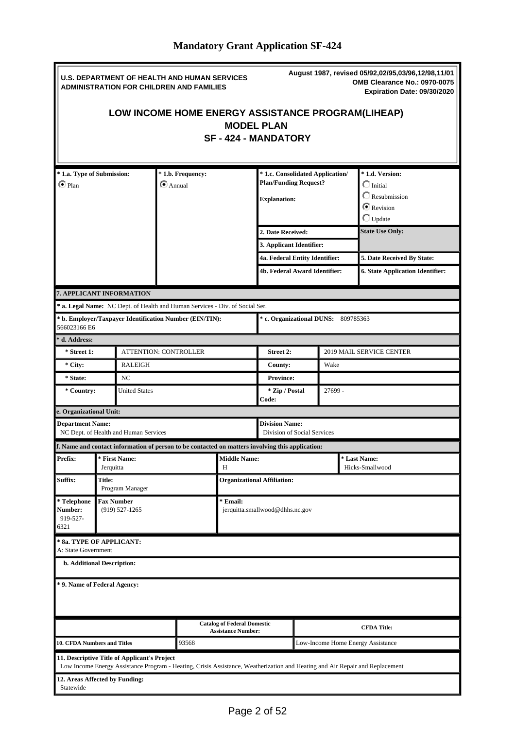<span id="page-1-0"></span>Е

 $\blacksquare$ 

|                                                                                                   |                                    |                                              | <b>U.S. DEPARTMENT OF HEALTH AND HUMAN SERVICES</b><br><b>ADMINISTRATION FOR CHILDREN AND FAMILIES</b> |                                                                 |                                                                                               |  |                                     | August 1987, revised 05/92,02/95,03/96,12/98,11/01<br>OMB Clearance No.: 0970-0075<br>Expiration Date: 09/30/2020            |
|---------------------------------------------------------------------------------------------------|------------------------------------|----------------------------------------------|--------------------------------------------------------------------------------------------------------|-----------------------------------------------------------------|-----------------------------------------------------------------------------------------------|--|-------------------------------------|------------------------------------------------------------------------------------------------------------------------------|
| LOW INCOME HOME ENERGY ASSISTANCE PROGRAM(LIHEAP)<br><b>MODEL PLAN</b><br><b>SF-424-MANDATORY</b> |                                    |                                              |                                                                                                        |                                                                 |                                                                                               |  |                                     |                                                                                                                              |
| * 1.a. Type of Submission:<br>* 1.b. Frequency:<br>$\odot$ Plan<br>$\bullet$ Annual               |                                    |                                              | * 1.c. Consolidated Application/<br><b>Plan/Funding Request?</b><br><b>Explanation:</b>                |                                                                 | * 1.d. Version:<br>$\bigcirc$ Initial<br>$\Box$ Resubmission<br>Revision<br>$\bigcirc$ Update |  |                                     |                                                                                                                              |
|                                                                                                   |                                    |                                              |                                                                                                        |                                                                 | 2. Date Received:                                                                             |  |                                     | <b>State Use Only:</b>                                                                                                       |
|                                                                                                   |                                    |                                              |                                                                                                        |                                                                 | 3. Applicant Identifier:                                                                      |  |                                     |                                                                                                                              |
|                                                                                                   |                                    |                                              |                                                                                                        |                                                                 | 4a. Federal Entity Identifier:                                                                |  |                                     | 5. Date Received By State:                                                                                                   |
|                                                                                                   |                                    |                                              |                                                                                                        |                                                                 | 4b. Federal Award Identifier:                                                                 |  |                                     | <b>6. State Application Identifier:</b>                                                                                      |
| 7. APPLICANT INFORMATION                                                                          |                                    |                                              |                                                                                                        |                                                                 |                                                                                               |  |                                     |                                                                                                                              |
|                                                                                                   |                                    |                                              | * a. Legal Name: NC Dept. of Health and Human Services - Div. of Social Ser.                           |                                                                 |                                                                                               |  |                                     |                                                                                                                              |
| 566023166 E6                                                                                      |                                    |                                              | * b. Employer/Taxpayer Identification Number (EIN/TIN):                                                |                                                                 |                                                                                               |  | * c. Organizational DUNS: 809785363 |                                                                                                                              |
| * d. Address:                                                                                     |                                    |                                              |                                                                                                        |                                                                 |                                                                                               |  |                                     |                                                                                                                              |
| * Street 1:<br>ATTENTION: CONTROLLER                                                              |                                    |                                              | <b>Street 2:</b><br>2019 MAIL SERVICE CENTER                                                           |                                                                 |                                                                                               |  |                                     |                                                                                                                              |
| $*$ City:<br><b>RALEIGH</b>                                                                       |                                    |                                              | County:                                                                                                | Wake                                                            |                                                                                               |  |                                     |                                                                                                                              |
| * State:<br>NC                                                                                    |                                    |                                              | <b>Province:</b>                                                                                       |                                                                 |                                                                                               |  |                                     |                                                                                                                              |
|                                                                                                   | <b>United States</b><br>* Country: |                                              |                                                                                                        | * Zip / Postal<br>27699 -<br>Code:                              |                                                                                               |  |                                     |                                                                                                                              |
| e. Organizational Unit:                                                                           |                                    |                                              |                                                                                                        |                                                                 |                                                                                               |  |                                     |                                                                                                                              |
| <b>Department Name:</b>                                                                           |                                    | NC Dept. of Health and Human Services        |                                                                                                        |                                                                 | <b>Division Name:</b><br>Division of Social Services                                          |  |                                     |                                                                                                                              |
|                                                                                                   |                                    |                                              | f. Name and contact information of person to be contacted on matters involving this application:       |                                                                 |                                                                                               |  |                                     |                                                                                                                              |
| Prefix:                                                                                           | Jerquitta                          | * First Name:                                |                                                                                                        | H                                                               | <b>Middle Name:</b>                                                                           |  | * Last Name:<br>Hicks-Smallwood     |                                                                                                                              |
| Suffix:                                                                                           | Title:                             | Program Manager                              |                                                                                                        |                                                                 | <b>Organizational Affiliation:</b>                                                            |  |                                     |                                                                                                                              |
| * Telephone<br>Number:<br>919-527-<br>6321                                                        |                                    | <b>Fax Number</b><br>$(919) 527 - 1265$      |                                                                                                        | * Email:                                                        | jerquitta.smallwood@dhhs.nc.gov                                                               |  |                                     |                                                                                                                              |
| * 8a. TYPE OF APPLICANT:<br>A: State Government                                                   |                                    |                                              |                                                                                                        |                                                                 |                                                                                               |  |                                     |                                                                                                                              |
| b. Additional Description:                                                                        |                                    |                                              |                                                                                                        |                                                                 |                                                                                               |  |                                     |                                                                                                                              |
| * 9. Name of Federal Agency:                                                                      |                                    |                                              |                                                                                                        |                                                                 |                                                                                               |  |                                     |                                                                                                                              |
|                                                                                                   |                                    |                                              |                                                                                                        | <b>Catalog of Federal Domestic</b><br><b>Assistance Number:</b> |                                                                                               |  |                                     | <b>CFDA Title:</b>                                                                                                           |
| <b>10. CFDA Numbers and Titles</b>                                                                |                                    |                                              | 93568                                                                                                  |                                                                 |                                                                                               |  |                                     | Low-Income Home Energy Assistance                                                                                            |
|                                                                                                   |                                    | 11. Descriptive Title of Applicant's Project |                                                                                                        |                                                                 |                                                                                               |  |                                     | Low Income Energy Assistance Program - Heating, Crisis Assistance, Weatherization and Heating and Air Repair and Replacement |
| 12. Areas Affected by Funding:<br>Statewide                                                       |                                    |                                              |                                                                                                        |                                                                 |                                                                                               |  |                                     |                                                                                                                              |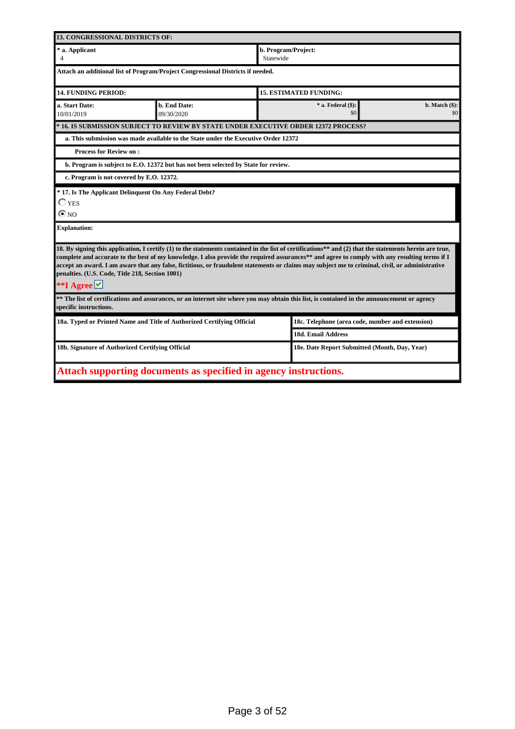| <b>13. CONGRESSIONAL DISTRICTS OF:</b>                                              |                                                                                    |                                                                                                                                                                                                                                                                                                                                                                                                                                                             |  |  |
|-------------------------------------------------------------------------------------|------------------------------------------------------------------------------------|-------------------------------------------------------------------------------------------------------------------------------------------------------------------------------------------------------------------------------------------------------------------------------------------------------------------------------------------------------------------------------------------------------------------------------------------------------------|--|--|
| * a. Applicant<br>$\overline{4}$                                                    |                                                                                    | b. Program/Project:<br>Statewide                                                                                                                                                                                                                                                                                                                                                                                                                            |  |  |
|                                                                                     | Attach an additional list of Program/Project Congressional Districts if needed.    |                                                                                                                                                                                                                                                                                                                                                                                                                                                             |  |  |
| <b>14. FUNDING PERIOD:</b>                                                          |                                                                                    | <b>15. ESTIMATED FUNDING:</b>                                                                                                                                                                                                                                                                                                                                                                                                                               |  |  |
| a. Start Date:<br>10/01/2019                                                        | b. End Date:<br>09/30/2020                                                         | $*$ a. Federal $(\$)$ :<br>$b. Match($ \$ $)$ :<br>\$0<br>\$0                                                                                                                                                                                                                                                                                                                                                                                               |  |  |
| * 16. IS SUBMISSION SUBJECT TO REVIEW BY STATE UNDER EXECUTIVE ORDER 12372 PROCESS? |                                                                                    |                                                                                                                                                                                                                                                                                                                                                                                                                                                             |  |  |
|                                                                                     | a. This submission was made available to the State under the Executive Order 12372 |                                                                                                                                                                                                                                                                                                                                                                                                                                                             |  |  |
| <b>Process for Review on:</b>                                                       |                                                                                    |                                                                                                                                                                                                                                                                                                                                                                                                                                                             |  |  |
| b. Program is subject to E.O. 12372 but has not been selected by State for review.  |                                                                                    |                                                                                                                                                                                                                                                                                                                                                                                                                                                             |  |  |
| c. Program is not covered by E.O. 12372.                                            |                                                                                    |                                                                                                                                                                                                                                                                                                                                                                                                                                                             |  |  |
| $\Box$ yes<br>$\odot$ NO<br><b>Explanation:</b>                                     | * 17. Is The Applicant Delinquent On Any Federal Debt?                             |                                                                                                                                                                                                                                                                                                                                                                                                                                                             |  |  |
| penalties. (U.S. Code, Title 218, Section 1001)<br>$*$ <sup>I</sup> Agree           |                                                                                    | 18. By signing this application, I certify (1) to the statements contained in the list of certifications** and (2) that the statements herein are true,<br>complete and accurate to the best of my knowledge. I also provide the required assurances** and agree to comply with any resulting terms if I<br>accept an award. I am aware that any false, fictitious, or fraudulent statements or claims may subject me to criminal, civil, or administrative |  |  |
| specific instructions.                                                              |                                                                                    | ** The list of certifications and assurances, or an internet site where you may obtain this list, is contained in the announcement or agency                                                                                                                                                                                                                                                                                                                |  |  |
|                                                                                     | 18a. Typed or Printed Name and Title of Authorized Certifying Official             | 18c. Telephone (area code, number and extension)                                                                                                                                                                                                                                                                                                                                                                                                            |  |  |
|                                                                                     |                                                                                    | 18d. Email Address                                                                                                                                                                                                                                                                                                                                                                                                                                          |  |  |
|                                                                                     | 18b. Signature of Authorized Certifying Official                                   | 18e. Date Report Submitted (Month, Day, Year)                                                                                                                                                                                                                                                                                                                                                                                                               |  |  |
|                                                                                     | Attach supporting documents as specified in agency instructions.                   |                                                                                                                                                                                                                                                                                                                                                                                                                                                             |  |  |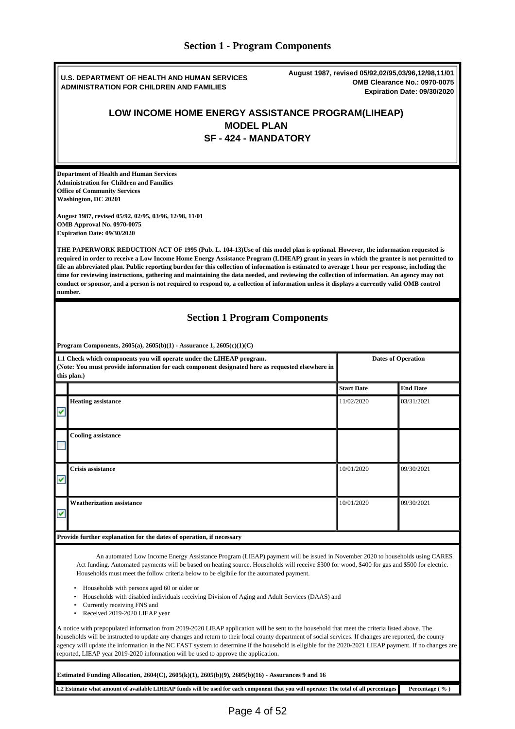<span id="page-3-0"></span>

|  |  |  | <b>Section 1 - Program Components</b> |
|--|--|--|---------------------------------------|
|--|--|--|---------------------------------------|

|                                                                                                                                                                                                                                                                                                                                                                                                                                                                                                                                                                                                                                                                                                                                                                                                                                                                                                                                                                                                                                          | U.S. DEPARTMENT OF HEALTH AND HUMAN SERVICES<br>ADMINISTRATION FOR CHILDREN AND FAMILIES                                                                                                                                                                                                                                                                                                                                                                                                                                                                                                                                                                                                                                                                                                                                                                                                                                                                                                                                                                                                                                                                |                   | August 1987, revised 05/92,02/95,03/96,12/98,11/01<br><b>OMB Clearance No.: 0970-0075</b><br>Expiration Date: 09/30/2020 |  |  |  |
|------------------------------------------------------------------------------------------------------------------------------------------------------------------------------------------------------------------------------------------------------------------------------------------------------------------------------------------------------------------------------------------------------------------------------------------------------------------------------------------------------------------------------------------------------------------------------------------------------------------------------------------------------------------------------------------------------------------------------------------------------------------------------------------------------------------------------------------------------------------------------------------------------------------------------------------------------------------------------------------------------------------------------------------|---------------------------------------------------------------------------------------------------------------------------------------------------------------------------------------------------------------------------------------------------------------------------------------------------------------------------------------------------------------------------------------------------------------------------------------------------------------------------------------------------------------------------------------------------------------------------------------------------------------------------------------------------------------------------------------------------------------------------------------------------------------------------------------------------------------------------------------------------------------------------------------------------------------------------------------------------------------------------------------------------------------------------------------------------------------------------------------------------------------------------------------------------------|-------------------|--------------------------------------------------------------------------------------------------------------------------|--|--|--|
|                                                                                                                                                                                                                                                                                                                                                                                                                                                                                                                                                                                                                                                                                                                                                                                                                                                                                                                                                                                                                                          | LOW INCOME HOME ENERGY ASSISTANCE PROGRAM(LIHEAP)<br><b>MODEL PLAN</b><br><b>SF-424-MANDATORY</b>                                                                                                                                                                                                                                                                                                                                                                                                                                                                                                                                                                                                                                                                                                                                                                                                                                                                                                                                                                                                                                                       |                   |                                                                                                                          |  |  |  |
| <b>Department of Health and Human Services</b><br><b>Administration for Children and Families</b><br><b>Office of Community Services</b><br>Washington, DC 20201<br>August 1987, revised 05/92, 02/95, 03/96, 12/98, 11/01<br>OMB Approval No. 0970-0075<br><b>Expiration Date: 09/30/2020</b><br>THE PAPERWORK REDUCTION ACT OF 1995 (Pub. L. 104-13)Use of this model plan is optional. However, the information requested is<br>required in order to receive a Low Income Home Energy Assistance Program (LIHEAP) grant in years in which the grantee is not permitted to<br>file an abbreviated plan. Public reporting burden for this collection of information is estimated to average 1 hour per response, including the<br>time for reviewing instructions, gathering and maintaining the data needed, and reviewing the collection of information. An agency may not<br>conduct or sponsor, and a person is not required to respond to, a collection of information unless it displays a currently valid OMB control<br>number. |                                                                                                                                                                                                                                                                                                                                                                                                                                                                                                                                                                                                                                                                                                                                                                                                                                                                                                                                                                                                                                                                                                                                                         |                   |                                                                                                                          |  |  |  |
|                                                                                                                                                                                                                                                                                                                                                                                                                                                                                                                                                                                                                                                                                                                                                                                                                                                                                                                                                                                                                                          | <b>Section 1 Program Components</b><br>Program Components, $2605(a)$ , $2605(b)(1)$ - Assurance 1, $2605(c)(1)(C)$                                                                                                                                                                                                                                                                                                                                                                                                                                                                                                                                                                                                                                                                                                                                                                                                                                                                                                                                                                                                                                      |                   |                                                                                                                          |  |  |  |
|                                                                                                                                                                                                                                                                                                                                                                                                                                                                                                                                                                                                                                                                                                                                                                                                                                                                                                                                                                                                                                          | 1.1 Check which components you will operate under the LIHEAP program.<br>(Note: You must provide information for each component designated here as requested elsewhere in<br>this plan.)                                                                                                                                                                                                                                                                                                                                                                                                                                                                                                                                                                                                                                                                                                                                                                                                                                                                                                                                                                |                   | <b>Dates of Operation</b>                                                                                                |  |  |  |
|                                                                                                                                                                                                                                                                                                                                                                                                                                                                                                                                                                                                                                                                                                                                                                                                                                                                                                                                                                                                                                          |                                                                                                                                                                                                                                                                                                                                                                                                                                                                                                                                                                                                                                                                                                                                                                                                                                                                                                                                                                                                                                                                                                                                                         | <b>Start Date</b> | <b>End Date</b>                                                                                                          |  |  |  |
| ▽                                                                                                                                                                                                                                                                                                                                                                                                                                                                                                                                                                                                                                                                                                                                                                                                                                                                                                                                                                                                                                        | <b>Heating assistance</b>                                                                                                                                                                                                                                                                                                                                                                                                                                                                                                                                                                                                                                                                                                                                                                                                                                                                                                                                                                                                                                                                                                                               | 11/02/2020        | 03/31/2021                                                                                                               |  |  |  |
|                                                                                                                                                                                                                                                                                                                                                                                                                                                                                                                                                                                                                                                                                                                                                                                                                                                                                                                                                                                                                                          | <b>Cooling assistance</b>                                                                                                                                                                                                                                                                                                                                                                                                                                                                                                                                                                                                                                                                                                                                                                                                                                                                                                                                                                                                                                                                                                                               |                   |                                                                                                                          |  |  |  |
| ν                                                                                                                                                                                                                                                                                                                                                                                                                                                                                                                                                                                                                                                                                                                                                                                                                                                                                                                                                                                                                                        | Crisis assistance                                                                                                                                                                                                                                                                                                                                                                                                                                                                                                                                                                                                                                                                                                                                                                                                                                                                                                                                                                                                                                                                                                                                       | 10/01/2020        | 09/30/2021                                                                                                               |  |  |  |
| V                                                                                                                                                                                                                                                                                                                                                                                                                                                                                                                                                                                                                                                                                                                                                                                                                                                                                                                                                                                                                                        | <b>Weatherization assistance</b>                                                                                                                                                                                                                                                                                                                                                                                                                                                                                                                                                                                                                                                                                                                                                                                                                                                                                                                                                                                                                                                                                                                        | 10/01/2020        | 09/30/2021                                                                                                               |  |  |  |
|                                                                                                                                                                                                                                                                                                                                                                                                                                                                                                                                                                                                                                                                                                                                                                                                                                                                                                                                                                                                                                          | Provide further explanation for the dates of operation, if necessary                                                                                                                                                                                                                                                                                                                                                                                                                                                                                                                                                                                                                                                                                                                                                                                                                                                                                                                                                                                                                                                                                    |                   |                                                                                                                          |  |  |  |
|                                                                                                                                                                                                                                                                                                                                                                                                                                                                                                                                                                                                                                                                                                                                                                                                                                                                                                                                                                                                                                          | An automated Low Income Energy Assistance Program (LIEAP) payment will be issued in November 2020 to households using CARES<br>Act funding. Automated payments will be based on heating source. Households will receive \$300 for wood, \$400 for gas and \$500 for electric.<br>Households must meet the follow criteria below to be elgibile for the automated payment.<br>Households with persons aged 60 or older or<br>Households with disabled individuals receiving Division of Aging and Adult Services (DAAS) and<br>Currently receiving FNS and<br>Received 2019-2020 LIEAP year<br>A notice with prepopulated information from 2019-2020 LIEAP application will be sent to the household that meet the criteria listed above. The<br>households will be instructed to update any changes and return to their local county department of social services. If changes are reported, the county<br>agency will update the information in the NC FAST system to determine if the household is eligible for the 2020-2021 LIEAP payment. If no changes are<br>reported, LIEAP year 2019-2020 information will be used to approve the application. |                   |                                                                                                                          |  |  |  |
|                                                                                                                                                                                                                                                                                                                                                                                                                                                                                                                                                                                                                                                                                                                                                                                                                                                                                                                                                                                                                                          | Estimated Funding Allocation, $2604(C)$ , $2605(k)(1)$ , $2605(k)(9)$ , $2605(k)(16)$ - Assurances 9 and 16<br>1.2 Estimate what amount of available LIHEAP funds will be used for each component that you will operate: The total of all percentages                                                                                                                                                                                                                                                                                                                                                                                                                                                                                                                                                                                                                                                                                                                                                                                                                                                                                                   |                   | Percentage (%)                                                                                                           |  |  |  |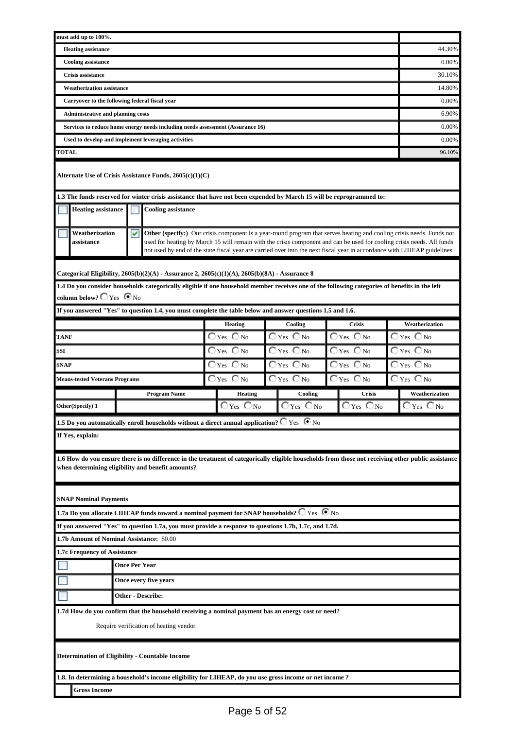| must add up to 100%.                                                                                                                                                                                     |                                                                                                                                                                                                                                                                                                                                                                             |                              |                              |                              |  |
|----------------------------------------------------------------------------------------------------------------------------------------------------------------------------------------------------------|-----------------------------------------------------------------------------------------------------------------------------------------------------------------------------------------------------------------------------------------------------------------------------------------------------------------------------------------------------------------------------|------------------------------|------------------------------|------------------------------|--|
| <b>Heating</b> assistance<br>44.30%                                                                                                                                                                      |                                                                                                                                                                                                                                                                                                                                                                             |                              |                              |                              |  |
| <b>Cooling assistance</b>                                                                                                                                                                                |                                                                                                                                                                                                                                                                                                                                                                             |                              |                              | 0.00%                        |  |
| <b>Crisis assistance</b>                                                                                                                                                                                 |                                                                                                                                                                                                                                                                                                                                                                             |                              |                              | 30.10%                       |  |
| <b>Weatherization assistance</b>                                                                                                                                                                         |                                                                                                                                                                                                                                                                                                                                                                             |                              |                              | 14.80%                       |  |
| Carryover to the following federal fiscal year                                                                                                                                                           |                                                                                                                                                                                                                                                                                                                                                                             |                              |                              | 0.00%                        |  |
| <b>Administrative and planning costs</b>                                                                                                                                                                 |                                                                                                                                                                                                                                                                                                                                                                             |                              |                              | 6.90%                        |  |
| Services to reduce home energy needs including needs assessment (Assurance 16)                                                                                                                           |                                                                                                                                                                                                                                                                                                                                                                             |                              |                              | 0.00%                        |  |
| Used to develop and implement leveraging activities                                                                                                                                                      |                                                                                                                                                                                                                                                                                                                                                                             |                              |                              | 0.00%                        |  |
| <b>TOTAL</b>                                                                                                                                                                                             |                                                                                                                                                                                                                                                                                                                                                                             |                              |                              | 96.10%                       |  |
| Alternate Use of Crisis Assistance Funds, 2605(c)(1)(C)                                                                                                                                                  |                                                                                                                                                                                                                                                                                                                                                                             |                              |                              |                              |  |
| 1.3 The funds reserved for winter crisis assistance that have not been expended by March 15 will be reprogrammed to:                                                                                     |                                                                                                                                                                                                                                                                                                                                                                             |                              |                              |                              |  |
| <b>Heating assistance</b><br><b>Cooling assistance</b>                                                                                                                                                   |                                                                                                                                                                                                                                                                                                                                                                             |                              |                              |                              |  |
| Weatherization<br>☑<br>assistance                                                                                                                                                                        | Other (specify:) Our crisis component is a year-round program that serves heating and cooling crisis needs. Funds not<br>used for heating by March 15 will remain with the crisis component and can be used for cooling crisis needs. All funds<br>not used by end of the state fiscal year are carried over into the next fiscal year in accordance with LIHEAP guidelines |                              |                              |                              |  |
| Categorical Eligibility, $2605(b)(2)(A)$ - Assurance 2, $2605(c)(1)(A)$ , $2605(b)(8A)$ - Assurance 8                                                                                                    |                                                                                                                                                                                                                                                                                                                                                                             |                              |                              |                              |  |
| 1.4 Do you consider households categorically eligible if one household member receives one of the following categories of benefits in the left                                                           |                                                                                                                                                                                                                                                                                                                                                                             |                              |                              |                              |  |
| column below? $\bigcirc$ Yes $\bigcirc$ No                                                                                                                                                               |                                                                                                                                                                                                                                                                                                                                                                             |                              |                              |                              |  |
| If you answered "Yes" to question 1.4, you must complete the table below and answer questions 1.5 and 1.6.                                                                                               |                                                                                                                                                                                                                                                                                                                                                                             |                              |                              |                              |  |
|                                                                                                                                                                                                          | <b>Heating</b>                                                                                                                                                                                                                                                                                                                                                              | Cooling                      | <b>Crisis</b>                | Weatherization               |  |
| <b>TANF</b>                                                                                                                                                                                              | $\bigcirc$ Yes $\bigcirc$ No                                                                                                                                                                                                                                                                                                                                                | $\bigcirc$ Yes $\bigcirc$ No | $\bigcirc$ Yes $\bigcirc$ No | $\bigcirc$ Yes $\bigcirc$ No |  |
| <b>SSI</b>                                                                                                                                                                                               | $C$ Yes $C$ No                                                                                                                                                                                                                                                                                                                                                              | $C$ Yes $C$ No               | $C$ Yes $C$ No               | $C$ Yes $C$ No               |  |
| <b>SNAP</b>                                                                                                                                                                                              | $C$ Yes $C$ No                                                                                                                                                                                                                                                                                                                                                              | $\bigcirc$ Yes $\bigcirc$ No | $C$ Yes $C$ No               | $O$ Yes $O$ No               |  |
| <b>Means-tested Veterans Programs</b>                                                                                                                                                                    | $\bigcirc$ Yes $\bigcirc$ No                                                                                                                                                                                                                                                                                                                                                | $\bigcirc$ Yes $\bigcirc$ No | $\bigcirc$ Yes $\bigcirc$ No | $C$ Yes $C$ No               |  |
| <b>Program Name</b>                                                                                                                                                                                      | <b>Heating</b>                                                                                                                                                                                                                                                                                                                                                              | Cooling                      | <b>Crisis</b>                | Weatherization               |  |
| Other(Specify) 1                                                                                                                                                                                         | $C$ Yes $C$ No                                                                                                                                                                                                                                                                                                                                                              | $C$ Yes $C$ No               | $\bigcirc$ Yes $\bigcirc$ No | $C$ Yes $C$ No               |  |
| 1.5 Do you automatically enroll households without a direct annual application? $\Box$ Yes $\Box$ No                                                                                                     |                                                                                                                                                                                                                                                                                                                                                                             |                              |                              |                              |  |
| If Yes, explain:                                                                                                                                                                                         |                                                                                                                                                                                                                                                                                                                                                                             |                              |                              |                              |  |
|                                                                                                                                                                                                          |                                                                                                                                                                                                                                                                                                                                                                             |                              |                              |                              |  |
| 1.6 How do you ensure there is no difference in the treatment of categorically eligible households from those not receiving other public assistance<br>when determining eligibility and benefit amounts? |                                                                                                                                                                                                                                                                                                                                                                             |                              |                              |                              |  |
| <b>SNAP Nominal Payments</b>                                                                                                                                                                             |                                                                                                                                                                                                                                                                                                                                                                             |                              |                              |                              |  |
| 1.7a Do you allocate LIHEAP funds toward a nominal payment for SNAP households? $\bigcirc$ Yes $\,\bullet\,$ No                                                                                          |                                                                                                                                                                                                                                                                                                                                                                             |                              |                              |                              |  |
| If you answered "Yes" to question 1.7a, you must provide a response to questions 1.7b, 1.7c, and 1.7d.                                                                                                   |                                                                                                                                                                                                                                                                                                                                                                             |                              |                              |                              |  |
| 1.7b Amount of Nominal Assistance: \$0.00                                                                                                                                                                |                                                                                                                                                                                                                                                                                                                                                                             |                              |                              |                              |  |
| 1.7c Frequency of Assistance                                                                                                                                                                             |                                                                                                                                                                                                                                                                                                                                                                             |                              |                              |                              |  |
| <b>Once Per Year</b>                                                                                                                                                                                     |                                                                                                                                                                                                                                                                                                                                                                             |                              |                              |                              |  |
| Once every five years                                                                                                                                                                                    |                                                                                                                                                                                                                                                                                                                                                                             |                              |                              |                              |  |
| Other - Describe:                                                                                                                                                                                        |                                                                                                                                                                                                                                                                                                                                                                             |                              |                              |                              |  |
| 1.7d How do you confirm that the household receiving a nominal payment has an energy cost or need?                                                                                                       |                                                                                                                                                                                                                                                                                                                                                                             |                              |                              |                              |  |
| Require verification of heating vendor                                                                                                                                                                   |                                                                                                                                                                                                                                                                                                                                                                             |                              |                              |                              |  |
| <b>Determination of Eligibility - Countable Income</b>                                                                                                                                                   |                                                                                                                                                                                                                                                                                                                                                                             |                              |                              |                              |  |
|                                                                                                                                                                                                          |                                                                                                                                                                                                                                                                                                                                                                             |                              |                              |                              |  |
| 1.8. In determining a household's income eligibility for LIHEAP, do you use gross income or net income?                                                                                                  |                                                                                                                                                                                                                                                                                                                                                                             |                              |                              |                              |  |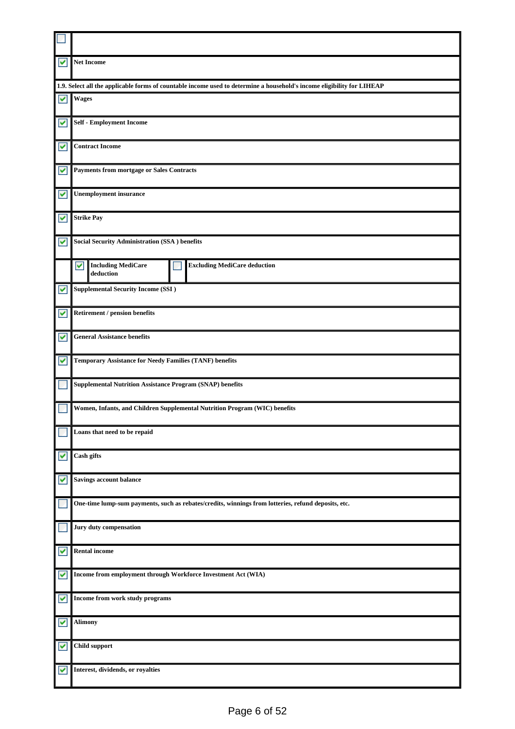| ⊽ | <b>Net Income</b>                                                                                                      |  |  |  |  |
|---|------------------------------------------------------------------------------------------------------------------------|--|--|--|--|
|   | 1.9. Select all the applicable forms of countable income used to determine a household's income eligibility for LIHEAP |  |  |  |  |
| M | <b>Wages</b>                                                                                                           |  |  |  |  |
| ▽ | <b>Self - Employment Income</b>                                                                                        |  |  |  |  |
| ⊽ | <b>Contract Income</b>                                                                                                 |  |  |  |  |
| ⊻ | <b>Payments from mortgage or Sales Contracts</b>                                                                       |  |  |  |  |
| ⊽ | <b>Unemployment insurance</b>                                                                                          |  |  |  |  |
| ⊽ | <b>Strike Pay</b>                                                                                                      |  |  |  |  |
| ⊻ | <b>Social Security Administration (SSA) benefits</b>                                                                   |  |  |  |  |
|   | <b>Including MediCare</b><br>▽<br><b>Excluding MediCare deduction</b><br>deduction                                     |  |  |  |  |
| ▽ | <b>Supplemental Security Income (SSI)</b>                                                                              |  |  |  |  |
| ▽ | Retirement / pension benefits                                                                                          |  |  |  |  |
| V | <b>General Assistance benefits</b>                                                                                     |  |  |  |  |
| M | Temporary Assistance for Needy Families (TANF) benefits                                                                |  |  |  |  |
|   | <b>Supplemental Nutrition Assistance Program (SNAP) benefits</b>                                                       |  |  |  |  |
|   | Women, Infants, and Children Supplemental Nutrition Program (WIC) benefits                                             |  |  |  |  |
|   | Loans that need to be repaid                                                                                           |  |  |  |  |
| ⊽ | Cash gifts                                                                                                             |  |  |  |  |
| V | Savings account balance                                                                                                |  |  |  |  |
|   | One-time lump-sum payments, such as rebates/credits, winnings from lotteries, refund deposits, etc.                    |  |  |  |  |
|   | Jury duty compensation                                                                                                 |  |  |  |  |
| ▽ | <b>Rental income</b>                                                                                                   |  |  |  |  |
| ▽ | Income from employment through Workforce Investment Act (WIA)                                                          |  |  |  |  |
| M | Income from work study programs                                                                                        |  |  |  |  |
| ⊽ | <b>Alimony</b>                                                                                                         |  |  |  |  |
| V | <b>Child support</b>                                                                                                   |  |  |  |  |
| ▽ | Interest, dividends, or royalties                                                                                      |  |  |  |  |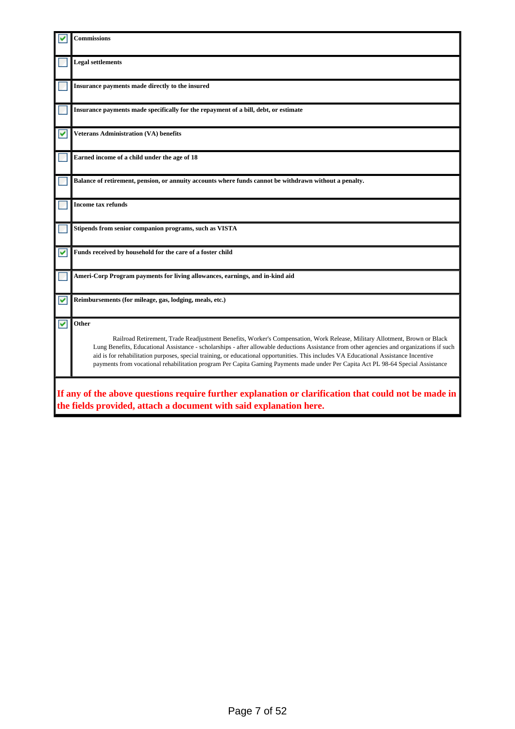| M | <b>Commissions</b>                                                                                                                                                                                                                                                                                                                                                                                                                                                                                                                                   |
|---|------------------------------------------------------------------------------------------------------------------------------------------------------------------------------------------------------------------------------------------------------------------------------------------------------------------------------------------------------------------------------------------------------------------------------------------------------------------------------------------------------------------------------------------------------|
|   | <b>Legal settlements</b>                                                                                                                                                                                                                                                                                                                                                                                                                                                                                                                             |
|   | Insurance payments made directly to the insured                                                                                                                                                                                                                                                                                                                                                                                                                                                                                                      |
|   | Insurance payments made specifically for the repayment of a bill, debt, or estimate                                                                                                                                                                                                                                                                                                                                                                                                                                                                  |
| V | Veterans Administration (VA) benefits                                                                                                                                                                                                                                                                                                                                                                                                                                                                                                                |
|   | Earned income of a child under the age of 18                                                                                                                                                                                                                                                                                                                                                                                                                                                                                                         |
|   | Balance of retirement, pension, or annuity accounts where funds cannot be withdrawn without a penalty.                                                                                                                                                                                                                                                                                                                                                                                                                                               |
|   | Income tax refunds                                                                                                                                                                                                                                                                                                                                                                                                                                                                                                                                   |
|   | Stipends from senior companion programs, such as VISTA                                                                                                                                                                                                                                                                                                                                                                                                                                                                                               |
| M | Funds received by household for the care of a foster child                                                                                                                                                                                                                                                                                                                                                                                                                                                                                           |
|   | Ameri-Corp Program payments for living allowances, earnings, and in-kind aid                                                                                                                                                                                                                                                                                                                                                                                                                                                                         |
| M | Reimbursements (for mileage, gas, lodging, meals, etc.)                                                                                                                                                                                                                                                                                                                                                                                                                                                                                              |
| M | Other                                                                                                                                                                                                                                                                                                                                                                                                                                                                                                                                                |
|   | Railroad Retirement, Trade Readjustment Benefits, Worker's Compensation, Work Release, Military Allotment, Brown or Black<br>Lung Benefits, Educational Assistance - scholarships - after allowable deductions Assistance from other agencies and organizations if such<br>aid is for rehabilitation purposes, special training, or educational opportunities. This includes VA Educational Assistance Incentive<br>payments from vocational rehabilitation program Per Capita Gaming Payments made under Per Capita Act PL 98-64 Special Assistance |
|   | If any of the above questions require further explanation or clarification that could not be made in<br>the fields provided, attach a document with said explanation here.                                                                                                                                                                                                                                                                                                                                                                           |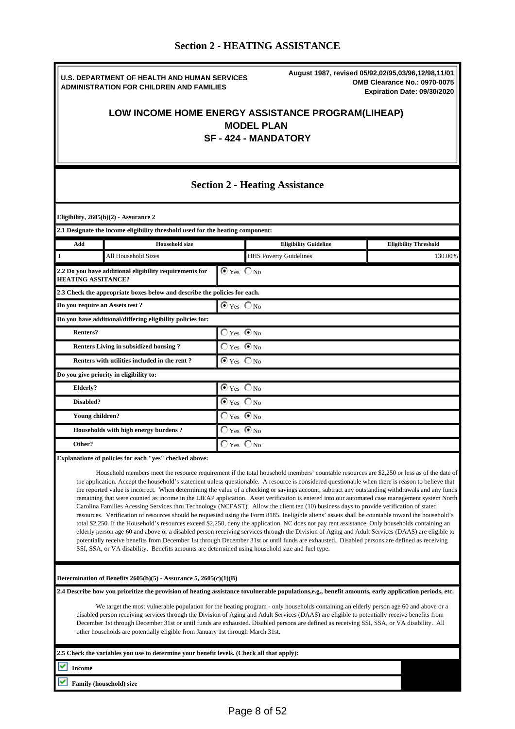**U.S. DEPARTMENT OF HEALTH AND HUMAN SERVICES ADMINISTRATION FOR CHILDREN AND FAMILIES**

**August 1987, revised 05/92,02/95,03/96,12/98,11/01 OMB Clearance No.: 0970-0075 Expiration Date: 09/30/2020**

#### <span id="page-7-0"></span>**LOW INCOME HOME ENERGY ASSISTANCE PROGRAM(LIHEAP) MODEL PLAN SF - 424 - MANDATORY**

| <b>Section 2 - Heating Assistance</b>                                                |                                                                           |                              |                               |                              |  |
|--------------------------------------------------------------------------------------|---------------------------------------------------------------------------|------------------------------|-------------------------------|------------------------------|--|
| Eligibility, $2605(b)(2)$ - Assurance 2                                              |                                                                           |                              |                               |                              |  |
| 2.1 Designate the income eligibility threshold used for the heating component:       |                                                                           |                              |                               |                              |  |
| Add                                                                                  | <b>Household size</b>                                                     |                              | <b>Eligibility Guideline</b>  | <b>Eligibility Threshold</b> |  |
| $\mathbf{1}$                                                                         | All Household Sizes                                                       |                              | <b>HHS Poverty Guidelines</b> | 130.00%                      |  |
| 2.2 Do you have additional eligibility requirements for<br><b>HEATING ASSITANCE?</b> |                                                                           | $\odot$ Yes $\odot$ No       |                               |                              |  |
|                                                                                      | 2.3 Check the appropriate boxes below and describe the policies for each. |                              |                               |                              |  |
| Do you require an Assets test?                                                       |                                                                           | $\odot$ Yes $\odot$ No       |                               |                              |  |
|                                                                                      | Do you have additional/differing eligibility policies for:                |                              |                               |                              |  |
| Renters?                                                                             |                                                                           | $C$ Yes $C$ No               |                               |                              |  |
| <b>Renters Living in subsidized housing?</b>                                         |                                                                           | $\bigcirc$ Yes $\bigcirc$ No |                               |                              |  |
|                                                                                      | Renters with utilities included in the rent?                              | $\odot$ Yes $\odot$ No       |                               |                              |  |
|                                                                                      | Do you give priority in eligibility to:                                   |                              |                               |                              |  |
| Elderly?                                                                             |                                                                           | $\odot$ Yes $\odot$ No       |                               |                              |  |
| Disabled?                                                                            |                                                                           | $\odot$ Yes $\odot$ No       |                               |                              |  |
| Young children?                                                                      |                                                                           | $C$ Yes $C$ No               |                               |                              |  |
|                                                                                      | Households with high energy burdens?                                      | $C_{Yes}$ $C_{No}$           |                               |                              |  |
| Other?                                                                               |                                                                           | $C$ Yes $C$ No               |                               |                              |  |

**Explanations of policies for each "yes" checked above:**

Household members meet the resource requirement if the total household members' countable resources are \$2,250 or less as of the date of the application. Accept the household's statement unless questionable. A resource is considered questionable when there is reason to believe that the reported value is incorrect. When determining the value of a checking or savings account, subtract any outstanding withdrawals and any funds remaining that were counted as income in the LIEAP application. Asset verification is entered into our automated case management system North Carolina Families Acessing Services thru Technology (NCFAST). Allow the client ten (10) business days to provide verification of stated resources. Verification of resources should be requested using the Form 8185. Ineligible aliens' assets shall be countable toward the household's total \$2,250. If the Household's resources exceed \$2,250, deny the application. NC does not pay rent assistance. Only households containing an elderly person age 60 and above or a disabled person receiving services through the Division of Aging and Adult Services (DAAS) are eligible to potentially receive benefits from December 1st through December 31st or until funds are exhausted. Disabled persons are defined as receiving SSI, SSA, or VA disability. Benefits amounts are determined using household size and fuel type.

**Determination of Benefits 2605(b)(5) - Assurance 5, 2605(c)(1)(B)**

**2.4 Describe how you prioritize the provision of heating assistance tovulnerable populations,e.g., benefit amounts, early application periods, etc.**

We target the most vulnerable population for the heating program - only households containing an elderly person age 60 and above or a disabled person receiving services through the Division of Aging and Adult Services (DAAS) are eligible to potentially receive benefits from December 1st through December 31st or until funds are exhausted. Disabled persons are defined as receiving SSI, SSA, or VA disability. All other households are potentially eligible from January 1st through March 31st.

**2.5 Check the variables you use to determine your benefit levels. (Check all that apply):**

**Income**

**Family (household) size**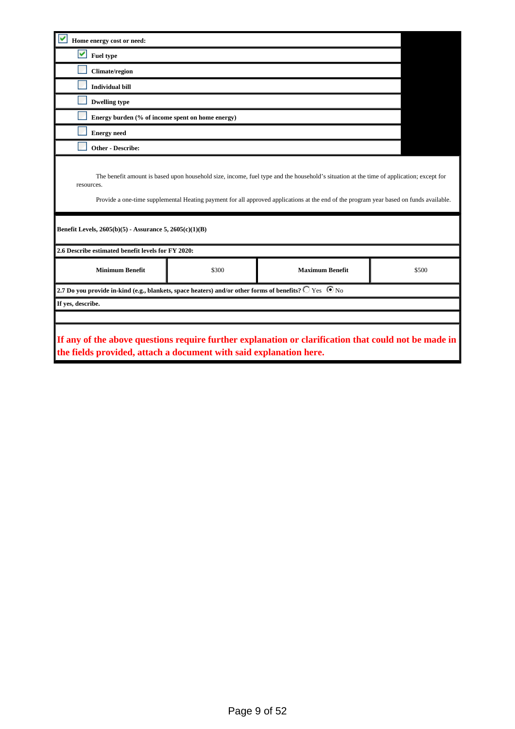| ▽<br>Home energy cost or need:                                                                                                                                                                                                                                                                                                                                                                                       |       |                        |       |  |  |  |
|----------------------------------------------------------------------------------------------------------------------------------------------------------------------------------------------------------------------------------------------------------------------------------------------------------------------------------------------------------------------------------------------------------------------|-------|------------------------|-------|--|--|--|
| M<br><b>Fuel type</b>                                                                                                                                                                                                                                                                                                                                                                                                |       |                        |       |  |  |  |
| Climate/region                                                                                                                                                                                                                                                                                                                                                                                                       |       |                        |       |  |  |  |
| <b>Individual bill</b>                                                                                                                                                                                                                                                                                                                                                                                               |       |                        |       |  |  |  |
| <b>Dwelling type</b>                                                                                                                                                                                                                                                                                                                                                                                                 |       |                        |       |  |  |  |
| Energy burden (% of income spent on home energy)                                                                                                                                                                                                                                                                                                                                                                     |       |                        |       |  |  |  |
| <b>Energy need</b>                                                                                                                                                                                                                                                                                                                                                                                                   |       |                        |       |  |  |  |
| <b>Other - Describe:</b>                                                                                                                                                                                                                                                                                                                                                                                             |       |                        |       |  |  |  |
| The benefit amount is based upon household size, income, fuel type and the household's situation at the time of application; except for<br>resources.<br>Provide a one-time supplemental Heating payment for all approved applications at the end of the program year based on funds available.<br>Benefit Levels, $2605(b)(5)$ - Assurance 5, $2605(c)(1)(B)$<br>2.6 Describe estimated benefit levels for FY 2020: |       |                        |       |  |  |  |
| <b>Minimum Benefit</b>                                                                                                                                                                                                                                                                                                                                                                                               | \$300 | <b>Maximum Benefit</b> | \$500 |  |  |  |
| 2.7 Do you provide in-kind (e.g., blankets, space heaters) and/or other forms of benefits? $\bigcirc$ Yes $\,\bullet$ No                                                                                                                                                                                                                                                                                             |       |                        |       |  |  |  |
| If yes, describe.                                                                                                                                                                                                                                                                                                                                                                                                    |       |                        |       |  |  |  |
|                                                                                                                                                                                                                                                                                                                                                                                                                      |       |                        |       |  |  |  |
| If any of the above questions require further explanation or clarification that could not be made in<br>the fields provided, attach a document with said explanation here.                                                                                                                                                                                                                                           |       |                        |       |  |  |  |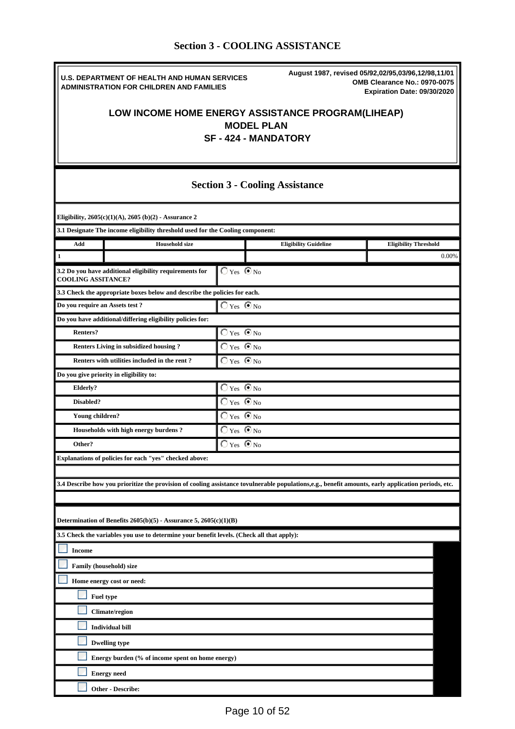<span id="page-9-0"></span>**U.S. DEPARTMENT OF HEALTH AND HUMAN SERVICES ADMINISTRATION FOR CHILDREN AND FAMILIES August 1987, revised 05/92,02/95,03/96,12/98,11/01 OMB Clearance No.: 0970-0075 Expiration Date: 09/30/2020 LOW INCOME HOME ENERGY ASSISTANCE PROGRAM(LIHEAP) MODEL PLAN SF - 424 - MANDATORY Section 3 - Cooling Assistance Eligibility, 2605(c)(1)(A), 2605 (b)(2) - Assurance 2 3.1 Designate The income eligibility threshold used for the Cooling component: Add Household size Eligibility Guideline Eligibility Threshold 1** 0.00% **1** 0.00% **3.2 Do you have additional eligibility requirements for COOLING ASSITANCE?**  $C$ Yes  $C_{N0}$ **3.3 Check the appropriate boxes below and describe the policies for each. Do you require an Assets test ?**  $\bigcirc$  Yes  $\bigcirc$  No **Do you have additional/differing eligibility policies for: Renters?**  $\overline{C}$  Yes  $\overline{C}$  No **Renters Living in subsidized housing ?**  $\qquad \qquad$   $\qquad \qquad$   $\qquad \qquad$   $\qquad \qquad$   $\qquad \qquad$   $\qquad \qquad$   $\qquad \qquad$   $\qquad \qquad$   $\qquad \qquad$   $\qquad \qquad$   $\qquad \qquad$   $\qquad \qquad$   $\qquad \qquad$   $\qquad \qquad$   $\qquad \qquad$   $\qquad \qquad$   $\qquad \qquad$   $\qquad \qquad$   $\qquad \qquad$   $\qquad \qquad$  **Renters with utilities included in the rent ?**  $\qquad \qquad \bullet$  Yes  $\qquad \bullet$  No **Do you give priority in eligibility to: Elderly?** C Yes C No **Disabled?**  $\bigcirc$  Yes  $\bigcirc$  No **Young children?**  $\qquad \qquad \qquad \bullet$  No **Households with high energy burdens ?**  $\qquad \qquad \bullet$  Yes  $\qquad \bullet$  No **Other?** Other? **Explanations of policies for each "yes" checked above: 3.4 Describe how you prioritize the provision of cooling assistance tovulnerable populations,e.g., benefit amounts, early application periods, etc. Determination of Benefits 2605(b)(5) - Assurance 5, 2605(c)(1)(B) 3.5 Check the variables you use to determine your benefit levels. (Check all that apply): Income Family (household) size Home energy cost or need: Fuel type Climate/region Individual bill Dwelling type Energy burden (% of income spent on home energy) Energy need**

Page 10 of 52

**Other - Describe:**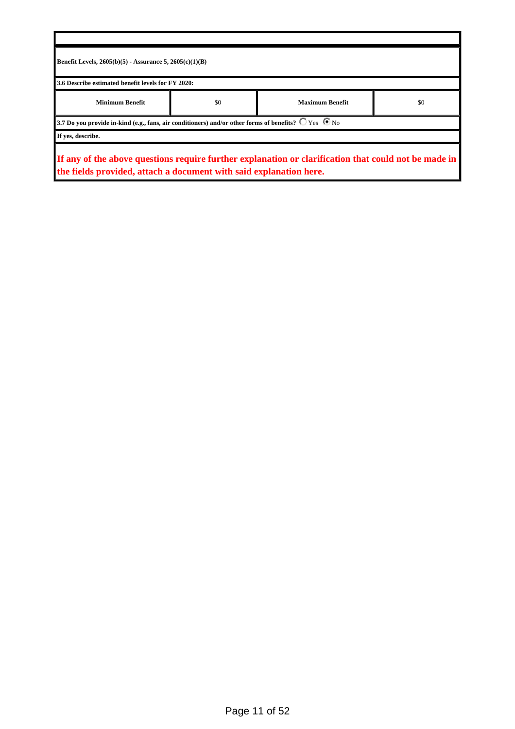| <b>Minimum Renefit</b>                                                                                                   | \$0 | <b>Maximum Benefit</b> | \$0 |  |  |
|--------------------------------------------------------------------------------------------------------------------------|-----|------------------------|-----|--|--|
| 3.7 Do you provide in-kind (e.g., fans, air conditioners) and/or other forms of benefits? $\Box$ Yes $\ \blacksquare$ No |     |                        |     |  |  |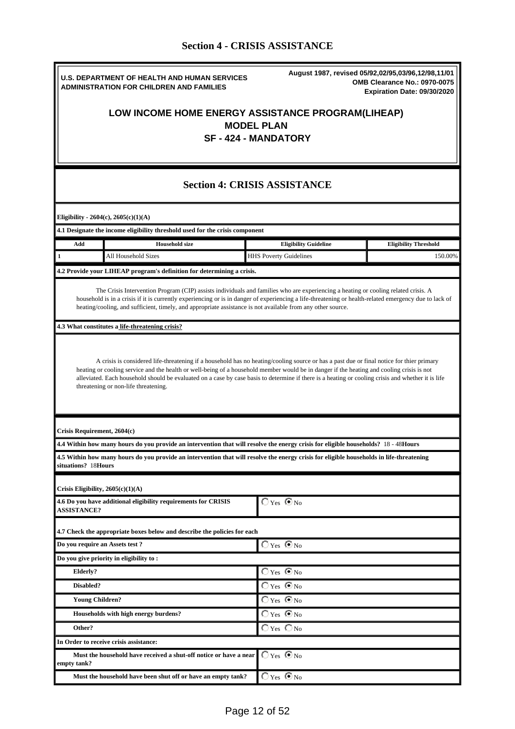<span id="page-11-0"></span>

|                                                                                                   | <b>U.S. DEPARTMENT OF HEALTH AND HUMAN SERVICES</b><br><b>ADMINISTRATION FOR CHILDREN AND FAMILIES</b>                                                                                                                                                                                                                                                                                                                                                                              | August 1987, revised 05/92,02/95,03/96,12/98,11/01<br>OMB Clearance No.: 0970-0075<br>Expiration Date: 09/30/2020 |                              |  |  |
|---------------------------------------------------------------------------------------------------|-------------------------------------------------------------------------------------------------------------------------------------------------------------------------------------------------------------------------------------------------------------------------------------------------------------------------------------------------------------------------------------------------------------------------------------------------------------------------------------|-------------------------------------------------------------------------------------------------------------------|------------------------------|--|--|
| LOW INCOME HOME ENERGY ASSISTANCE PROGRAM(LIHEAP)<br><b>MODEL PLAN</b><br><b>SF-424-MANDATORY</b> |                                                                                                                                                                                                                                                                                                                                                                                                                                                                                     |                                                                                                                   |                              |  |  |
|                                                                                                   |                                                                                                                                                                                                                                                                                                                                                                                                                                                                                     | <b>Section 4: CRISIS ASSISTANCE</b>                                                                               |                              |  |  |
|                                                                                                   | Eligibility - 2604(c), 2605(c)(1)(A)                                                                                                                                                                                                                                                                                                                                                                                                                                                |                                                                                                                   |                              |  |  |
|                                                                                                   | 4.1 Designate the income eligibility threshold used for the crisis component                                                                                                                                                                                                                                                                                                                                                                                                        |                                                                                                                   |                              |  |  |
| Add                                                                                               | <b>Household size</b>                                                                                                                                                                                                                                                                                                                                                                                                                                                               | <b>Eligibility Guideline</b>                                                                                      | <b>Eligibility Threshold</b> |  |  |
| 1                                                                                                 | All Household Sizes                                                                                                                                                                                                                                                                                                                                                                                                                                                                 | <b>HHS Poverty Guidelines</b>                                                                                     | 150.00%                      |  |  |
|                                                                                                   | household is in a crisis if it is currently experiencing or is in danger of experiencing a life-threatening or health-related emergency due to lack of<br>heating/cooling, and sufficient, timely, and appropriate assistance is not available from any other source.<br>4.3 What constitutes a life-threatening crisis?                                                                                                                                                            |                                                                                                                   |                              |  |  |
|                                                                                                   | A crisis is considered life-threatening if a household has no heating/cooling source or has a past due or final notice for thier primary<br>heating or cooling service and the health or well-being of a household member would be in danger if the heating and cooling crisis is not<br>alleviated. Each household should be evaluated on a case by case basis to determine if there is a heating or cooling crisis and whether it is life<br>threatening or non-life threatening. |                                                                                                                   |                              |  |  |
|                                                                                                   |                                                                                                                                                                                                                                                                                                                                                                                                                                                                                     |                                                                                                                   |                              |  |  |
|                                                                                                   | Crisis Requirement, 2604(c)                                                                                                                                                                                                                                                                                                                                                                                                                                                         |                                                                                                                   |                              |  |  |
| situations? 18Hours                                                                               | 4.4 Within how many hours do you provide an intervention that will resolve the energy crisis for eligible households? 18 - 48Hours<br>4.5 Within how many hours do you provide an intervention that will resolve the energy crisis for eligible households in life-threatening                                                                                                                                                                                                      |                                                                                                                   |                              |  |  |
|                                                                                                   | Crisis Eligibility, 2605(c)(1)(A)                                                                                                                                                                                                                                                                                                                                                                                                                                                   |                                                                                                                   |                              |  |  |
| <b>ASSISTANCE?</b>                                                                                | 4.6 Do you have additional eligibility requirements for CRISIS                                                                                                                                                                                                                                                                                                                                                                                                                      | $C$ Yes $C$ No                                                                                                    |                              |  |  |
|                                                                                                   | 4.7 Check the appropriate boxes below and describe the policies for each                                                                                                                                                                                                                                                                                                                                                                                                            |                                                                                                                   |                              |  |  |
|                                                                                                   | Do you require an Assets test?                                                                                                                                                                                                                                                                                                                                                                                                                                                      | $\bigcirc$ Yes $\bigcirc$ No                                                                                      |                              |  |  |
|                                                                                                   | Do you give priority in eligibility to:                                                                                                                                                                                                                                                                                                                                                                                                                                             |                                                                                                                   |                              |  |  |
| Elderly?                                                                                          |                                                                                                                                                                                                                                                                                                                                                                                                                                                                                     | $C$ Yes $C$ No                                                                                                    |                              |  |  |
| Disabled?                                                                                         |                                                                                                                                                                                                                                                                                                                                                                                                                                                                                     | $\bigcirc$ Yes $\bigcirc$ No                                                                                      |                              |  |  |
|                                                                                                   | <b>Young Children?</b>                                                                                                                                                                                                                                                                                                                                                                                                                                                              | $\bigcirc$ Yes $\bigcirc$ No                                                                                      |                              |  |  |
|                                                                                                   | Households with high energy burdens?                                                                                                                                                                                                                                                                                                                                                                                                                                                | $\bigcirc$ Yes $\bigcirc$ No                                                                                      |                              |  |  |
| Other?                                                                                            |                                                                                                                                                                                                                                                                                                                                                                                                                                                                                     | $\bigcirc$ Yes $\bigcirc$ No                                                                                      |                              |  |  |
|                                                                                                   | In Order to receive crisis assistance:                                                                                                                                                                                                                                                                                                                                                                                                                                              |                                                                                                                   |                              |  |  |
| empty tank?                                                                                       | Must the household have received a shut-off notice or have a near                                                                                                                                                                                                                                                                                                                                                                                                                   | $C$ Yes $C$ No<br>$\bigcirc$ Yes $\bigcirc$ No                                                                    |                              |  |  |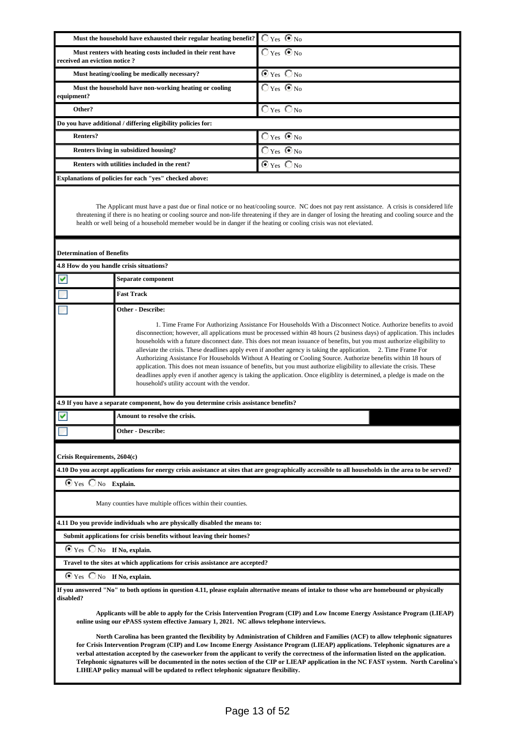| Must the household have exhausted their regular heating benefit?                            | $\Box$ Yes $\odot$ No        |
|---------------------------------------------------------------------------------------------|------------------------------|
| Must renters with heating costs included in their rent have<br>received an eviction notice? | $\bigcirc$ Yes $\bigcirc$ No |
| Must heating/cooling be medically necessary?                                                | $\odot$ Yes $\bigcirc$ No    |
| Must the household have non-working heating or cooling<br>equipment?                        | $\bigcirc$ Yes $\bigcirc$ No |
| Other?                                                                                      | $\bigcirc$ Yes $\bigcirc$ No |
| Do you have additional / differing eligibility policies for:                                |                              |
| Renters?                                                                                    | $C$ Yes $\,\circledast$ No   |
| Renters living in subsidized housing?                                                       | $C$ Yes $C$ No               |
| Renters with utilities included in the rent?                                                | $\odot$ Yes $\odot$ No       |
| Explanations of policies for each "yes" checked above:                                      |                              |

The Applicant must have a past due or final notice or no heat/cooling source. NC does not pay rent assistance. A crisis is considered life threatening if there is no heating or cooling source and non-life threatening if they are in danger of losing the hreating and cooling source and the health or well being of a household memeber would be in danger if the heating or cooling crisis was not eleviated.

| <b>Determination of Benefits</b>                                                                                                                                                                                                                                                                                                                                                                                                                                                                                                                                                                                                              |                                                                                                                                                                                                                                                                                                                                                                                                                                                                                                                                                                                                                                                                                                                                                                                                                                                                                                                       |  |
|-----------------------------------------------------------------------------------------------------------------------------------------------------------------------------------------------------------------------------------------------------------------------------------------------------------------------------------------------------------------------------------------------------------------------------------------------------------------------------------------------------------------------------------------------------------------------------------------------------------------------------------------------|-----------------------------------------------------------------------------------------------------------------------------------------------------------------------------------------------------------------------------------------------------------------------------------------------------------------------------------------------------------------------------------------------------------------------------------------------------------------------------------------------------------------------------------------------------------------------------------------------------------------------------------------------------------------------------------------------------------------------------------------------------------------------------------------------------------------------------------------------------------------------------------------------------------------------|--|
| 4.8 How do you handle crisis situations?                                                                                                                                                                                                                                                                                                                                                                                                                                                                                                                                                                                                      |                                                                                                                                                                                                                                                                                                                                                                                                                                                                                                                                                                                                                                                                                                                                                                                                                                                                                                                       |  |
| $\blacktriangledown$                                                                                                                                                                                                                                                                                                                                                                                                                                                                                                                                                                                                                          | <b>Separate component</b>                                                                                                                                                                                                                                                                                                                                                                                                                                                                                                                                                                                                                                                                                                                                                                                                                                                                                             |  |
|                                                                                                                                                                                                                                                                                                                                                                                                                                                                                                                                                                                                                                               | <b>Fast Track</b>                                                                                                                                                                                                                                                                                                                                                                                                                                                                                                                                                                                                                                                                                                                                                                                                                                                                                                     |  |
|                                                                                                                                                                                                                                                                                                                                                                                                                                                                                                                                                                                                                                               | <b>Other - Describe:</b>                                                                                                                                                                                                                                                                                                                                                                                                                                                                                                                                                                                                                                                                                                                                                                                                                                                                                              |  |
|                                                                                                                                                                                                                                                                                                                                                                                                                                                                                                                                                                                                                                               | 1. Time Frame For Authorizing Assistance For Households With a Disconnect Notice. Authorize benefits to avoid<br>disconnection; however, all applications must be processed within 48 hours (2 business days) of application. This includes<br>households with a future disconnect date. This does not mean issuance of benefits, but you must authorize eligibility to<br>alleviate the crisis. These deadlines apply even if another agency is taking the application. 2. Time Frame For<br>Authorizing Assistance For Households Without A Heating or Cooling Source. Authorize benefits within 18 hours of<br>application. This does not mean issuance of benefits, but you must authorize eligibility to alleviate the crisis. These<br>deadlines apply even if another agency is taking the application. Once eligiblity is determined, a pledge is made on the<br>household's utility account with the vendor. |  |
|                                                                                                                                                                                                                                                                                                                                                                                                                                                                                                                                                                                                                                               | 4.9 If you have a separate component, how do you determine crisis assistance benefits?                                                                                                                                                                                                                                                                                                                                                                                                                                                                                                                                                                                                                                                                                                                                                                                                                                |  |
| ▽                                                                                                                                                                                                                                                                                                                                                                                                                                                                                                                                                                                                                                             | Amount to resolve the crisis.                                                                                                                                                                                                                                                                                                                                                                                                                                                                                                                                                                                                                                                                                                                                                                                                                                                                                         |  |
|                                                                                                                                                                                                                                                                                                                                                                                                                                                                                                                                                                                                                                               | <b>Other - Describe:</b>                                                                                                                                                                                                                                                                                                                                                                                                                                                                                                                                                                                                                                                                                                                                                                                                                                                                                              |  |
| Crisis Requirements, 2604(c)                                                                                                                                                                                                                                                                                                                                                                                                                                                                                                                                                                                                                  |                                                                                                                                                                                                                                                                                                                                                                                                                                                                                                                                                                                                                                                                                                                                                                                                                                                                                                                       |  |
|                                                                                                                                                                                                                                                                                                                                                                                                                                                                                                                                                                                                                                               | 4.10 Do you accept applications for energy crisis assistance at sites that are geographically accessible to all households in the area to be served?                                                                                                                                                                                                                                                                                                                                                                                                                                                                                                                                                                                                                                                                                                                                                                  |  |
| Explain.                                                                                                                                                                                                                                                                                                                                                                                                                                                                                                                                                                                                                                      |                                                                                                                                                                                                                                                                                                                                                                                                                                                                                                                                                                                                                                                                                                                                                                                                                                                                                                                       |  |
|                                                                                                                                                                                                                                                                                                                                                                                                                                                                                                                                                                                                                                               | Many counties have multiple offices within their counties.                                                                                                                                                                                                                                                                                                                                                                                                                                                                                                                                                                                                                                                                                                                                                                                                                                                            |  |
|                                                                                                                                                                                                                                                                                                                                                                                                                                                                                                                                                                                                                                               | 4.11 Do you provide individuals who are physically disabled the means to:                                                                                                                                                                                                                                                                                                                                                                                                                                                                                                                                                                                                                                                                                                                                                                                                                                             |  |
|                                                                                                                                                                                                                                                                                                                                                                                                                                                                                                                                                                                                                                               | Submit applications for crisis benefits without leaving their homes?                                                                                                                                                                                                                                                                                                                                                                                                                                                                                                                                                                                                                                                                                                                                                                                                                                                  |  |
| $\bullet$ Yes $\bullet$ No If No, explain.                                                                                                                                                                                                                                                                                                                                                                                                                                                                                                                                                                                                    |                                                                                                                                                                                                                                                                                                                                                                                                                                                                                                                                                                                                                                                                                                                                                                                                                                                                                                                       |  |
|                                                                                                                                                                                                                                                                                                                                                                                                                                                                                                                                                                                                                                               | Travel to the sites at which applications for crisis assistance are accepted?                                                                                                                                                                                                                                                                                                                                                                                                                                                                                                                                                                                                                                                                                                                                                                                                                                         |  |
| $\overline{\bigodot}_{\text{Yes}}$ $\overline{\bigcirc}_{\text{No}}$ If No, explain.                                                                                                                                                                                                                                                                                                                                                                                                                                                                                                                                                          |                                                                                                                                                                                                                                                                                                                                                                                                                                                                                                                                                                                                                                                                                                                                                                                                                                                                                                                       |  |
| disabled?                                                                                                                                                                                                                                                                                                                                                                                                                                                                                                                                                                                                                                     | If you answered "No" to both options in question 4.11, please explain alternative means of intake to those who are homebound or physically<br>Applicants will be able to apply for the Crisis Intervention Program (CIP) and Low Income Energy Assistance Program (LIEAP)                                                                                                                                                                                                                                                                                                                                                                                                                                                                                                                                                                                                                                             |  |
|                                                                                                                                                                                                                                                                                                                                                                                                                                                                                                                                                                                                                                               | online using our ePASS system effective January 1, 2021. NC allows telephone interviews.                                                                                                                                                                                                                                                                                                                                                                                                                                                                                                                                                                                                                                                                                                                                                                                                                              |  |
| North Carolina has been granted the flexibility by Administration of Children and Families (ACF) to allow telephonic signatures<br>for Crisis Intervention Program (CIP) and Low Income Energy Assistance Program (LIEAP) applications. Telephonic signatures are a<br>verbal attestation accepted by the caseworker from the applicant to verify the correctness of the information listed on the application.<br>Telephonic signatures will be documented in the notes section of the CIP or LIEAP application in the NC FAST system. North Carolina's<br>LIHEAP policy manual will be updated to reflect telephonic signature flexibility. |                                                                                                                                                                                                                                                                                                                                                                                                                                                                                                                                                                                                                                                                                                                                                                                                                                                                                                                       |  |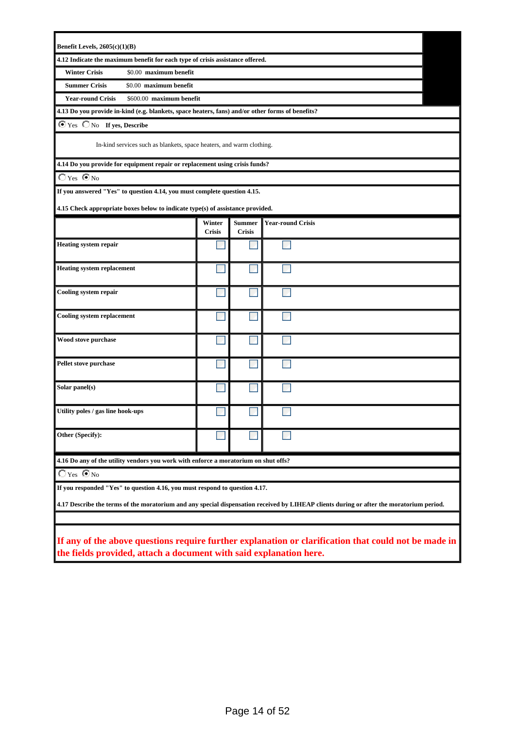|                                                                                                                                          | Benefit Levels, $2605(c)(1)(B)$                                                                  |                         |                                |                          |  |
|------------------------------------------------------------------------------------------------------------------------------------------|--------------------------------------------------------------------------------------------------|-------------------------|--------------------------------|--------------------------|--|
|                                                                                                                                          | 4.12 Indicate the maximum benefit for each type of crisis assistance offered.                    |                         |                                |                          |  |
| <b>Winter Crisis</b>                                                                                                                     |                                                                                                  | \$0.00 maximum benefit  |                                |                          |  |
| <b>Summer Crisis</b>                                                                                                                     | \$0.00 maximum benefit                                                                           |                         |                                |                          |  |
| <b>Year-round Crisis</b>                                                                                                                 | \$600.00 maximum benefit                                                                         |                         |                                |                          |  |
|                                                                                                                                          | 4.13 Do you provide in-kind (e.g. blankets, space heaters, fans) and/or other forms of benefits? |                         |                                |                          |  |
| $\bullet$ Yes $\circ$ No If yes, Describe                                                                                                |                                                                                                  |                         |                                |                          |  |
|                                                                                                                                          | In-kind services such as blankets, space heaters, and warm clothing.                             |                         |                                |                          |  |
|                                                                                                                                          | 4.14 Do you provide for equipment repair or replacement using crisis funds?                      |                         |                                |                          |  |
| $C$ Yes $C$ No                                                                                                                           |                                                                                                  |                         |                                |                          |  |
|                                                                                                                                          | If you answered "Yes" to question 4.14, you must complete question 4.15.                         |                         |                                |                          |  |
|                                                                                                                                          | 4.15 Check appropriate boxes below to indicate type(s) of assistance provided.                   |                         |                                |                          |  |
|                                                                                                                                          |                                                                                                  | Winter<br><b>Crisis</b> | <b>Summer</b><br><b>Crisis</b> | <b>Year-round Crisis</b> |  |
| <b>Heating system repair</b>                                                                                                             |                                                                                                  |                         |                                |                          |  |
| <b>Heating system replacement</b>                                                                                                        |                                                                                                  |                         |                                |                          |  |
| Cooling system repair                                                                                                                    |                                                                                                  |                         |                                |                          |  |
| <b>Cooling system replacement</b>                                                                                                        |                                                                                                  |                         |                                |                          |  |
| Wood stove purchase                                                                                                                      |                                                                                                  |                         |                                |                          |  |
| Pellet stove purchase                                                                                                                    |                                                                                                  |                         |                                |                          |  |
| Solar panel(s)                                                                                                                           |                                                                                                  |                         |                                |                          |  |
| Utility poles / gas line hook-ups                                                                                                        |                                                                                                  |                         |                                |                          |  |
| Other (Specify):                                                                                                                         |                                                                                                  |                         |                                |                          |  |
|                                                                                                                                          | 4.16 Do any of the utility vendors you work with enforce a moratorium on shut offs?              |                         |                                |                          |  |
| $\bigcirc$ Yes $\bigcirc$ No                                                                                                             |                                                                                                  |                         |                                |                          |  |
|                                                                                                                                          | If you responded "Yes" to question 4.16, you must respond to question 4.17.                      |                         |                                |                          |  |
| 4.17 Describe the terms of the moratorium and any special dispensation received by LIHEAP clients during or after the moratorium period. |                                                                                                  |                         |                                |                          |  |
|                                                                                                                                          |                                                                                                  |                         |                                |                          |  |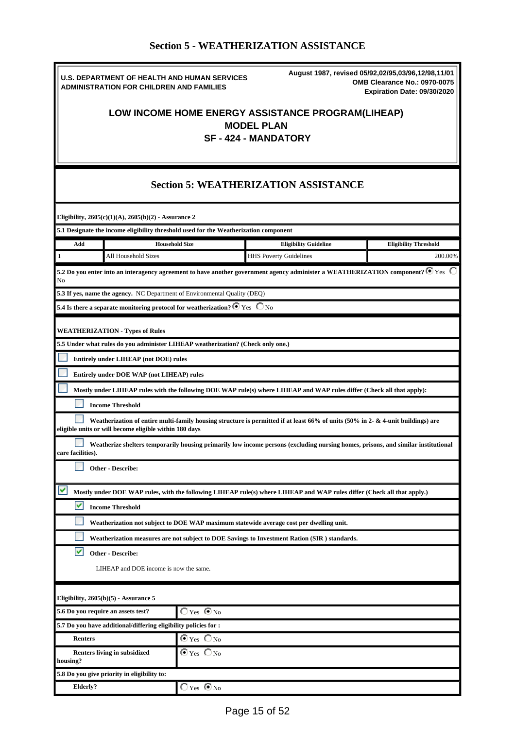<span id="page-14-0"></span>

|                                                                                                                        | <b>U.S. DEPARTMENT OF HEALTH AND HUMAN SERVICES</b>                                                                                                                                        |                              |                                                                                                                         | August 1987, revised 05/92,02/95,03/96,12/98,11/01<br><b>OMB Clearance No.: 0970-0075</b>                                                  |  |
|------------------------------------------------------------------------------------------------------------------------|--------------------------------------------------------------------------------------------------------------------------------------------------------------------------------------------|------------------------------|-------------------------------------------------------------------------------------------------------------------------|--------------------------------------------------------------------------------------------------------------------------------------------|--|
| <b>ADMINISTRATION FOR CHILDREN AND FAMILIES</b>                                                                        |                                                                                                                                                                                            |                              | Expiration Date: 09/30/2020                                                                                             |                                                                                                                                            |  |
|                                                                                                                        | LOW INCOME HOME ENERGY ASSISTANCE PROGRAM(LIHEAP)<br><b>MODEL PLAN</b><br><b>SF-424-MANDATORY</b>                                                                                          |                              |                                                                                                                         |                                                                                                                                            |  |
|                                                                                                                        |                                                                                                                                                                                            |                              |                                                                                                                         |                                                                                                                                            |  |
|                                                                                                                        |                                                                                                                                                                                            |                              | <b>Section 5: WEATHERIZATION ASSISTANCE</b>                                                                             |                                                                                                                                            |  |
|                                                                                                                        | Eligibility, $2605(c)(1)(A)$ , $2605(b)(2)$ - Assurance 2                                                                                                                                  |                              |                                                                                                                         |                                                                                                                                            |  |
|                                                                                                                        | 5.1 Designate the income eligibility threshold used for the Weatherization component                                                                                                       |                              |                                                                                                                         |                                                                                                                                            |  |
| Add                                                                                                                    |                                                                                                                                                                                            | <b>Household Size</b>        | <b>Eligibility Guideline</b>                                                                                            | <b>Eligibility Threshold</b>                                                                                                               |  |
|                                                                                                                        | All Household Sizes                                                                                                                                                                        |                              | <b>HHS Poverty Guidelines</b>                                                                                           | 200.00%                                                                                                                                    |  |
| No                                                                                                                     |                                                                                                                                                                                            |                              |                                                                                                                         | 5.2 Do you enter into an interagency agreement to have another government agency administer a WEATHERIZATION component? <sup>6</sup> Yes C |  |
|                                                                                                                        | 5.3 If yes, name the agency. NC Department of Environmental Quality (DEQ)                                                                                                                  |                              |                                                                                                                         |                                                                                                                                            |  |
|                                                                                                                        | 5.4 Is there a separate monitoring protocol for weatherization? $\bullet$ Yes $\circ$ No                                                                                                   |                              |                                                                                                                         |                                                                                                                                            |  |
|                                                                                                                        |                                                                                                                                                                                            |                              |                                                                                                                         |                                                                                                                                            |  |
|                                                                                                                        | <b>WEATHERIZATION - Types of Rules</b>                                                                                                                                                     |                              |                                                                                                                         |                                                                                                                                            |  |
|                                                                                                                        | 5.5 Under what rules do you administer LIHEAP weatherization? (Check only one.)                                                                                                            |                              |                                                                                                                         |                                                                                                                                            |  |
|                                                                                                                        | <b>Entirely under LIHEAP (not DOE) rules</b>                                                                                                                                               |                              |                                                                                                                         |                                                                                                                                            |  |
|                                                                                                                        | Entirely under DOE WAP (not LIHEAP) rules                                                                                                                                                  |                              |                                                                                                                         |                                                                                                                                            |  |
| Mostly under LIHEAP rules with the following DOE WAP rule(s) where LIHEAP and WAP rules differ (Check all that apply): |                                                                                                                                                                                            |                              |                                                                                                                         |                                                                                                                                            |  |
| <b>Income Threshold</b>                                                                                                |                                                                                                                                                                                            |                              |                                                                                                                         |                                                                                                                                            |  |
|                                                                                                                        | Weatherization of entire multi-family housing structure is permitted if at least 66% of units (50% in 2- & 4-unit buildings) are<br>eligible units or will become eligible within 180 days |                              |                                                                                                                         |                                                                                                                                            |  |
|                                                                                                                        |                                                                                                                                                                                            |                              |                                                                                                                         | Weatherize shelters temporarily housing primarily low income persons (excluding nursing homes, prisons, and similar institutional          |  |
| care facilities).                                                                                                      | Other - Describe:                                                                                                                                                                          |                              |                                                                                                                         |                                                                                                                                            |  |
|                                                                                                                        |                                                                                                                                                                                            |                              |                                                                                                                         |                                                                                                                                            |  |
| M                                                                                                                      |                                                                                                                                                                                            |                              | Mostly under DOE WAP rules, with the following LIHEAP rule(s) where LIHEAP and WAP rules differ (Check all that apply.) |                                                                                                                                            |  |
| M                                                                                                                      | <b>Income Threshold</b>                                                                                                                                                                    |                              |                                                                                                                         |                                                                                                                                            |  |
|                                                                                                                        |                                                                                                                                                                                            |                              | Weatherization not subject to DOE WAP maximum statewide average cost per dwelling unit.                                 |                                                                                                                                            |  |
|                                                                                                                        |                                                                                                                                                                                            |                              | Weatherization measures are not subject to DOE Savings to Investment Ration (SIR) standards.                            |                                                                                                                                            |  |
| ⊻                                                                                                                      | <b>Other - Describe:</b>                                                                                                                                                                   |                              |                                                                                                                         |                                                                                                                                            |  |
|                                                                                                                        | LIHEAP and DOE income is now the same.                                                                                                                                                     |                              |                                                                                                                         |                                                                                                                                            |  |
|                                                                                                                        |                                                                                                                                                                                            |                              |                                                                                                                         |                                                                                                                                            |  |
|                                                                                                                        | Eligibility, $2605(b)(5)$ - Assurance 5                                                                                                                                                    |                              |                                                                                                                         |                                                                                                                                            |  |
|                                                                                                                        | 5.6 Do you require an assets test?                                                                                                                                                         | $\bigcirc$ Yes $\bigcirc$ No |                                                                                                                         |                                                                                                                                            |  |
|                                                                                                                        | 5.7 Do you have additional/differing eligibility policies for :                                                                                                                            |                              |                                                                                                                         |                                                                                                                                            |  |
| <b>Renters</b>                                                                                                         |                                                                                                                                                                                            | $\odot$ Yes $\odot$ No       |                                                                                                                         |                                                                                                                                            |  |
| housing?                                                                                                               | Renters living in subsidized                                                                                                                                                               | $\odot$ Yes $\odot$ No       |                                                                                                                         |                                                                                                                                            |  |
|                                                                                                                        | 5.8 Do you give priority in eligibility to:                                                                                                                                                |                              |                                                                                                                         |                                                                                                                                            |  |
| Elderly?                                                                                                               |                                                                                                                                                                                            | $C$ Yes $C$ No               |                                                                                                                         |                                                                                                                                            |  |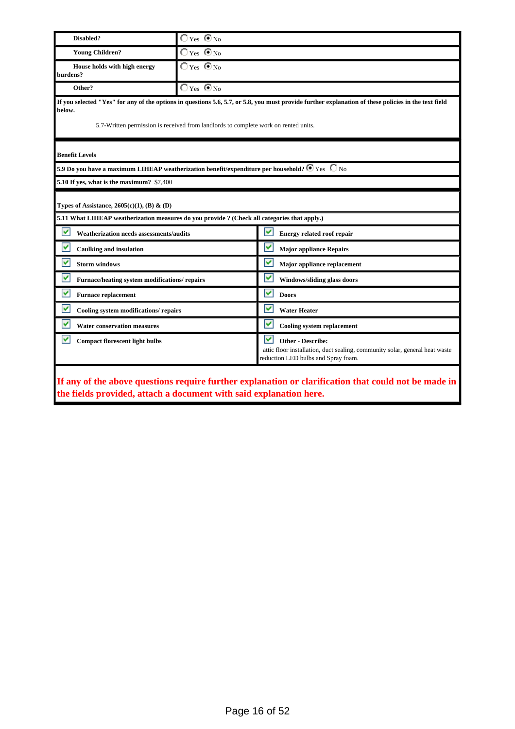| Disabled?                                                                                                                                                                                                                                             | $C$ Yes $\overline{\odot}$ No |                                                                                                                                                     |  |
|-------------------------------------------------------------------------------------------------------------------------------------------------------------------------------------------------------------------------------------------------------|-------------------------------|-----------------------------------------------------------------------------------------------------------------------------------------------------|--|
| <b>Young Children?</b>                                                                                                                                                                                                                                | $C$ Yes $C$ No                |                                                                                                                                                     |  |
| House holds with high energy<br>burdens?                                                                                                                                                                                                              | $\bigcirc$ Yes $\bigcirc$ No  |                                                                                                                                                     |  |
| Other?                                                                                                                                                                                                                                                | $\bigcirc$ Yes $\bigcirc$ No  |                                                                                                                                                     |  |
| If you selected "Yes" for any of the options in questions 5.6, 5.7, or 5.8, you must provide further explanation of these policies in the text field<br>below.<br>5.7-Written permission is received from landlords to complete work on rented units. |                               |                                                                                                                                                     |  |
| <b>Benefit Levels</b>                                                                                                                                                                                                                                 |                               |                                                                                                                                                     |  |
| 5.9 Do you have a maximum LIHEAP weatherization benefit/expenditure per household? $\bullet$ Yes $~\bullet$ No                                                                                                                                        |                               |                                                                                                                                                     |  |
| 5.10 If yes, what is the maximum? \$7,400                                                                                                                                                                                                             |                               |                                                                                                                                                     |  |
| Types of Assistance, $2605(c)(1)$ , (B) & (D)                                                                                                                                                                                                         |                               |                                                                                                                                                     |  |
| 5.11 What LIHEAP weatherization measures do you provide ? (Check all categories that apply.)                                                                                                                                                          |                               |                                                                                                                                                     |  |
| Y<br><b>Weatherization needs assessments/audits</b>                                                                                                                                                                                                   |                               | M<br><b>Energy related roof repair</b>                                                                                                              |  |
| V<br><b>Caulking and insulation</b>                                                                                                                                                                                                                   |                               | v<br><b>Major appliance Repairs</b>                                                                                                                 |  |
| v<br><b>Storm windows</b>                                                                                                                                                                                                                             |                               | v<br>Major appliance replacement                                                                                                                    |  |
| M<br>Furnace/heating system modifications/repairs                                                                                                                                                                                                     |                               | v<br>Windows/sliding glass doors                                                                                                                    |  |
| ٧<br><b>Furnace replacement</b>                                                                                                                                                                                                                       |                               | V<br><b>Doors</b>                                                                                                                                   |  |
| v<br>Cooling system modifications/repairs                                                                                                                                                                                                             |                               | v<br><b>Water Heater</b>                                                                                                                            |  |
| v<br><b>Water conservation measures</b>                                                                                                                                                                                                               |                               | v<br><b>Cooling system replacement</b>                                                                                                              |  |
| v<br><b>Compact florescent light bulbs</b>                                                                                                                                                                                                            |                               | v<br><b>Other - Describe:</b><br>attic floor installation, duct sealing, community solar, general heat waste<br>reduction LED bulbs and Spray foam. |  |
| If any of the above questions require further explanation or clarification that could not be made in<br>the fields provided, attach a document with said explanation here.                                                                            |                               |                                                                                                                                                     |  |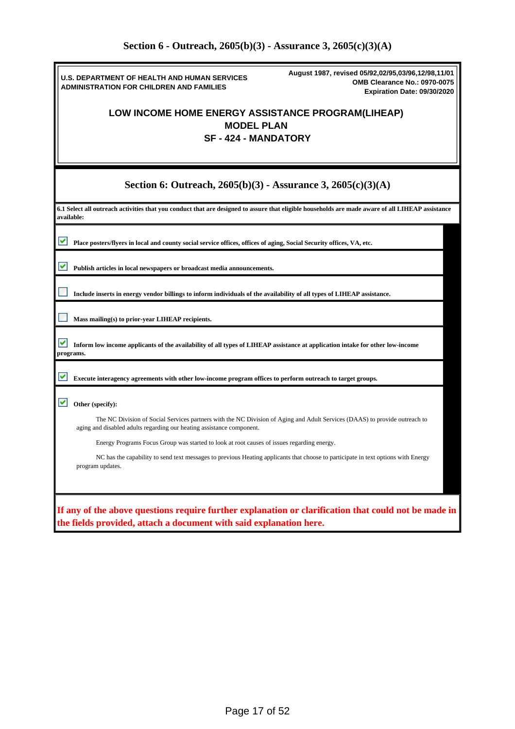<span id="page-16-0"></span>

|                | ection $\sigma$ - Outi cach, 2009( <i>b</i> )(3) - Assurance 9, 2009(c)(9)(A)                                                                                                                       |                                                                                                                   |
|----------------|-----------------------------------------------------------------------------------------------------------------------------------------------------------------------------------------------------|-------------------------------------------------------------------------------------------------------------------|
|                | <b>U.S. DEPARTMENT OF HEALTH AND HUMAN SERVICES</b><br><b>ADMINISTRATION FOR CHILDREN AND FAMILIES</b>                                                                                              | August 1987, revised 05/92,02/95,03/96,12/98,11/01<br>OMB Clearance No.: 0970-0075<br>Expiration Date: 09/30/2020 |
|                | LOW INCOME HOME ENERGY ASSISTANCE PROGRAM(LIHEAP)<br><b>MODEL PLAN</b><br><b>SF-424-MANDATORY</b>                                                                                                   |                                                                                                                   |
|                | Section 6: Outreach, $2605(b)(3)$ - Assurance 3, $2605(c)(3)(A)$                                                                                                                                    |                                                                                                                   |
| available:     | 6.1 Select all outreach activities that you conduct that are designed to assure that eligible households are made aware of all LIHEAP assistance                                                    |                                                                                                                   |
|                | Place posters/flyers in local and county social service offices, offices of aging, Social Security offices, VA, etc.                                                                                |                                                                                                                   |
|                | Publish articles in local newspapers or broadcast media announcements.                                                                                                                              |                                                                                                                   |
|                | Include inserts in energy vendor billings to inform individuals of the availability of all types of LIHEAP assistance.                                                                              |                                                                                                                   |
|                | Mass mailing(s) to prior-year LIHEAP recipients.                                                                                                                                                    |                                                                                                                   |
| M<br>programs. | Inform low income applicants of the availability of all types of LIHEAP assistance at application intake for other low-income                                                                       |                                                                                                                   |
|                | Execute interagency agreements with other low-income program offices to perform outreach to target groups.                                                                                          |                                                                                                                   |
| M              | Other (specify):                                                                                                                                                                                    |                                                                                                                   |
|                | The NC Division of Social Services partners with the NC Division of Aging and Adult Services (DAAS) to provide outreach to<br>aging and disabled adults regarding our heating assistance component. |                                                                                                                   |
|                | Energy Programs Focus Group was started to look at root causes of issues regarding energy.                                                                                                          |                                                                                                                   |
|                | NC has the capability to send text messages to previous Heating applicants that choose to participate in text options with Energy<br>program updates.                                               |                                                                                                                   |
|                |                                                                                                                                                                                                     |                                                                                                                   |
|                | If any of the above questions require further explanation or clarification that could not be made in<br>the fields provided, attach a document with said explanation here.                          |                                                                                                                   |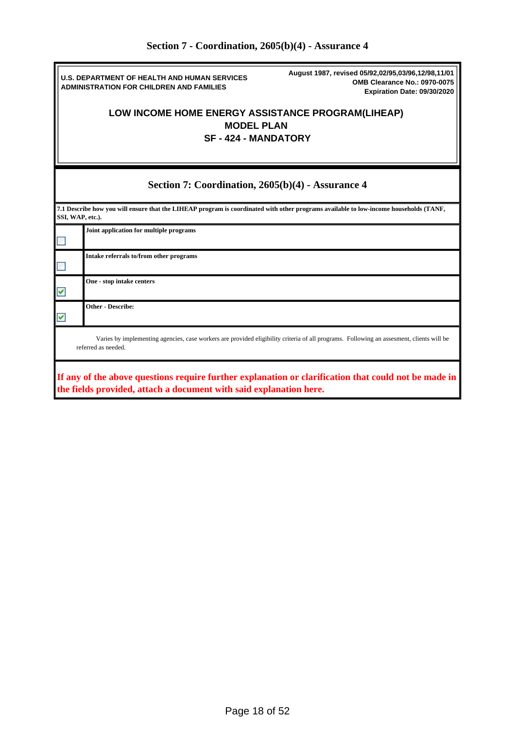<span id="page-17-0"></span>

|   | August 1987, revised 05/92,02/95,03/96,12/98,11/01<br><b>U.S. DEPARTMENT OF HEALTH AND HUMAN SERVICES</b><br><b>OMB Clearance No.: 0970-0075</b><br><b>ADMINISTRATION FOR CHILDREN AND FAMILIES</b><br>Expiration Date: 09/30/2020 |  |  |
|---|------------------------------------------------------------------------------------------------------------------------------------------------------------------------------------------------------------------------------------|--|--|
|   | LOW INCOME HOME ENERGY ASSISTANCE PROGRAM(LIHEAP)                                                                                                                                                                                  |  |  |
|   | <b>MODEL PLAN</b>                                                                                                                                                                                                                  |  |  |
|   | <b>SF-424-MANDATORY</b>                                                                                                                                                                                                            |  |  |
|   |                                                                                                                                                                                                                                    |  |  |
|   |                                                                                                                                                                                                                                    |  |  |
|   | Section 7: Coordination, 2605(b)(4) - Assurance 4                                                                                                                                                                                  |  |  |
|   | 7.1 Describe how you will ensure that the LIHEAP program is coordinated with other programs available to low-income households (TANF,<br>SSI, WAP, etc.).                                                                          |  |  |
|   | Joint application for multiple programs                                                                                                                                                                                            |  |  |
|   | Intake referrals to/from other programs                                                                                                                                                                                            |  |  |
| V | One - stop intake centers                                                                                                                                                                                                          |  |  |
|   | <b>Other - Describe:</b>                                                                                                                                                                                                           |  |  |
|   | Varies by implementing agencies, case workers are provided eligibility criteria of all programs. Following an assesment, clients will be<br>referred as needed.                                                                    |  |  |
|   | If any of the above questions require further explanation or clarification that could not be made in<br>the fields provided, attach a document with said explanation here.                                                         |  |  |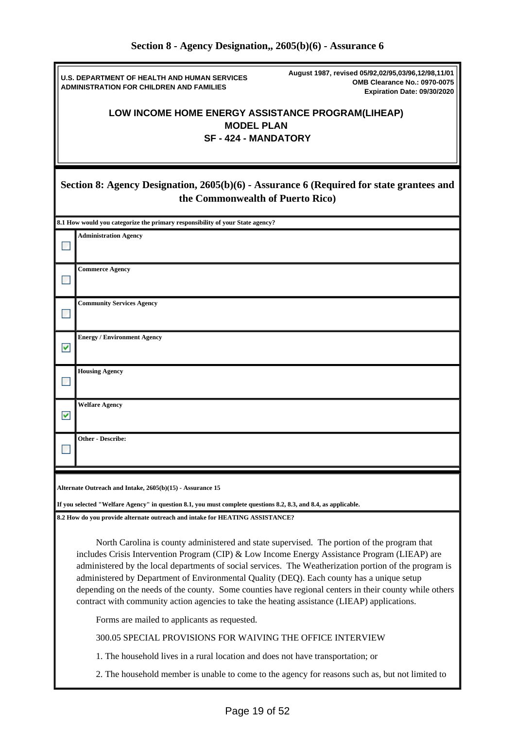<span id="page-18-0"></span>

| <b>U.S. DEPARTMENT OF HEALTH AND HUMAN SERVICES</b><br>ADMINISTRATION FOR CHILDREN AND FAMILIES | August 1987, revised 05/92,02/95,03/96,12/98,11/01<br><b>OMB Clearance No.: 0970-0075</b><br>Expiration Date: 09/30/2020 |
|-------------------------------------------------------------------------------------------------|--------------------------------------------------------------------------------------------------------------------------|
| LOW INCOME HOME ENERGY ASSISTANCE PROGRAM(LIHEAP)                                               |                                                                                                                          |
| <b>MODEL PLAN</b>                                                                               |                                                                                                                          |
| <b>SF-424-MANDATORY</b>                                                                         |                                                                                                                          |
|                                                                                                 |                                                                                                                          |

| Section 8: Agency Designation, 2605(b)(6) - Assurance 6 (Required for state grantees and |
|------------------------------------------------------------------------------------------|
| the Commonwealth of Puerto Rico)                                                         |

|   | 8.1 How would you categorize the primary responsibility of your State agency?                                                                                                                   |  |  |
|---|-------------------------------------------------------------------------------------------------------------------------------------------------------------------------------------------------|--|--|
|   | <b>Administration Agency</b>                                                                                                                                                                    |  |  |
|   | <b>Commerce Agency</b>                                                                                                                                                                          |  |  |
|   | <b>Community Services Agency</b>                                                                                                                                                                |  |  |
| V | <b>Energy / Environment Agency</b>                                                                                                                                                              |  |  |
|   | <b>Housing Agency</b>                                                                                                                                                                           |  |  |
| M | <b>Welfare Agency</b>                                                                                                                                                                           |  |  |
|   | <b>Other - Describe:</b>                                                                                                                                                                        |  |  |
|   | Alternate Outreach and Intake, 2605(b)(15) - Assurance 15                                                                                                                                       |  |  |
|   | If you selected "Welfare Agency" in question 8.1, you must complete questions 8.2, 8.3, and 8.4, as applicable.<br>8.2 How do you provide alternate outreach and intake for HEATING ASSISTANCE? |  |  |
|   |                                                                                                                                                                                                 |  |  |

North Carolina is county administered and state supervised. The portion of the program that includes Crisis Intervention Program (CIP) & Low Income Energy Assistance Program (LIEAP) are administered by the local departments of social services. The Weatherization portion of the program is administered by Department of Environmental Quality (DEQ). Each county has a unique setup depending on the needs of the county. Some counties have regional centers in their county while others contract with community action agencies to take the heating assistance (LIEAP) applications.

Forms are mailed to applicants as requested.

300.05 SPECIAL PROVISIONS FOR WAIVING THE OFFICE INTERVIEW

1. The household lives in a rural location and does not have transportation; or

2. The household member is unable to come to the agency for reasons such as, but not limited to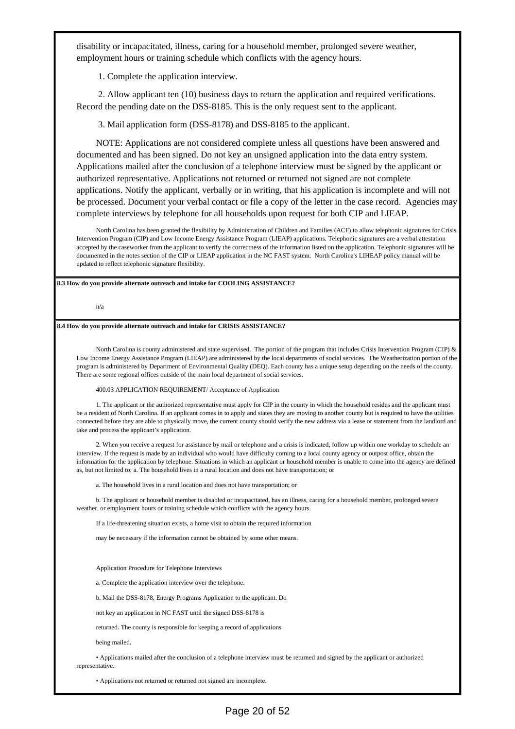disability or incapacitated, illness, caring for a household member, prolonged severe weather, employment hours or training schedule which conflicts with the agency hours.

1. Complete the application interview.

 2. Allow applicant ten (10) business days to return the application and required verifications. Record the pending date on the DSS-8185. This is the only request sent to the applicant.

3. Mail application form (DSS-8178) and DSS-8185 to the applicant.

NOTE: Applications are not considered complete unless all questions have been answered and documented and has been signed. Do not key an unsigned application into the data entry system. Applications mailed after the conclusion of a telephone interview must be signed by the applicant or authorized representative. Applications not returned or returned not signed are not complete applications. Notify the applicant, verbally or in writing, that his application is incomplete and will not be processed. Document your verbal contact or file a copy of the letter in the case record. Agencies may complete interviews by telephone for all households upon request for both CIP and LIEAP.

North Carolina has been granted the flexibility by Administration of Children and Families (ACF) to allow telephonic signatures for Crisis Intervention Program (CIP) and Low Income Energy Assistance Program (LIEAP) applications. Telephonic signatures are a verbal attestation accepted by the caseworker from the applicant to verify the correctness of the information listed on the application. Telephonic signatures will be documented in the notes section of the CIP or LIEAP application in the NC FAST system. North Carolina's LIHEAP policy manual will be updated to reflect telephonic signature flexibility.

**8.3 How do you provide alternate outreach and intake for COOLING ASSISTANCE?** 

n/a

#### **8.4 How do you provide alternate outreach and intake for CRISIS ASSISTANCE?**

North Carolina is county administered and state supervised. The portion of the program that includes Crisis Intervention Program (CIP) & Low Income Energy Assistance Program (LIEAP) are administered by the local departments of social services. The Weatherization portion of the program is administered by Department of Environmental Quality (DEQ). Each county has a unique setup depending on the needs of the county. There are some regional offices outside of the main local department of social services.

400.03 APPLICATION REQUIREMENT/ Acceptance of Application

1. The applicant or the authorized representative must apply for CIP in the county in which the household resides and the applicant must be a resident of North Carolina. If an applicant comes in to apply and states they are moving to another county but is required to have the utilities connected before they are able to physically move, the current county should verify the new address via a lease or statement from the landlord and take and process the applicant's application.

2. When you receive a request for assistance by mail or telephone and a crisis is indicated, follow up within one workday to schedule an interview. If the request is made by an individual who would have difficulty coming to a local county agency or outpost office, obtain the information for the application by telephone. Situations in which an applicant or household member is unable to come into the agency are defined as, but not limited to: a. The household lives in a rural location and does not have transportation; or

a. The household lives in a rural location and does not have transportation; or

b. The applicant or household member is disabled or incapacitated, has an illness, caring for a household member, prolonged severe weather, or employment hours or training schedule which conflicts with the agency hours.

If a life-threatening situation exists, a home visit to obtain the required information

may be necessary if the information cannot be obtained by some other means.

Application Procedure for Telephone Interviews

a. Complete the application interview over the telephone.

b. Mail the DSS-8178, Energy Programs Application to the applicant. Do

not key an application in NC FAST until the signed DSS-8178 is

returned. The county is responsible for keeping a record of applications

being mailed.

• Applications mailed after the conclusion of a telephone interview must be returned and signed by the applicant or authorized representative.

• Applications not returned or returned not signed are incomplete.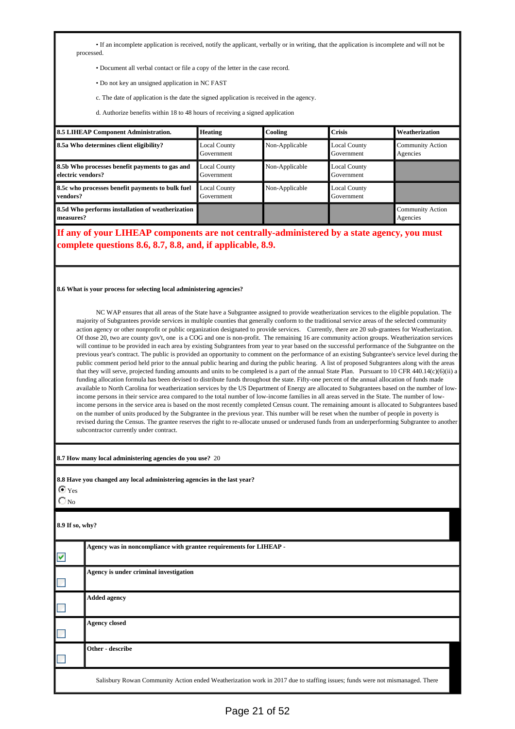• If an incomplete application is received, notify the applicant, verbally or in writing, that the application is incomplete and will not be processed.

- Document all verbal contact or file a copy of the letter in the case record.
- Do not key an unsigned application in NC FAST
- c. The date of application is the date the signed application is received in the agency.
- d. Authorize benefits within 18 to 48 hours of receiving a signed application

| 8.5 LIHEAP Component Administration.                                | <b>Heating</b>                    | Cooling        | <b>Crisis</b>                     | Weatherization                      |
|---------------------------------------------------------------------|-----------------------------------|----------------|-----------------------------------|-------------------------------------|
| 8.5a Who determines client eligibility?                             | <b>Local County</b><br>Government | Non-Applicable | <b>Local County</b><br>Government | Community Action<br>Agencies        |
| 8.5b Who processes benefit payments to gas and<br>electric vendors? | <b>Local County</b><br>Government | Non-Applicable | <b>Local County</b><br>Government |                                     |
| 8.5c who processes benefit payments to bulk fuel<br>vendors?        | <b>Local County</b><br>Government | Non-Applicable | <b>Local County</b><br>Government |                                     |
| 8.5d Who performs installation of weatherization<br>measures?       |                                   |                |                                   | <b>Community Action</b><br>Agencies |

**If any of your LIHEAP components are not centrally-administered by a state agency, you must complete questions 8.6, 8.7, 8.8, and, if applicable, 8.9.**

#### **8.6 What is your process for selecting local administering agencies?**

NC WAP ensures that all areas of the State have a Subgrantee assigned to provide weatherization services to the eligible population. The majority of Subgrantees provide services in multiple counties that generally conform to the traditional service areas of the selected community action agency or other nonprofit or public organization designated to provide services. Currently, there are 20 sub-grantees for Weatherization. Of those 20, two are county gov't, one is a COG and one is non-profit. The remaining 16 are community action groups. Weatherization services will continue to be provided in each area by existing Subgrantees from year to year based on the successful performance of the Subgrantee on the previous year's contract. The public is provided an opportunity to comment on the performance of an existing Subgrantee's service level during the public comment period held prior to the annual public hearing and during the public hearing. A list of proposed Subgrantees along with the areas that they will serve, projected funding amounts and units to be completed is a part of the annual State Plan. Pursuant to 10 CFR 440.14(c)(6)(ii) a funding allocation formula has been devised to distribute funds throughout the state. Fifty-one percent of the annual allocation of funds made available to North Carolina for weatherization services by the US Department of Energy are allocated to Subgrantees based on the number of lowincome persons in their service area compared to the total number of low-income families in all areas served in the State. The number of lowincome persons in the service area is based on the most recently completed Census count. The remaining amount is allocated to Subgrantees based on the number of units produced by the Subgrantee in the previous year. This number will be reset when the number of people in poverty is revised during the Census. The grantee reserves the right to re-allocate unused or underused funds from an underperforming Subgrantee to another subcontractor currently under contract.

**8.7 How many local administering agencies do you use?** 20

**8.8 Have you changed any local administering agencies in the last year?**

| $\sim$<br>۰, |
|--------------|
|              |

 $\bigcirc$  No

#### **8.9 If so, why?**

| 0.7 II SU, WHY. |                                                                                                                             |
|-----------------|-----------------------------------------------------------------------------------------------------------------------------|
| N               | Agency was in noncompliance with grantee requirements for LIHEAP -                                                          |
|                 | Agency is under criminal investigation                                                                                      |
|                 | <b>Added agency</b>                                                                                                         |
|                 | <b>Agency closed</b>                                                                                                        |
|                 | Other - describe                                                                                                            |
|                 | Salisbury Rowan Community Action ended Weatherization work in 2017 due to staffing issues; funds were not mismanaged. There |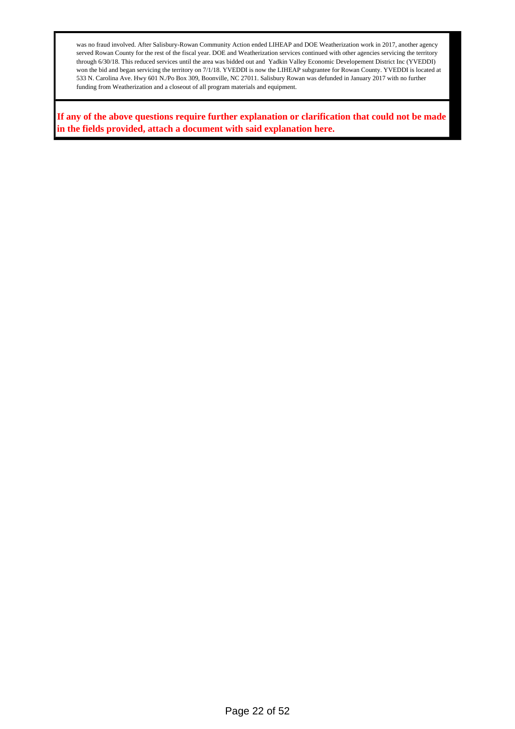was no fraud involved. After Salisbury-Rowan Community Action ended LIHEAP and DOE Weatherization work in 2017, another agency served Rowan County for the rest of the fiscal year. DOE and Weatherization services continued with other agencies servicing the territory through 6/30/18. This reduced services until the area was bidded out and Yadkin Valley Economic Developement District Inc (YVEDDI) won the bid and began servicing the territory on 7/1/18. YVEDDI is now the LIHEAP subgrantee for Rowan County. YVEDDI is located at 533 N. Carolina Ave. Hwy 601 N./Po Box 309, Boonville, NC 27011. Salisbury Rowan was defunded in January 2017 with no further funding from Weatherization and a closeout of all program materials and equipment.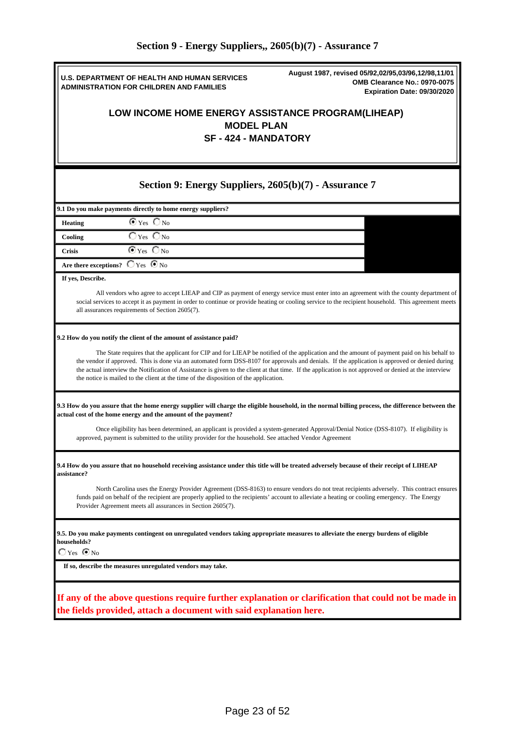<span id="page-22-0"></span>

|                                             | <b>U.S. DEPARTMENT OF HEALTH AND HUMAN SERVICES</b><br>ADMINISTRATION FOR CHILDREN AND FAMILIES                                                                                                                                                                                                                                                                                                                                                                                                                                                                                                                                                                                                                                        | August 1987, revised 05/92,02/95,03/96,12/98,11/01<br>OMB Clearance No.: 0970-0075<br>Expiration Date: 09/30/2020 |
|---------------------------------------------|----------------------------------------------------------------------------------------------------------------------------------------------------------------------------------------------------------------------------------------------------------------------------------------------------------------------------------------------------------------------------------------------------------------------------------------------------------------------------------------------------------------------------------------------------------------------------------------------------------------------------------------------------------------------------------------------------------------------------------------|-------------------------------------------------------------------------------------------------------------------|
|                                             | LOW INCOME HOME ENERGY ASSISTANCE PROGRAM(LIHEAP)<br><b>MODEL PLAN</b><br><b>SF-424-MANDATORY</b>                                                                                                                                                                                                                                                                                                                                                                                                                                                                                                                                                                                                                                      |                                                                                                                   |
|                                             |                                                                                                                                                                                                                                                                                                                                                                                                                                                                                                                                                                                                                                                                                                                                        |                                                                                                                   |
|                                             | Section 9: Energy Suppliers, 2605(b)(7) - Assurance 7                                                                                                                                                                                                                                                                                                                                                                                                                                                                                                                                                                                                                                                                                  |                                                                                                                   |
|                                             | 9.1 Do you make payments directly to home energy suppliers?                                                                                                                                                                                                                                                                                                                                                                                                                                                                                                                                                                                                                                                                            |                                                                                                                   |
| Heating                                     | $\odot$ Yes $\bigcirc$ No                                                                                                                                                                                                                                                                                                                                                                                                                                                                                                                                                                                                                                                                                                              |                                                                                                                   |
| Cooling                                     | $C_{\text{Yes}} C_{\text{No}}$                                                                                                                                                                                                                                                                                                                                                                                                                                                                                                                                                                                                                                                                                                         |                                                                                                                   |
| <b>Crisis</b>                               | $\odot$ Yes $\odot$ No                                                                                                                                                                                                                                                                                                                                                                                                                                                                                                                                                                                                                                                                                                                 |                                                                                                                   |
|                                             | Are there exceptions? $\quad \bullet$ Yes $\ \bullet$ No                                                                                                                                                                                                                                                                                                                                                                                                                                                                                                                                                                                                                                                                               |                                                                                                                   |
| If yes, Describe.                           |                                                                                                                                                                                                                                                                                                                                                                                                                                                                                                                                                                                                                                                                                                                                        |                                                                                                                   |
|                                             | social services to accept it as payment in order to continue or provide heating or cooling service to the recipient household. This agreement meets<br>all assurances requirements of Section 2605(7).<br>9.2 How do you notify the client of the amount of assistance paid?<br>The State requires that the applicant for CIP and for LIEAP be notified of the application and the amount of payment paid on his behalf to<br>the vendor if approved. This is done via an automated form DSS-8107 for approvals and denials. If the application is approved or denied during<br>the actual interview the Notification of Assistance is given to the client at that time. If the application is not approved or denied at the interview |                                                                                                                   |
|                                             | the notice is mailed to the client at the time of the disposition of the application.<br>9.3 How do you assure that the home energy supplier will charge the eligible household, in the normal billing process, the difference between the<br>actual cost of the home energy and the amount of the payment?<br>Once eligibility has been determined, an applicant is provided a system-generated Approval/Denial Notice (DSS-8107). If eligibility is<br>approved, payment is submitted to the utility provider for the household. See attached Vendor Agreement                                                                                                                                                                       |                                                                                                                   |
| assistance?                                 | 9.4 How do you assure that no household receiving assistance under this title will be treated adversely because of their receipt of LIHEAP                                                                                                                                                                                                                                                                                                                                                                                                                                                                                                                                                                                             |                                                                                                                   |
|                                             | North Carolina uses the Energy Provider Agreement (DSS-8163) to ensure vendors do not treat recipients adversely. This contract ensures<br>funds paid on behalf of the recipient are properly applied to the recipients' account to alleviate a heating or cooling emergency. The Energy<br>Provider Agreement meets all assurances in Section 2605(7).                                                                                                                                                                                                                                                                                                                                                                                |                                                                                                                   |
| households?<br>$\bigcirc$ Yes $\bigcirc$ No | 9.5. Do you make payments contingent on unregulated vendors taking appropriate measures to alleviate the energy burdens of eligible                                                                                                                                                                                                                                                                                                                                                                                                                                                                                                                                                                                                    |                                                                                                                   |
|                                             | If so, describe the measures unregulated vendors may take.                                                                                                                                                                                                                                                                                                                                                                                                                                                                                                                                                                                                                                                                             |                                                                                                                   |
|                                             | If any of the above questions require further explanation or clarification that could not be made in<br>the fields provided, attach a document with said explanation here.                                                                                                                                                                                                                                                                                                                                                                                                                                                                                                                                                             |                                                                                                                   |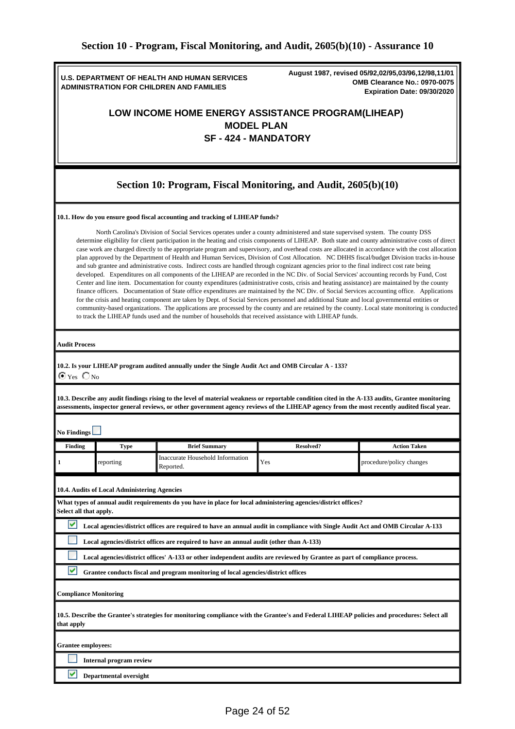<span id="page-23-0"></span>

|                                                                                                                                                           |                                                                                                                                                                                                                                                                                                 | <b>U.S. DEPARTMENT OF HEALTH AND HUMAN SERVICES</b><br><b>ADMINISTRATION FOR CHILDREN AND FAMILIES</b>                                                                                                                                                                                                                                                                                                                                                                                                                                                                                                                                                                                                                                                                                                                                                                                                                                                                                                                                                                                                                                                                                                                                                                                                                                                                                                                                                                                                                                                                                              |                  | August 1987, revised 05/92,02/95,03/96,12/98,11/01<br><b>OMB Clearance No.: 0970-0075</b><br>Expiration Date: 09/30/2020 |  |
|-----------------------------------------------------------------------------------------------------------------------------------------------------------|-------------------------------------------------------------------------------------------------------------------------------------------------------------------------------------------------------------------------------------------------------------------------------------------------|-----------------------------------------------------------------------------------------------------------------------------------------------------------------------------------------------------------------------------------------------------------------------------------------------------------------------------------------------------------------------------------------------------------------------------------------------------------------------------------------------------------------------------------------------------------------------------------------------------------------------------------------------------------------------------------------------------------------------------------------------------------------------------------------------------------------------------------------------------------------------------------------------------------------------------------------------------------------------------------------------------------------------------------------------------------------------------------------------------------------------------------------------------------------------------------------------------------------------------------------------------------------------------------------------------------------------------------------------------------------------------------------------------------------------------------------------------------------------------------------------------------------------------------------------------------------------------------------------------|------------------|--------------------------------------------------------------------------------------------------------------------------|--|
|                                                                                                                                                           | LOW INCOME HOME ENERGY ASSISTANCE PROGRAM(LIHEAP)<br><b>MODEL PLAN</b><br><b>SF-424-MANDATORY</b>                                                                                                                                                                                               |                                                                                                                                                                                                                                                                                                                                                                                                                                                                                                                                                                                                                                                                                                                                                                                                                                                                                                                                                                                                                                                                                                                                                                                                                                                                                                                                                                                                                                                                                                                                                                                                     |                  |                                                                                                                          |  |
|                                                                                                                                                           | Section 10: Program, Fiscal Monitoring, and Audit, 2605(b)(10)                                                                                                                                                                                                                                  |                                                                                                                                                                                                                                                                                                                                                                                                                                                                                                                                                                                                                                                                                                                                                                                                                                                                                                                                                                                                                                                                                                                                                                                                                                                                                                                                                                                                                                                                                                                                                                                                     |                  |                                                                                                                          |  |
|                                                                                                                                                           |                                                                                                                                                                                                                                                                                                 | 10.1. How do you ensure good fiscal accounting and tracking of LIHEAP funds?                                                                                                                                                                                                                                                                                                                                                                                                                                                                                                                                                                                                                                                                                                                                                                                                                                                                                                                                                                                                                                                                                                                                                                                                                                                                                                                                                                                                                                                                                                                        |                  |                                                                                                                          |  |
|                                                                                                                                                           |                                                                                                                                                                                                                                                                                                 | North Carolina's Division of Social Services operates under a county administered and state supervised system. The county DSS<br>determine eligibility for client participation in the heating and crisis components of LIHEAP. Both state and county administrative costs of direct<br>case work are charged directly to the appropriate program and supervisory, and overhead costs are allocated in accordance with the cost allocation<br>plan approved by the Department of Health and Human Services, Division of Cost Allocation. NC DHHS fiscal/budget Division tracks in-house<br>and sub grantee and administrative costs. Indirect costs are handled through cognizant agencies prior to the final indirect cost rate being<br>developed. Expenditures on all components of the LIHEAP are recorded in the NC Div. of Social Services' accounting records by Fund, Cost<br>Center and line item. Documentation for county expenditures (administrative costs, crisis and heating assistance) are maintained by the county<br>finance officers. Documentation of State office expenditures are maintained by the NC Div. of Social Services accounting office. Applications<br>for the crisis and heating component are taken by Dept. of Social Services personnel and additional State and local governmental entities or<br>community-based organizations. The applications are processed by the county and are retained by the county. Local state monitoring is conducted<br>to track the LIHEAP funds used and the number of households that received assistance with LIHEAP funds. |                  |                                                                                                                          |  |
| <b>Audit Process</b>                                                                                                                                      |                                                                                                                                                                                                                                                                                                 |                                                                                                                                                                                                                                                                                                                                                                                                                                                                                                                                                                                                                                                                                                                                                                                                                                                                                                                                                                                                                                                                                                                                                                                                                                                                                                                                                                                                                                                                                                                                                                                                     |                  |                                                                                                                          |  |
|                                                                                                                                                           | 10.2. Is your LIHEAP program audited annually under the Single Audit Act and OMB Circular A - 133?<br>$\odot$ Yes $\odot$ No                                                                                                                                                                    |                                                                                                                                                                                                                                                                                                                                                                                                                                                                                                                                                                                                                                                                                                                                                                                                                                                                                                                                                                                                                                                                                                                                                                                                                                                                                                                                                                                                                                                                                                                                                                                                     |                  |                                                                                                                          |  |
|                                                                                                                                                           | 10.3. Describe any audit findings rising to the level of material weakness or reportable condition cited in the A-133 audits, Grantee monitoring<br>assessments, inspector general reviews, or other government agency reviews of the LIHEAP agency from the most recently audited fiscal year. |                                                                                                                                                                                                                                                                                                                                                                                                                                                                                                                                                                                                                                                                                                                                                                                                                                                                                                                                                                                                                                                                                                                                                                                                                                                                                                                                                                                                                                                                                                                                                                                                     |                  |                                                                                                                          |  |
| <b>No Findings</b>                                                                                                                                        |                                                                                                                                                                                                                                                                                                 |                                                                                                                                                                                                                                                                                                                                                                                                                                                                                                                                                                                                                                                                                                                                                                                                                                                                                                                                                                                                                                                                                                                                                                                                                                                                                                                                                                                                                                                                                                                                                                                                     |                  |                                                                                                                          |  |
| <b>Finding</b>                                                                                                                                            | Type                                                                                                                                                                                                                                                                                            | <b>Brief Summary</b><br>Inaccurate Household Information                                                                                                                                                                                                                                                                                                                                                                                                                                                                                                                                                                                                                                                                                                                                                                                                                                                                                                                                                                                                                                                                                                                                                                                                                                                                                                                                                                                                                                                                                                                                            | <b>Resolved?</b> | <b>Action Taken</b>                                                                                                      |  |
| 1                                                                                                                                                         | reporting                                                                                                                                                                                                                                                                                       | Reported.                                                                                                                                                                                                                                                                                                                                                                                                                                                                                                                                                                                                                                                                                                                                                                                                                                                                                                                                                                                                                                                                                                                                                                                                                                                                                                                                                                                                                                                                                                                                                                                           | Yes              | procedure/policy changes                                                                                                 |  |
|                                                                                                                                                           | 10.4. Audits of Local Administering Agencies                                                                                                                                                                                                                                                    |                                                                                                                                                                                                                                                                                                                                                                                                                                                                                                                                                                                                                                                                                                                                                                                                                                                                                                                                                                                                                                                                                                                                                                                                                                                                                                                                                                                                                                                                                                                                                                                                     |                  |                                                                                                                          |  |
| Select all that apply.                                                                                                                                    |                                                                                                                                                                                                                                                                                                 | What types of annual audit requirements do you have in place for local administering agencies/district offices?                                                                                                                                                                                                                                                                                                                                                                                                                                                                                                                                                                                                                                                                                                                                                                                                                                                                                                                                                                                                                                                                                                                                                                                                                                                                                                                                                                                                                                                                                     |                  |                                                                                                                          |  |
| V                                                                                                                                                         |                                                                                                                                                                                                                                                                                                 | Local agencies/district offices are required to have an annual audit in compliance with Single Audit Act and OMB Circular A-133                                                                                                                                                                                                                                                                                                                                                                                                                                                                                                                                                                                                                                                                                                                                                                                                                                                                                                                                                                                                                                                                                                                                                                                                                                                                                                                                                                                                                                                                     |                  |                                                                                                                          |  |
|                                                                                                                                                           |                                                                                                                                                                                                                                                                                                 | Local agencies/district offices are required to have an annual audit (other than A-133)                                                                                                                                                                                                                                                                                                                                                                                                                                                                                                                                                                                                                                                                                                                                                                                                                                                                                                                                                                                                                                                                                                                                                                                                                                                                                                                                                                                                                                                                                                             |                  |                                                                                                                          |  |
| Local agencies/district offices' A-133 or other independent audits are reviewed by Grantee as part of compliance process.                                 |                                                                                                                                                                                                                                                                                                 |                                                                                                                                                                                                                                                                                                                                                                                                                                                                                                                                                                                                                                                                                                                                                                                                                                                                                                                                                                                                                                                                                                                                                                                                                                                                                                                                                                                                                                                                                                                                                                                                     |                  |                                                                                                                          |  |
| v<br>Grantee conducts fiscal and program monitoring of local agencies/district offices                                                                    |                                                                                                                                                                                                                                                                                                 |                                                                                                                                                                                                                                                                                                                                                                                                                                                                                                                                                                                                                                                                                                                                                                                                                                                                                                                                                                                                                                                                                                                                                                                                                                                                                                                                                                                                                                                                                                                                                                                                     |                  |                                                                                                                          |  |
| <b>Compliance Monitoring</b>                                                                                                                              |                                                                                                                                                                                                                                                                                                 |                                                                                                                                                                                                                                                                                                                                                                                                                                                                                                                                                                                                                                                                                                                                                                                                                                                                                                                                                                                                                                                                                                                                                                                                                                                                                                                                                                                                                                                                                                                                                                                                     |                  |                                                                                                                          |  |
| 10.5. Describe the Grantee's strategies for monitoring compliance with the Grantee's and Federal LIHEAP policies and procedures: Select all<br>that apply |                                                                                                                                                                                                                                                                                                 |                                                                                                                                                                                                                                                                                                                                                                                                                                                                                                                                                                                                                                                                                                                                                                                                                                                                                                                                                                                                                                                                                                                                                                                                                                                                                                                                                                                                                                                                                                                                                                                                     |                  |                                                                                                                          |  |
| <b>Grantee employees:</b>                                                                                                                                 |                                                                                                                                                                                                                                                                                                 |                                                                                                                                                                                                                                                                                                                                                                                                                                                                                                                                                                                                                                                                                                                                                                                                                                                                                                                                                                                                                                                                                                                                                                                                                                                                                                                                                                                                                                                                                                                                                                                                     |                  |                                                                                                                          |  |
|                                                                                                                                                           | <b>Internal program review</b>                                                                                                                                                                                                                                                                  |                                                                                                                                                                                                                                                                                                                                                                                                                                                                                                                                                                                                                                                                                                                                                                                                                                                                                                                                                                                                                                                                                                                                                                                                                                                                                                                                                                                                                                                                                                                                                                                                     |                  |                                                                                                                          |  |
|                                                                                                                                                           | <b>Departmental oversight</b>                                                                                                                                                                                                                                                                   |                                                                                                                                                                                                                                                                                                                                                                                                                                                                                                                                                                                                                                                                                                                                                                                                                                                                                                                                                                                                                                                                                                                                                                                                                                                                                                                                                                                                                                                                                                                                                                                                     |                  |                                                                                                                          |  |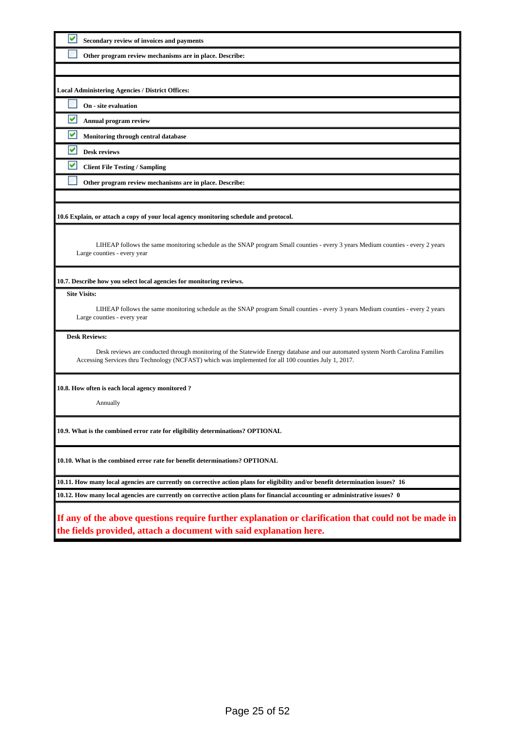| Secondary review of invoices and payments                                                                                                                                                                                               |
|-----------------------------------------------------------------------------------------------------------------------------------------------------------------------------------------------------------------------------------------|
| Other program review mechanisms are in place. Describe:                                                                                                                                                                                 |
|                                                                                                                                                                                                                                         |
| <b>Local Administering Agencies / District Offices:</b>                                                                                                                                                                                 |
| On - site evaluation                                                                                                                                                                                                                    |
| ᢦ<br>Annual program review                                                                                                                                                                                                              |
| v<br>Monitoring through central database                                                                                                                                                                                                |
| v<br><b>Desk reviews</b>                                                                                                                                                                                                                |
| M<br><b>Client File Testing / Sampling</b>                                                                                                                                                                                              |
| Other program review mechanisms are in place. Describe:                                                                                                                                                                                 |
|                                                                                                                                                                                                                                         |
| 10.6 Explain, or attach a copy of your local agency monitoring schedule and protocol.                                                                                                                                                   |
| LIHEAP follows the same monitoring schedule as the SNAP program Small counties - every 3 years Medium counties - every 2 years<br>Large counties - every year                                                                           |
| 10.7. Describe how you select local agencies for monitoring reviews.                                                                                                                                                                    |
| <b>Site Visits:</b>                                                                                                                                                                                                                     |
| LIHEAP follows the same monitoring schedule as the SNAP program Small counties - every 3 years Medium counties - every 2 years<br>Large counties - every year                                                                           |
| <b>Desk Reviews:</b>                                                                                                                                                                                                                    |
| Desk reviews are conducted through monitoring of the Statewide Energy database and our automated system North Carolina Families<br>Accessing Services thru Technology (NCFAST) which was implemented for all 100 counties July 1, 2017. |
| 10.8. How often is each local agency monitored?                                                                                                                                                                                         |
| Annually                                                                                                                                                                                                                                |
| 10.9. What is the combined error rate for eligibility determinations? OPTIONAL                                                                                                                                                          |
| 10.10. What is the combined error rate for benefit determinations? OPTIONAL                                                                                                                                                             |
| 10.11. How many local agencies are currently on corrective action plans for eligibility and/or benefit determination issues? 16                                                                                                         |
| 10.12. How many local agencies are currently on corrective action plans for financial accounting or administrative issues? 0                                                                                                            |
| If any of the above questions require further explanation or clarification that could not be made in<br>the fields provided, attach a document with said explanation here.                                                              |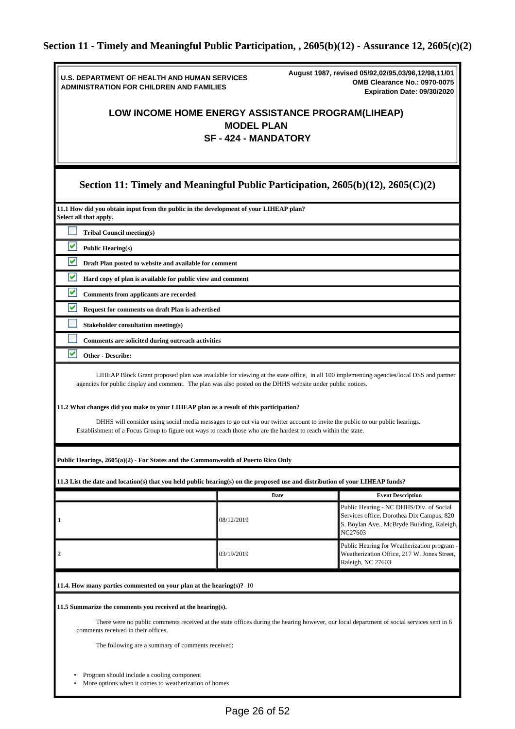<span id="page-25-0"></span>

| <b>U.S. DEPARTMENT OF HEALTH AND HUMAN SERVICES</b><br><b>ADMINISTRATION FOR CHILDREN AND FAMILIES</b>                                                                                                                                                                                                                                    | August 1987, revised 05/92,02/95,03/96,12/98,11/01<br><b>OMB Clearance No.: 0970-0075</b><br>Expiration Date: 09/30/2020                      |  |  |  |
|-------------------------------------------------------------------------------------------------------------------------------------------------------------------------------------------------------------------------------------------------------------------------------------------------------------------------------------------|-----------------------------------------------------------------------------------------------------------------------------------------------|--|--|--|
| LOW INCOME HOME ENERGY ASSISTANCE PROGRAM(LIHEAP)<br><b>MODEL PLAN</b><br><b>SF-424-MANDATORY</b>                                                                                                                                                                                                                                         |                                                                                                                                               |  |  |  |
| Section 11: Timely and Meaningful Public Participation, $2605(b)(12)$ , $2605(C)(2)$                                                                                                                                                                                                                                                      |                                                                                                                                               |  |  |  |
| 11.1 How did you obtain input from the public in the development of your LIHEAP plan?<br>Select all that apply.                                                                                                                                                                                                                           |                                                                                                                                               |  |  |  |
| <b>Tribal Council meeting(s)</b>                                                                                                                                                                                                                                                                                                          |                                                                                                                                               |  |  |  |
| v<br><b>Public Hearing(s)</b>                                                                                                                                                                                                                                                                                                             |                                                                                                                                               |  |  |  |
| v<br>Draft Plan posted to website and available for comment                                                                                                                                                                                                                                                                               |                                                                                                                                               |  |  |  |
| v<br>Hard copy of plan is available for public view and comment                                                                                                                                                                                                                                                                           |                                                                                                                                               |  |  |  |
| v<br>Comments from applicants are recorded                                                                                                                                                                                                                                                                                                |                                                                                                                                               |  |  |  |
| Request for comments on draft Plan is advertised                                                                                                                                                                                                                                                                                          |                                                                                                                                               |  |  |  |
| Stakeholder consultation meeting(s)                                                                                                                                                                                                                                                                                                       |                                                                                                                                               |  |  |  |
| Comments are solicited during outreach activities                                                                                                                                                                                                                                                                                         |                                                                                                                                               |  |  |  |
| v<br><b>Other - Describe:</b>                                                                                                                                                                                                                                                                                                             |                                                                                                                                               |  |  |  |
| LIHEAP Block Grant proposed plan was available for viewing at the state office, in all 100 implementing agencies/local DSS and partner<br>agencies for public display and comment. The plan was also posted on the DHHS website under public notices.                                                                                     |                                                                                                                                               |  |  |  |
| 11.2 What changes did you make to your LIHEAP plan as a result of this participation?<br>DHHS will consider using social media messages to go out via our twitter account to invite the public to our public hearings.<br>Establishment of a Focus Group to figure out ways to reach those who are the hardest to reach within the state. |                                                                                                                                               |  |  |  |
|                                                                                                                                                                                                                                                                                                                                           |                                                                                                                                               |  |  |  |
| Public Hearings, 2605(a)(2) - For States and the Commonwealth of Puerto Rico Only                                                                                                                                                                                                                                                         |                                                                                                                                               |  |  |  |
| 11.3 List the date and location(s) that you held public hearing(s) on the proposed use and distribution of your LIHEAP funds?                                                                                                                                                                                                             |                                                                                                                                               |  |  |  |
|                                                                                                                                                                                                                                                                                                                                           | Date<br><b>Event Description</b>                                                                                                              |  |  |  |
| 08/12/2019<br>1                                                                                                                                                                                                                                                                                                                           | Public Hearing - NC DHHS/Div. of Social<br>Services office, Dorothea Dix Campus, 820<br>S. Boylan Ave., McBryde Building, Raleigh,<br>NC27603 |  |  |  |
| Public Hearing for Weatherization program -<br>03/19/2019<br>Weatherization Office, 217 W. Jones Street,<br>Raleigh, NC 27603                                                                                                                                                                                                             |                                                                                                                                               |  |  |  |
| 11.4. How many parties commented on your plan at the hearing(s)? $10$                                                                                                                                                                                                                                                                     |                                                                                                                                               |  |  |  |
| 11.5 Summarize the comments you received at the hearing(s).                                                                                                                                                                                                                                                                               |                                                                                                                                               |  |  |  |
| There were no public comments received at the state offices during the hearing however, our local department of social services sent in 6<br>comments received in their offices.                                                                                                                                                          |                                                                                                                                               |  |  |  |
| The following are a summary of comments received:                                                                                                                                                                                                                                                                                         |                                                                                                                                               |  |  |  |
| Program should include a cooling component<br>More options when it comes to weatherization of homes                                                                                                                                                                                                                                       |                                                                                                                                               |  |  |  |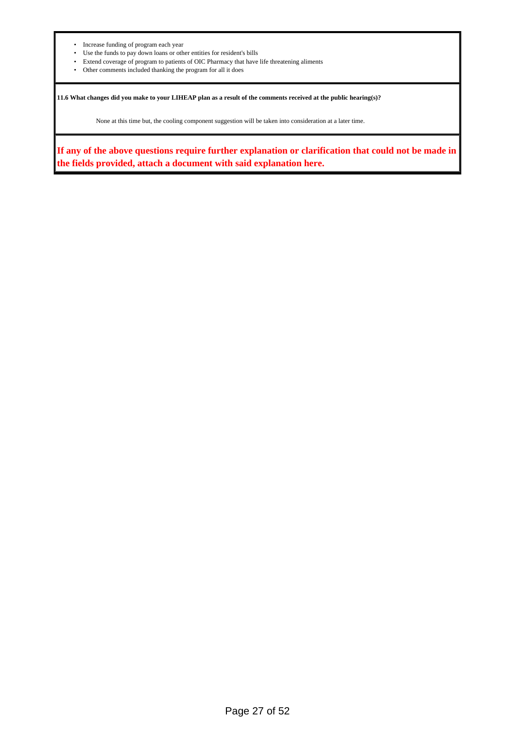- Increase funding of program each year<br>• Use the funds to pay down loans or oth
- Use the funds to pay down loans or other entities for resident's bills
- Extend coverage of program to patients of OIC Pharmacy that have life threatening aliments
- Other comments included thanking the program for all it does

**11.6 What changes did you make to your LIHEAP plan as a result of the comments received at the public hearing(s)?**

None at this time but, the cooling component suggestion will be taken into consideration at a later time.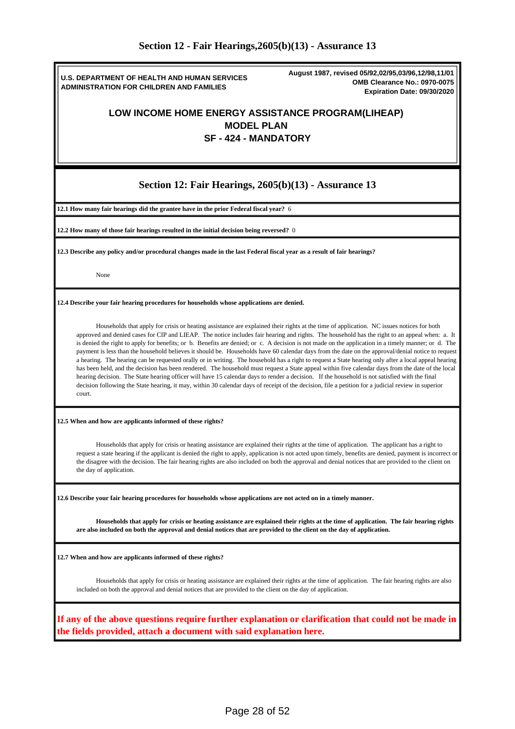**U.S. DEPARTMENT OF HEALTH AND HUMAN SERVICES ADMINISTRATION FOR CHILDREN AND FAMILIES**

**August 1987, revised 05/92,02/95,03/96,12/98,11/01 OMB Clearance No.: 0970-0075 Expiration Date: 09/30/2020**

## <span id="page-27-0"></span>**LOW INCOME HOME ENERGY ASSISTANCE PROGRAM(LIHEAP) MODEL PLAN SF - 424 - MANDATORY**

#### **Section 12: Fair Hearings, 2605(b)(13) - Assurance 13**

**12.1 How many fair hearings did the grantee have in the prior Federal fiscal year?** 6

**12.2 How many of those fair hearings resulted in the initial decision being reversed?** 0

**12.3 Describe any policy and/or procedural changes made in the last Federal fiscal year as a result of fair hearings?**

None

**12.4 Describe your fair hearing procedures for households whose applications are denied.**

Households that apply for crisis or heating assistance are explained their rights at the time of application. NC issues notices for both approved and denied cases for CIP and LIEAP. The notice includes fair hearing and rights. The household has the right to an appeal when: a. It is denied the right to apply for benefits; or b. Benefits are denied; or c. A decision is not made on the application in a timely manner; or d. The payment is less than the household believes it should be. Households have 60 calendar days from the date on the approval/denial notice to request a hearing. The hearing can be requested orally or in writing. The household has a right to request a State hearing only after a local appeal hearing has been held, and the decision has been rendered. The household must request a State appeal within five calendar days from the date of the local hearing decision. The State hearing officer will have 15 calendar days to render a decision. If the household is not satisfied with the final decision following the State hearing, it may, within 30 calendar days of receipt of the decision, file a petition for a judicial review in superior court.

**12.5 When and how are applicants informed of these rights?**

Households that apply for crisis or heating assistance are explained their rights at the time of application. The applicant has a right to request a state hearing if the applicant is denied the right to apply, application is not acted upon timely, benefits are denied, payment is incorrect or the disagree with the decision. The fair hearing rights are also included on both the approval and denial notices that are provided to the client on the day of application.

**12.6 Describe your fair hearing procedures for households whose applications are not acted on in a timely manner.**

**Households that apply for crisis or heating assistance are explained their rights at the time of application. The fair hearing rights are also included on both the approval and denial notices that are provided to the client on the day of application.**

**12.7 When and how are applicants informed of these rights?**

Households that apply for crisis or heating assistance are explained their rights at the time of application. The fair hearing rights are also included on both the approval and denial notices that are provided to the client on the day of application.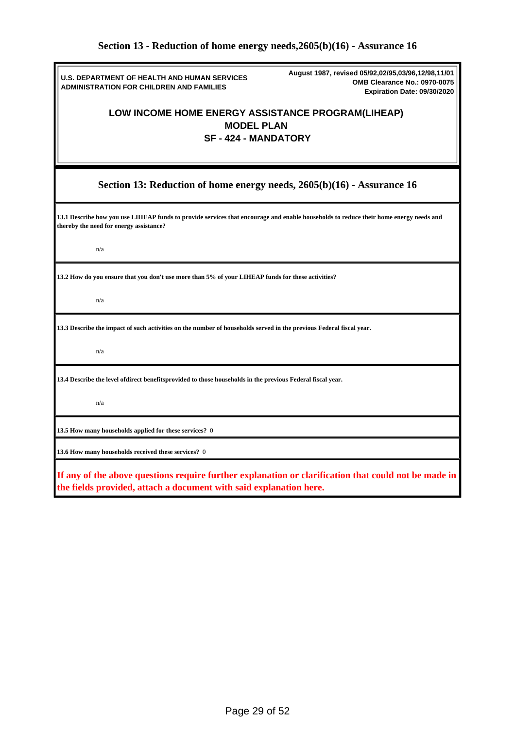<span id="page-28-0"></span>

| August 1987, revised 05/92,02/95,03/96,12/98,11/01<br><b>U.S. DEPARTMENT OF HEALTH AND HUMAN SERVICES</b><br>OMB Clearance No.: 0970-0075<br><b>ADMINISTRATION FOR CHILDREN AND FAMILIES</b><br>Expiration Date: 09/30/2020 |
|-----------------------------------------------------------------------------------------------------------------------------------------------------------------------------------------------------------------------------|
| LOW INCOME HOME ENERGY ASSISTANCE PROGRAM(LIHEAP)<br><b>MODEL PLAN</b><br><b>SF-424-MANDATORY</b>                                                                                                                           |
| Section 13: Reduction of home energy needs, 2605(b)(16) - Assurance 16                                                                                                                                                      |
| 13.1 Describe how you use LIHEAP funds to provide services that encourage and enable households to reduce their home energy needs and<br>thereby the need for energy assistance?                                            |
| n/a                                                                                                                                                                                                                         |
| 13.2 How do you ensure that you don't use more than 5% of your LIHEAP funds for these activities?                                                                                                                           |
| n/a                                                                                                                                                                                                                         |
| 13.3 Describe the impact of such activities on the number of households served in the previous Federal fiscal year.                                                                                                         |
| n/a                                                                                                                                                                                                                         |
| 13.4 Describe the level of direct benefits provided to those households in the previous Federal fiscal year.                                                                                                                |
| n/a                                                                                                                                                                                                                         |
| 13.5 How many households applied for these services? 0                                                                                                                                                                      |
| 13.6 How many households received these services? 0                                                                                                                                                                         |
| If any of the above questions require further explanation or clarification that could not be made in<br>the fields provided, attach a document with said explanation here.                                                  |

Page 29 of 52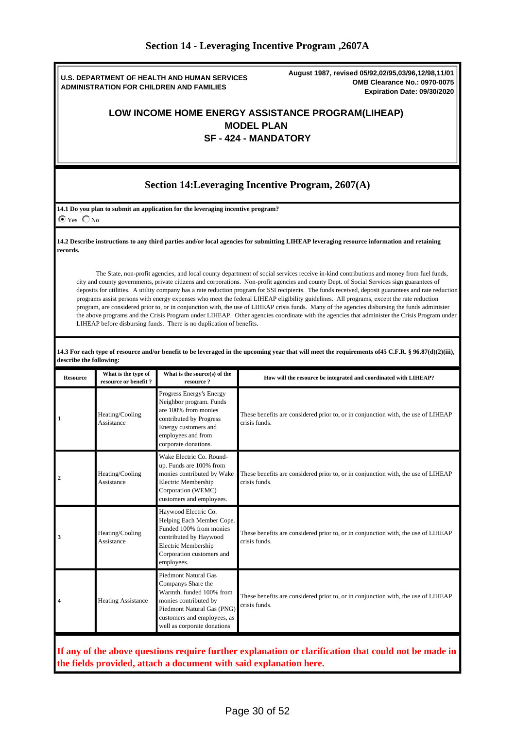**U.S. DEPARTMENT OF HEALTH AND HUMAN SERVICES ADMINISTRATION FOR CHILDREN AND FAMILIES**

**August 1987, revised 05/92,02/95,03/96,12/98,11/01 OMB Clearance No.: 0970-0075 Expiration Date: 09/30/2020**

## <span id="page-29-0"></span>**LOW INCOME HOME ENERGY ASSISTANCE PROGRAM(LIHEAP) MODEL PLAN SF - 424 - MANDATORY**

## **Section 14:Leveraging Incentive Program, 2607(A)**

**14.1 Do you plan to submit an application for the leveraging incentive program?**   $\odot$  Yes  $\odot$  No

**14.2 Describe instructions to any third parties and/or local agencies for submitting LIHEAP leveraging resource information and retaining records.** 

The State, non-profit agencies, and local county department of social services receive in-kind contributions and money from fuel funds, city and county governments, private citizens and corporations. Non-profit agencies and county Dept. of Social Services sign guarantees of deposits for utilities. A utility company has a rate reduction program for SSI recipients. The funds received, deposit guarantees and rate reduction programs assist persons with energy expenses who meet the federal LIHEAP eligibility guidelines. All programs, except the rate reduction program, are considered prior to, or in conjunction with, the use of LIHEAP crisis funds. Many of the agencies disbursing the funds administer the above programs and the Crisis Program under LIHEAP. Other agencies coordinate with the agencies that administer the Crisis Program under LIHEAP before disbursing funds. There is no duplication of benefits.

**14.3 For each type of resource and/or benefit to be leveraged in the upcoming year that will meet the requirements of45 C.F.R. § 96.87(d)(2)(iii), describe the following:** 

| <b>Resource</b>         | What is the type of<br>resource or benefit? | What is the source(s) of the<br>resource?                                                                                                                                                   | How will the resource be integrated and coordinated with LIHEAP?                                   |
|-------------------------|---------------------------------------------|---------------------------------------------------------------------------------------------------------------------------------------------------------------------------------------------|----------------------------------------------------------------------------------------------------|
| 1                       | Heating/Cooling<br>Assistance               | Progress Energy's Energy<br>Neighbor program. Funds<br>are 100% from monies<br>contributed by Progress<br>Energy customers and<br>employees and from<br>corporate donations.                | These benefits are considered prior to, or in conjunction with, the use of LIHEAP<br>crisis funds. |
| $\overline{2}$          | Heating/Cooling<br>Assistance               | Wake Electric Co. Round-<br>up. Funds are 100% from<br>monies contributed by Wake<br>Electric Membership<br>Corporation (WEMC)<br>customers and employees.                                  | These benefits are considered prior to, or in conjunction with, the use of LIHEAP<br>crisis funds. |
| 3                       | Heating/Cooling<br>Assistance               | Haywood Electric Co.<br>Helping Each Member Cope.<br>Funded 100% from monies<br>contributed by Haywood<br>Electric Membership<br>Corporation customers and<br>employees.                    | These benefits are considered prior to, or in conjunction with, the use of LIHEAP<br>crisis funds. |
| $\overline{\mathbf{4}}$ | <b>Heating Assistance</b>                   | Piedmont Natural Gas<br>Companys Share the<br>Warmth, funded 100% from<br>monies contributed by<br>Piedmont Natural Gas (PNG)<br>customers and employees, as<br>well as corporate donations | These benefits are considered prior to, or in conjunction with, the use of LIHEAP<br>crisis funds. |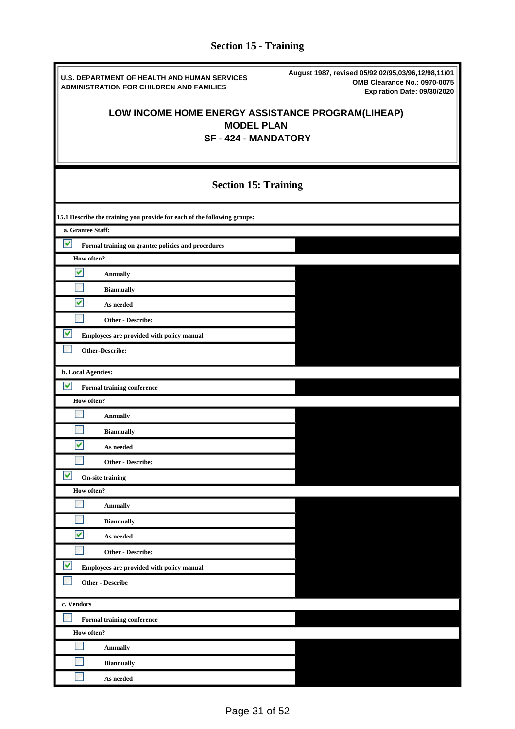<span id="page-30-0"></span>

| U.S. DEPARTMENT OF HEALTH AND HUMAN SERVICES<br><b>ADMINISTRATION FOR CHILDREN AND FAMILIES</b> | August 1987, revised 05/92,02/95,03/96,12/98,11/01<br>OMB Clearance No.: 0970-0075<br>Expiration Date: 09/30/2020 |  |  |  |
|-------------------------------------------------------------------------------------------------|-------------------------------------------------------------------------------------------------------------------|--|--|--|
| LOW INCOME HOME ENERGY ASSISTANCE PROGRAM(LIHEAP)<br><b>MODEL PLAN</b><br>SF-424-MANDATORY      |                                                                                                                   |  |  |  |
| <b>Section 15: Training</b>                                                                     |                                                                                                                   |  |  |  |
| 15.1 Describe the training you provide for each of the following groups:                        |                                                                                                                   |  |  |  |
| a. Grantee Staff:                                                                               |                                                                                                                   |  |  |  |
| M<br>Formal training on grantee policies and procedures                                         |                                                                                                                   |  |  |  |
| How often?                                                                                      |                                                                                                                   |  |  |  |
| M<br><b>Annually</b>                                                                            |                                                                                                                   |  |  |  |
| <b>Biannually</b>                                                                               |                                                                                                                   |  |  |  |
| ▽<br>As needed                                                                                  |                                                                                                                   |  |  |  |
| Other - Describe:                                                                               |                                                                                                                   |  |  |  |
| M<br>Employees are provided with policy manual                                                  |                                                                                                                   |  |  |  |
| <b>Other-Describe:</b>                                                                          |                                                                                                                   |  |  |  |
| b. Local Agencies:                                                                              |                                                                                                                   |  |  |  |
| M<br>Formal training conference                                                                 |                                                                                                                   |  |  |  |
| How often?                                                                                      |                                                                                                                   |  |  |  |
| <b>Annually</b>                                                                                 |                                                                                                                   |  |  |  |
| <b>Biannually</b>                                                                               |                                                                                                                   |  |  |  |
| ⊻<br>As needed                                                                                  |                                                                                                                   |  |  |  |
| Other - Describe:                                                                               |                                                                                                                   |  |  |  |
| ⊻<br><b>On-site training</b>                                                                    |                                                                                                                   |  |  |  |
| How often?                                                                                      |                                                                                                                   |  |  |  |
| <b>Annually</b>                                                                                 |                                                                                                                   |  |  |  |
| <b>Biannually</b>                                                                               |                                                                                                                   |  |  |  |
| M<br>As needed                                                                                  |                                                                                                                   |  |  |  |
| <b>Other - Describe:</b>                                                                        |                                                                                                                   |  |  |  |
| M<br>Employees are provided with policy manual                                                  |                                                                                                                   |  |  |  |
| <b>Other - Describe</b>                                                                         |                                                                                                                   |  |  |  |
| c. Vendors                                                                                      |                                                                                                                   |  |  |  |
| Formal training conference                                                                      |                                                                                                                   |  |  |  |
| How often?                                                                                      |                                                                                                                   |  |  |  |
| <b>Annually</b>                                                                                 |                                                                                                                   |  |  |  |
| <b>Biannually</b>                                                                               |                                                                                                                   |  |  |  |
| As needed                                                                                       |                                                                                                                   |  |  |  |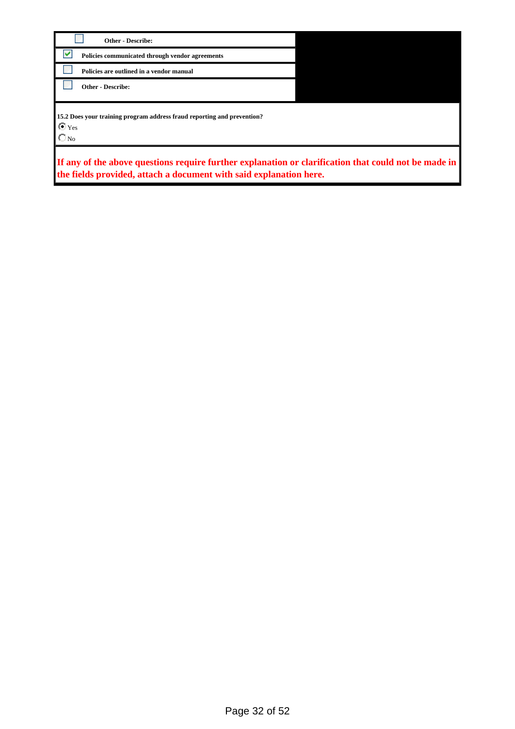| <b>Other - Describe:</b>                                                                 |  |
|------------------------------------------------------------------------------------------|--|
| Policies communicated through vendor agreements                                          |  |
| Policies are outlined in a vendor manual                                                 |  |
| <b>Other - Describe:</b>                                                                 |  |
|                                                                                          |  |
| 15.2 Does your training program address fraud reporting and prevention?<br>$\bullet$ Yes |  |
| $\bigcirc$ No                                                                            |  |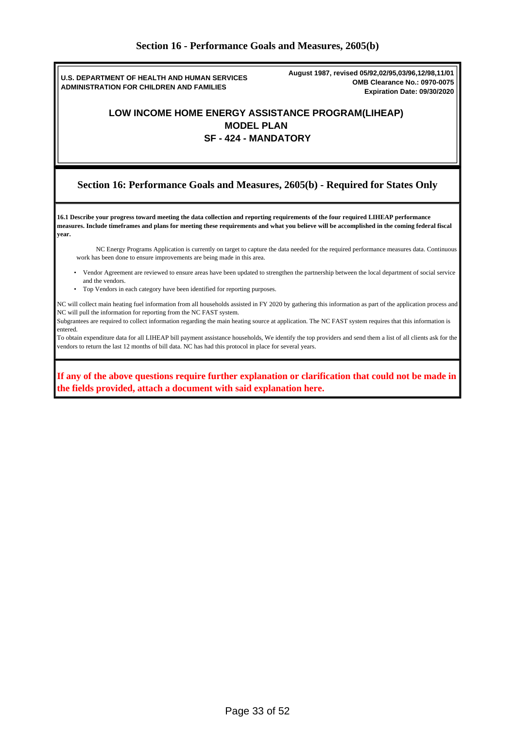**U.S. DEPARTMENT OF HEALTH AND HUMAN SERVICES ADMINISTRATION FOR CHILDREN AND FAMILIES**

**August 1987, revised 05/92,02/95,03/96,12/98,11/01 OMB Clearance No.: 0970-0075 Expiration Date: 09/30/2020**

#### <span id="page-32-0"></span>**LOW INCOME HOME ENERGY ASSISTANCE PROGRAM(LIHEAP) MODEL PLAN SF - 424 - MANDATORY**

#### **Section 16: Performance Goals and Measures, 2605(b) - Required for States Only**

**16.1 Describe your progress toward meeting the data collection and reporting requirements of the four required LIHEAP performance measures. Include timeframes and plans for meeting these requirements and what you believe will be accomplished in the coming federal fiscal year.**

NC Energy Programs Application is currently on target to capture the data needed for the required performance measures data. Continuous work has been done to ensure improvements are being made in this area.

- Vendor Agreement are reviewed to ensure areas have been updated to strengthen the partnership between the local department of social service and the vendors. •
- Top Vendors in each category have been identified for reporting purposes.

NC will collect main heating fuel information from all households assisted in FY 2020 by gathering this information as part of the application process and NC will pull the information for reporting from the NC FAST system.

Subgrantees are required to collect information regarding the main heating source at application. The NC FAST system requires that this information is entered.

To obtain expenditure data for all LIHEAP bill payment assistance households, We identify the top providers and send them a list of all clients ask for the vendors to return the last 12 months of bill data. NC has had this protocol in place for several years.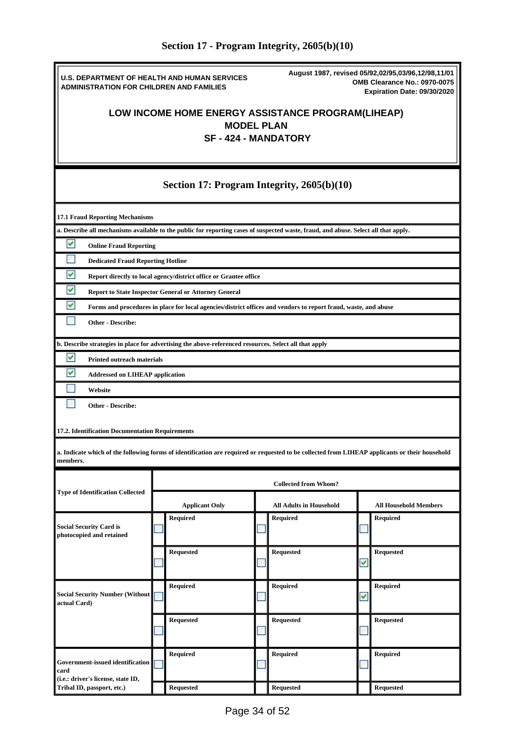<span id="page-33-0"></span>

|                                                 | <b>U.S. DEPARTMENT OF HEALTH AND HUMAN SERVICES</b>                                                                                            |                                | August 1987, revised 05/92,02/95,03/96,12/98,11/01 |  |  |  |
|-------------------------------------------------|------------------------------------------------------------------------------------------------------------------------------------------------|--------------------------------|----------------------------------------------------|--|--|--|
|                                                 | <b>OMB Clearance No.: 0970-0075</b><br><b>ADMINISTRATION FOR CHILDREN AND FAMILIES</b><br>Expiration Date: 09/30/2020                          |                                |                                                    |  |  |  |
|                                                 |                                                                                                                                                |                                |                                                    |  |  |  |
|                                                 | LOW INCOME HOME ENERGY ASSISTANCE PROGRAM(LIHEAP)                                                                                              |                                |                                                    |  |  |  |
|                                                 |                                                                                                                                                | <b>MODEL PLAN</b>              |                                                    |  |  |  |
|                                                 |                                                                                                                                                | <b>SF-424-MANDATORY</b>        |                                                    |  |  |  |
|                                                 |                                                                                                                                                |                                |                                                    |  |  |  |
|                                                 | Section 17: Program Integrity, 2605(b)(10)                                                                                                     |                                |                                                    |  |  |  |
| 17.1 Fraud Reporting Mechanisms                 |                                                                                                                                                |                                |                                                    |  |  |  |
|                                                 | a. Describe all mechanisms available to the public for reporting cases of suspected waste, fraud, and abuse. Select all that apply.            |                                |                                                    |  |  |  |
| ⊽<br><b>Online Fraud Reporting</b>              |                                                                                                                                                |                                |                                                    |  |  |  |
| <b>Dedicated Fraud Reporting Hotline</b>        |                                                                                                                                                |                                |                                                    |  |  |  |
| ⊻                                               | Report directly to local agency/district office or Grantee office                                                                              |                                |                                                    |  |  |  |
| M                                               | <b>Report to State Inspector General or Attorney General</b>                                                                                   |                                |                                                    |  |  |  |
| ⊻                                               | Forms and procedures in place for local agencies/district offices and vendors to report fraud, waste, and abuse                                |                                |                                                    |  |  |  |
| <b>Other - Describe:</b>                        |                                                                                                                                                |                                |                                                    |  |  |  |
|                                                 |                                                                                                                                                |                                |                                                    |  |  |  |
|                                                 | b. Describe strategies in place for advertising the above-referenced resources. Select all that apply                                          |                                |                                                    |  |  |  |
| M<br><b>Printed outreach materials</b>          |                                                                                                                                                |                                |                                                    |  |  |  |
| ⊻<br><b>Addressed on LIHEAP application</b>     |                                                                                                                                                |                                |                                                    |  |  |  |
| Website                                         |                                                                                                                                                |                                |                                                    |  |  |  |
| <b>Other - Describe:</b>                        |                                                                                                                                                |                                |                                                    |  |  |  |
|                                                 |                                                                                                                                                |                                |                                                    |  |  |  |
| 17.2. Identification Documentation Requirements |                                                                                                                                                |                                |                                                    |  |  |  |
| members.                                        | a. Indicate which of the following forms of identification are required or requested to be collected from LIHEAP applicants or their household |                                |                                                    |  |  |  |
|                                                 |                                                                                                                                                |                                |                                                    |  |  |  |
| <b>Type of Identification Collected</b>         |                                                                                                                                                | <b>Collected from Whom?</b>    |                                                    |  |  |  |
|                                                 | <b>Applicant Only</b>                                                                                                                          | <b>All Adults in Household</b> | <b>All Household Members</b>                       |  |  |  |
| <b>Social Security Card is</b>                  | Required                                                                                                                                       | Required                       | Required                                           |  |  |  |
| photocopied and retained                        |                                                                                                                                                |                                |                                                    |  |  |  |
|                                                 | <b>Requested</b>                                                                                                                               | <b>Requested</b>               | <b>Requested</b>                                   |  |  |  |
|                                                 |                                                                                                                                                |                                | ☑                                                  |  |  |  |
|                                                 |                                                                                                                                                |                                |                                                    |  |  |  |
| <b>Social Security Number (Without)</b>         | <b>Required</b>                                                                                                                                | <b>Required</b>                | <b>Required</b><br>M                               |  |  |  |
| actual Card)                                    |                                                                                                                                                |                                |                                                    |  |  |  |
|                                                 | <b>Requested</b>                                                                                                                               | <b>Requested</b>               | <b>Requested</b>                                   |  |  |  |
|                                                 |                                                                                                                                                |                                |                                                    |  |  |  |
| <b>Required</b><br>Required<br><b>Required</b>  |                                                                                                                                                |                                |                                                    |  |  |  |
| Government-issued identification<br>card        |                                                                                                                                                |                                |                                                    |  |  |  |
| (i.e.: driver's license, state ID,              |                                                                                                                                                |                                |                                                    |  |  |  |
| Tribal ID, passport, etc.)                      | <b>Requested</b>                                                                                                                               | <b>Requested</b>               | <b>Requested</b>                                   |  |  |  |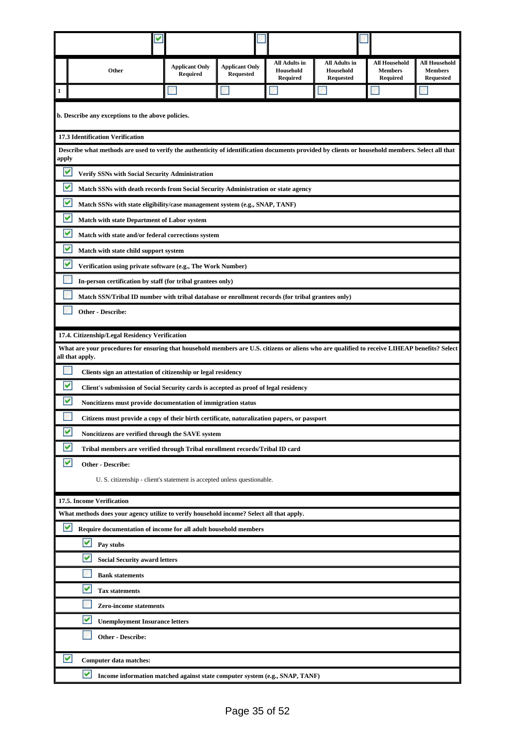| v                                                                                                                                                                |                                          |                                           |                                               |                                                |                                                    |                                                            |
|------------------------------------------------------------------------------------------------------------------------------------------------------------------|------------------------------------------|-------------------------------------------|-----------------------------------------------|------------------------------------------------|----------------------------------------------------|------------------------------------------------------------|
| Other                                                                                                                                                            | <b>Applicant Only</b><br><b>Required</b> | <b>Applicant Only</b><br><b>Requested</b> | All Adults in<br>Household<br><b>Required</b> | All Adults in<br>Household<br><b>Requested</b> | <b>All Household</b><br><b>Members</b><br>Required | <b>All Household</b><br><b>Members</b><br><b>Requested</b> |
| 1                                                                                                                                                                |                                          |                                           |                                               |                                                |                                                    |                                                            |
| b. Describe any exceptions to the above policies.                                                                                                                |                                          |                                           |                                               |                                                |                                                    |                                                            |
| 17.3 Identification Verification                                                                                                                                 |                                          |                                           |                                               |                                                |                                                    |                                                            |
| Describe what methods are used to verify the authenticity of identification documents provided by clients or household members. Select all that<br>apply         |                                          |                                           |                                               |                                                |                                                    |                                                            |
| ⊻<br>Verify SSNs with Social Security Administration                                                                                                             |                                          |                                           |                                               |                                                |                                                    |                                                            |
| M<br>Match SSNs with death records from Social Security Administration or state agency                                                                           |                                          |                                           |                                               |                                                |                                                    |                                                            |
| M<br>Match SSNs with state eligibility/case management system (e.g., SNAP, TANF)                                                                                 |                                          |                                           |                                               |                                                |                                                    |                                                            |
| M<br>Match with state Department of Labor system                                                                                                                 |                                          |                                           |                                               |                                                |                                                    |                                                            |
| v<br>Match with state and/or federal corrections system                                                                                                          |                                          |                                           |                                               |                                                |                                                    |                                                            |
| v<br>Match with state child support system                                                                                                                       |                                          |                                           |                                               |                                                |                                                    |                                                            |
| v<br>Verification using private software (e.g., The Work Number)                                                                                                 |                                          |                                           |                                               |                                                |                                                    |                                                            |
| In-person certification by staff (for tribal grantees only)                                                                                                      |                                          |                                           |                                               |                                                |                                                    |                                                            |
| Match SSN/Tribal ID number with tribal database or enrollment records (for tribal grantees only)                                                                 |                                          |                                           |                                               |                                                |                                                    |                                                            |
| Other - Describe:                                                                                                                                                |                                          |                                           |                                               |                                                |                                                    |                                                            |
| 17.4. Citizenship/Legal Residency Verification                                                                                                                   |                                          |                                           |                                               |                                                |                                                    |                                                            |
| What are your procedures for ensuring that household members are U.S. citizens or aliens who are qualified to receive LIHEAP benefits? Select<br>all that apply. |                                          |                                           |                                               |                                                |                                                    |                                                            |
| Clients sign an attestation of citizenship or legal residency                                                                                                    |                                          |                                           |                                               |                                                |                                                    |                                                            |
| ⊽<br>Client's submission of Social Security cards is accepted as proof of legal residency                                                                        |                                          |                                           |                                               |                                                |                                                    |                                                            |
| M<br>Noncitizens must provide documentation of immigration status                                                                                                |                                          |                                           |                                               |                                                |                                                    |                                                            |
| Citizens must provide a copy of their birth certificate, naturalization papers, or passport                                                                      |                                          |                                           |                                               |                                                |                                                    |                                                            |
| ⊻<br>Noncitizens are verified through the SAVE system                                                                                                            |                                          |                                           |                                               |                                                |                                                    |                                                            |
| M<br>Tribal members are verified through Tribal enrollment records/Tribal ID card                                                                                |                                          |                                           |                                               |                                                |                                                    |                                                            |
| M<br><b>Other - Describe:</b>                                                                                                                                    |                                          |                                           |                                               |                                                |                                                    |                                                            |
| U. S. citizenship - client's statement is accepted unless questionable.                                                                                          |                                          |                                           |                                               |                                                |                                                    |                                                            |
| 17.5. Income Verification                                                                                                                                        |                                          |                                           |                                               |                                                |                                                    |                                                            |
| What methods does your agency utilize to verify household income? Select all that apply.                                                                         |                                          |                                           |                                               |                                                |                                                    |                                                            |
| ⊻<br>Require documentation of income for all adult household members                                                                                             |                                          |                                           |                                               |                                                |                                                    |                                                            |
| M<br>Pay stubs                                                                                                                                                   |                                          |                                           |                                               |                                                |                                                    |                                                            |
| V<br><b>Social Security award letters</b>                                                                                                                        |                                          |                                           |                                               |                                                |                                                    |                                                            |
| <b>Bank statements</b>                                                                                                                                           |                                          |                                           |                                               |                                                |                                                    |                                                            |
| v<br><b>Tax statements</b>                                                                                                                                       |                                          |                                           |                                               |                                                |                                                    |                                                            |
| Zero-income statements                                                                                                                                           |                                          |                                           |                                               |                                                |                                                    |                                                            |
| ⊻<br><b>Unemployment Insurance letters</b>                                                                                                                       |                                          |                                           |                                               |                                                |                                                    |                                                            |
| Other - Describe:                                                                                                                                                |                                          |                                           |                                               |                                                |                                                    |                                                            |
| ⊻<br><b>Computer data matches:</b>                                                                                                                               |                                          |                                           |                                               |                                                |                                                    |                                                            |
| v<br>Income information matched against state computer system (e.g., SNAP, TANF)                                                                                 |                                          |                                           |                                               |                                                |                                                    |                                                            |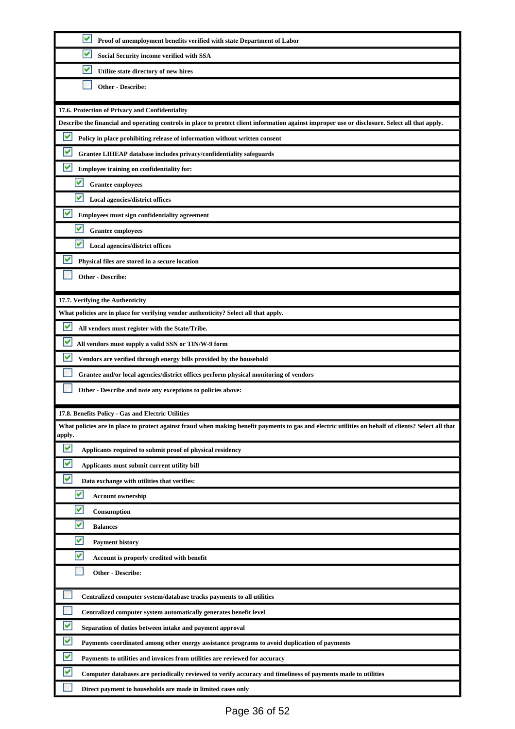| v<br>Proof of unemployment benefits verified with state Department of Labor                                                                                    |
|----------------------------------------------------------------------------------------------------------------------------------------------------------------|
| M<br>Social Security income verified with SSA                                                                                                                  |
| v<br>Utilize state directory of new hires                                                                                                                      |
| <b>Other - Describe:</b>                                                                                                                                       |
| 17.6. Protection of Privacy and Confidentiality                                                                                                                |
| Describe the financial and operating controls in place to protect client information against improper use or disclosure. Select all that apply.                |
| M<br>Policy in place prohibiting release of information without written consent                                                                                |
| M<br>Grantee LIHEAP database includes privacy/confidentiality safeguards                                                                                       |
| ⊻<br>Employee training on confidentiality for:                                                                                                                 |
| M<br><b>Grantee employees</b>                                                                                                                                  |
| ▽<br>Local agencies/district offices                                                                                                                           |
| V<br>Employees must sign confidentiality agreement                                                                                                             |
| M<br><b>Grantee employees</b>                                                                                                                                  |
| ⊻<br>Local agencies/district offices                                                                                                                           |
| M<br>Physical files are stored in a secure location                                                                                                            |
| <b>Other - Describe:</b>                                                                                                                                       |
| 17.7. Verifying the Authenticity                                                                                                                               |
| What policies are in place for verifying vendor authenticity? Select all that apply.                                                                           |
| ▽<br>All vendors must register with the State/Tribe.                                                                                                           |
| M<br>All vendors must supply a valid SSN or TIN/W-9 form                                                                                                       |
| M<br>Vendors are verified through energy bills provided by the household                                                                                       |
| Grantee and/or local agencies/district offices perform physical monitoring of vendors                                                                          |
| Other - Describe and note any exceptions to policies above:                                                                                                    |
| 17.8. Benefits Policy - Gas and Electric Utilities                                                                                                             |
| What policies are in place to protect against fraud when making benefit payments to gas and electric utilities on behalf of clients? Select all that<br>apply. |
| ⊻<br>Applicants required to submit proof of physical residency                                                                                                 |
| M<br>Applicants must submit current utility bill                                                                                                               |
| M<br>Data exchange with utilities that verifies:                                                                                                               |
| ⊻<br><b>Account ownership</b>                                                                                                                                  |
| M<br>Consumption                                                                                                                                               |
| M<br><b>Balances</b>                                                                                                                                           |
| ⊻<br><b>Payment history</b>                                                                                                                                    |
| M<br>Account is properly credited with benefit                                                                                                                 |
| Other - Describe:                                                                                                                                              |
| Centralized computer system/database tracks payments to all utilities                                                                                          |
| Centralized computer system automatically generates benefit level                                                                                              |
| M<br>Separation of duties between intake and payment approval                                                                                                  |
| M<br>Payments coordinated among other energy assistance programs to avoid duplication of payments                                                              |
| M<br>Payments to utilities and invoices from utilities are reviewed for accuracy                                                                               |
| M<br>Computer databases are periodically reviewed to verify accuracy and timeliness of payments made to utilities                                              |
| Direct payment to households are made in limited cases only                                                                                                    |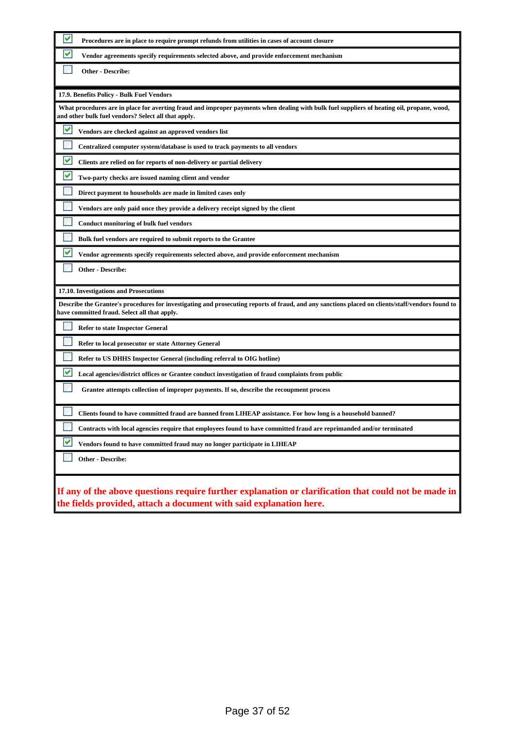| v<br>Procedures are in place to require prompt refunds from utilities in cases of account closure                                                                                                 |
|---------------------------------------------------------------------------------------------------------------------------------------------------------------------------------------------------|
| v<br>Vendor agreements specify requirements selected above, and provide enforcement mechanism                                                                                                     |
| <b>Other - Describe:</b>                                                                                                                                                                          |
| 17.9. Benefits Policy - Bulk Fuel Vendors                                                                                                                                                         |
| What procedures are in place for averting fraud and improper payments when dealing with bulk fuel suppliers of heating oil, propane, wood,<br>and other bulk fuel vendors? Select all that apply. |
| M<br>Vendors are checked against an approved vendors list                                                                                                                                         |
| Centralized computer system/database is used to track payments to all vendors                                                                                                                     |
| M<br>Clients are relied on for reports of non-delivery or partial delivery                                                                                                                        |
| M<br>Two-party checks are issued naming client and vendor                                                                                                                                         |
| Direct payment to households are made in limited cases only                                                                                                                                       |
| Vendors are only paid once they provide a delivery receipt signed by the client                                                                                                                   |
| Conduct monitoring of bulk fuel vendors                                                                                                                                                           |
| Bulk fuel vendors are required to submit reports to the Grantee                                                                                                                                   |
| M<br>Vendor agreements specify requirements selected above, and provide enforcement mechanism                                                                                                     |
| Other - Describe:                                                                                                                                                                                 |
| 17.10. Investigations and Prosecutions                                                                                                                                                            |
| Describe the Grantee's procedures for investigating and prosecuting reports of fraud, and any sanctions placed on clients/staff/vendors found to<br>have committed fraud. Select all that apply.  |
| <b>Refer to state Inspector General</b>                                                                                                                                                           |
| Refer to local prosecutor or state Attorney General                                                                                                                                               |
| Refer to US DHHS Inspector General (including referral to OIG hotline)                                                                                                                            |
| M<br>Local agencies/district offices or Grantee conduct investigation of fraud complaints from public                                                                                             |
| Grantee attempts collection of improper payments. If so, describe the recoupment process                                                                                                          |
| Clients found to have committed fraud are banned from LIHEAP assistance. For how long is a household banned?                                                                                      |
| Contracts with local agencies require that employees found to have committed fraud are reprimanded and/or terminated                                                                              |
| ⊻<br>Vendors found to have committed fraud may no longer participate in LIHEAP                                                                                                                    |
| Other - Describe:                                                                                                                                                                                 |
| If any of the above questions require further explanation or clarification that could not be made in<br>the fields provided, attach a document with said explanation here.                        |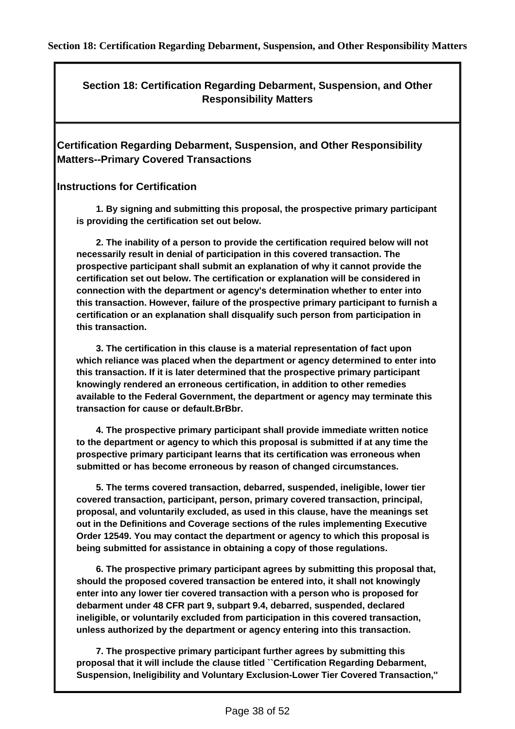<span id="page-37-0"></span>**Section 18: Certification Regarding Debarment, Suspension, and Other Responsibility Matters**

**Certification Regarding Debarment, Suspension, and Other Responsibility Matters--Primary Covered Transactions**

# **Instructions for Certification**

**1. By signing and submitting this proposal, the prospective primary participant is providing the certification set out below.**

**2. The inability of a person to provide the certification required below will not necessarily result in denial of participation in this covered transaction. The prospective participant shall submit an explanation of why it cannot provide the certification set out below. The certification or explanation will be considered in connection with the department or agency's determination whether to enter into this transaction. However, failure of the prospective primary participant to furnish a certification or an explanation shall disqualify such person from participation in this transaction.**

**3. The certification in this clause is a material representation of fact upon which reliance was placed when the department or agency determined to enter into this transaction. If it is later determined that the prospective primary participant knowingly rendered an erroneous certification, in addition to other remedies available to the Federal Government, the department or agency may terminate this transaction for cause or default.BrBbr.**

**4. The prospective primary participant shall provide immediate written notice to the department or agency to which this proposal is submitted if at any time the prospective primary participant learns that its certification was erroneous when submitted or has become erroneous by reason of changed circumstances.**

**5. The terms covered transaction, debarred, suspended, ineligible, lower tier covered transaction, participant, person, primary covered transaction, principal, proposal, and voluntarily excluded, as used in this clause, have the meanings set out in the Definitions and Coverage sections of the rules implementing Executive Order 12549. You may contact the department or agency to which this proposal is being submitted for assistance in obtaining a copy of those regulations.**

**6. The prospective primary participant agrees by submitting this proposal that, should the proposed covered transaction be entered into, it shall not knowingly enter into any lower tier covered transaction with a person who is proposed for debarment under 48 CFR part 9, subpart 9.4, debarred, suspended, declared ineligible, or voluntarily excluded from participation in this covered transaction, unless authorized by the department or agency entering into this transaction.**

**7. The prospective primary participant further agrees by submitting this proposal that it will include the clause titled ``Certification Regarding Debarment, Suspension, Ineligibility and Voluntary Exclusion-Lower Tier Covered Transaction,''**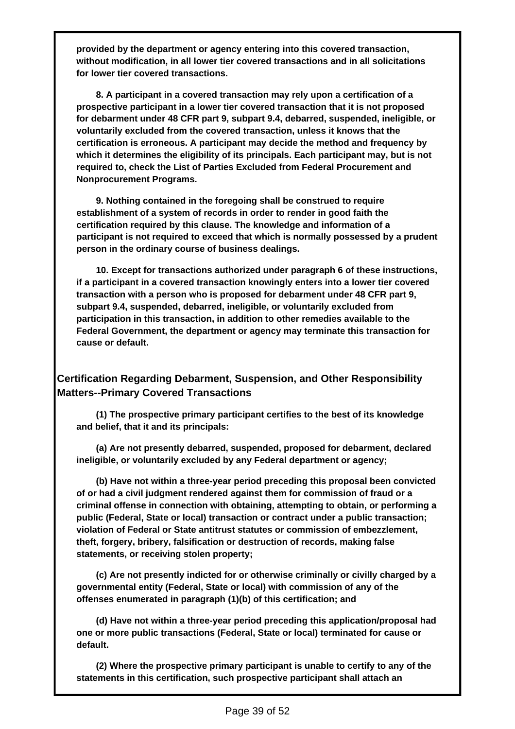**provided by the department or agency entering into this covered transaction, without modification, in all lower tier covered transactions and in all solicitations for lower tier covered transactions.**

**8. A participant in a covered transaction may rely upon a certification of a prospective participant in a lower tier covered transaction that it is not proposed for debarment under 48 CFR part 9, subpart 9.4, debarred, suspended, ineligible, or voluntarily excluded from the covered transaction, unless it knows that the certification is erroneous. A participant may decide the method and frequency by which it determines the eligibility of its principals. Each participant may, but is not required to, check the List of Parties Excluded from Federal Procurement and Nonprocurement Programs.**

**9. Nothing contained in the foregoing shall be construed to require establishment of a system of records in order to render in good faith the certification required by this clause. The knowledge and information of a participant is not required to exceed that which is normally possessed by a prudent person in the ordinary course of business dealings.**

**10. Except for transactions authorized under paragraph 6 of these instructions, if a participant in a covered transaction knowingly enters into a lower tier covered transaction with a person who is proposed for debarment under 48 CFR part 9, subpart 9.4, suspended, debarred, ineligible, or voluntarily excluded from participation in this transaction, in addition to other remedies available to the Federal Government, the department or agency may terminate this transaction for cause or default.**

**Certification Regarding Debarment, Suspension, and Other Responsibility Matters--Primary Covered Transactions** 

**(1) The prospective primary participant certifies to the best of its knowledge and belief, that it and its principals:**

**(a) Are not presently debarred, suspended, proposed for debarment, declared ineligible, or voluntarily excluded by any Federal department or agency;**

**(b) Have not within a three-year period preceding this proposal been convicted of or had a civil judgment rendered against them for commission of fraud or a criminal offense in connection with obtaining, attempting to obtain, or performing a public (Federal, State or local) transaction or contract under a public transaction; violation of Federal or State antitrust statutes or commission of embezzlement, theft, forgery, bribery, falsification or destruction of records, making false statements, or receiving stolen property;**

**(c) Are not presently indicted for or otherwise criminally or civilly charged by a governmental entity (Federal, State or local) with commission of any of the offenses enumerated in paragraph (1)(b) of this certification; and**

**(d) Have not within a three-year period preceding this application/proposal had one or more public transactions (Federal, State or local) terminated for cause or default.**

**(2) Where the prospective primary participant is unable to certify to any of the statements in this certification, such prospective participant shall attach an**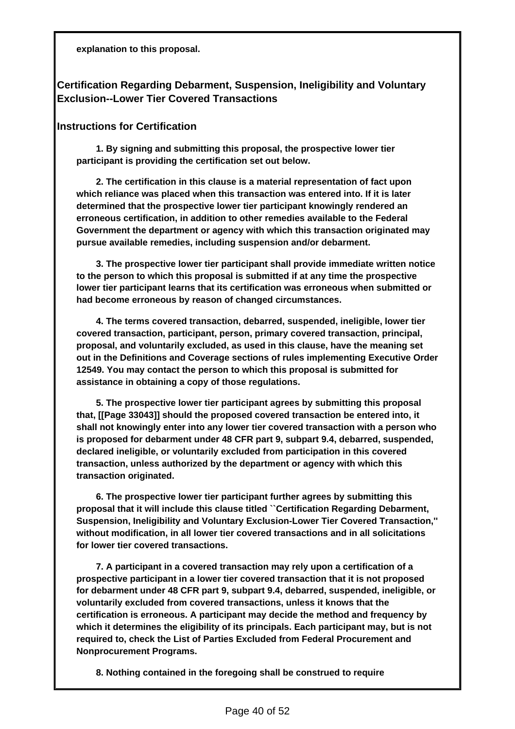**explanation to this proposal.**

**Certification Regarding Debarment, Suspension, Ineligibility and Voluntary Exclusion--Lower Tier Covered Transactions**

# **Instructions for Certification**

**1. By signing and submitting this proposal, the prospective lower tier participant is providing the certification set out below.**

**2. The certification in this clause is a material representation of fact upon which reliance was placed when this transaction was entered into. If it is later determined that the prospective lower tier participant knowingly rendered an erroneous certification, in addition to other remedies available to the Federal Government the department or agency with which this transaction originated may pursue available remedies, including suspension and/or debarment.**

**3. The prospective lower tier participant shall provide immediate written notice to the person to which this proposal is submitted if at any time the prospective lower tier participant learns that its certification was erroneous when submitted or had become erroneous by reason of changed circumstances.**

**4. The terms covered transaction, debarred, suspended, ineligible, lower tier covered transaction, participant, person, primary covered transaction, principal, proposal, and voluntarily excluded, as used in this clause, have the meaning set out in the Definitions and Coverage sections of rules implementing Executive Order 12549. You may contact the person to which this proposal is submitted for assistance in obtaining a copy of those regulations.**

**5. The prospective lower tier participant agrees by submitting this proposal that, [[Page 33043]] should the proposed covered transaction be entered into, it shall not knowingly enter into any lower tier covered transaction with a person who is proposed for debarment under 48 CFR part 9, subpart 9.4, debarred, suspended, declared ineligible, or voluntarily excluded from participation in this covered transaction, unless authorized by the department or agency with which this transaction originated.**

**6. The prospective lower tier participant further agrees by submitting this proposal that it will include this clause titled ``Certification Regarding Debarment, Suspension, Ineligibility and Voluntary Exclusion-Lower Tier Covered Transaction,'' without modification, in all lower tier covered transactions and in all solicitations for lower tier covered transactions.**

**7. A participant in a covered transaction may rely upon a certification of a prospective participant in a lower tier covered transaction that it is not proposed for debarment under 48 CFR part 9, subpart 9.4, debarred, suspended, ineligible, or voluntarily excluded from covered transactions, unless it knows that the certification is erroneous. A participant may decide the method and frequency by which it determines the eligibility of its principals. Each participant may, but is not required to, check the List of Parties Excluded from Federal Procurement and Nonprocurement Programs.**

**8. Nothing contained in the foregoing shall be construed to require**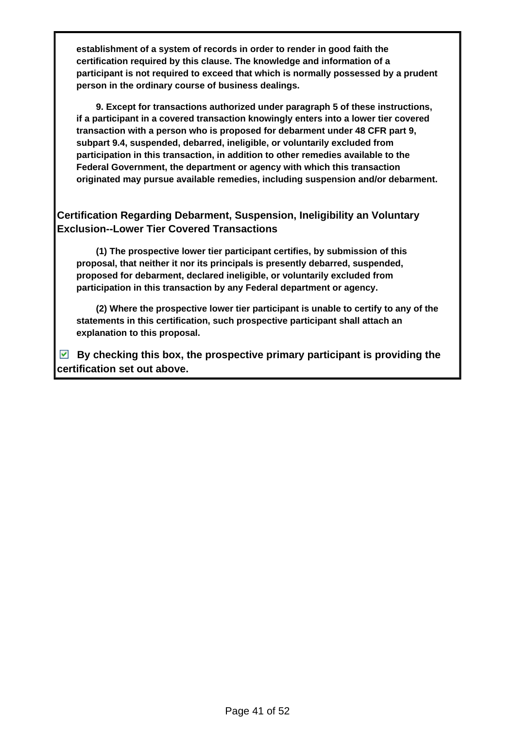**establishment of a system of records in order to render in good faith the certification required by this clause. The knowledge and information of a participant is not required to exceed that which is normally possessed by a prudent person in the ordinary course of business dealings.**

**9. Except for transactions authorized under paragraph 5 of these instructions, if a participant in a covered transaction knowingly enters into a lower tier covered transaction with a person who is proposed for debarment under 48 CFR part 9, subpart 9.4, suspended, debarred, ineligible, or voluntarily excluded from participation in this transaction, in addition to other remedies available to the Federal Government, the department or agency with which this transaction originated may pursue available remedies, including suspension and/or debarment.**

**Certification Regarding Debarment, Suspension, Ineligibility an Voluntary Exclusion--Lower Tier Covered Transactions**

**(1) The prospective lower tier participant certifies, by submission of this proposal, that neither it nor its principals is presently debarred, suspended, proposed for debarment, declared ineligible, or voluntarily excluded from participation in this transaction by any Federal department or agency.**

**(2) Where the prospective lower tier participant is unable to certify to any of the statements in this certification, such prospective participant shall attach an explanation to this proposal.**

 **By checking this box, the prospective primary participant is providing the certification set out above.**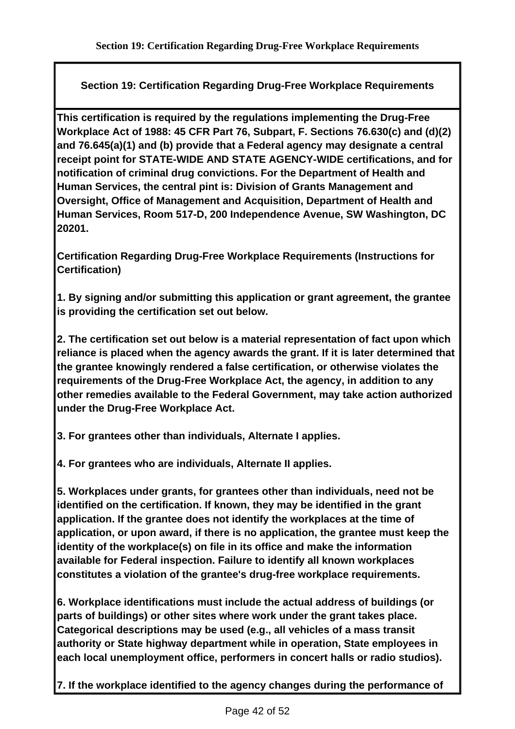<span id="page-41-0"></span>**Section 19: Certification Regarding Drug-Free Workplace Requirements**

**This certification is required by the regulations implementing the Drug-Free Workplace Act of 1988: 45 CFR Part 76, Subpart, F. Sections 76.630(c) and (d)(2) and 76.645(a)(1) and (b) provide that a Federal agency may designate a central receipt point for STATE-WIDE AND STATE AGENCY-WIDE certifications, and for notification of criminal drug convictions. For the Department of Health and Human Services, the central pint is: Division of Grants Management and Oversight, Office of Management and Acquisition, Department of Health and Human Services, Room 517-D, 200 Independence Avenue, SW Washington, DC 20201.**

**Certification Regarding Drug-Free Workplace Requirements (Instructions for Certification)**

**1. By signing and/or submitting this application or grant agreement, the grantee is providing the certification set out below.**

**2. The certification set out below is a material representation of fact upon which reliance is placed when the agency awards the grant. If it is later determined that the grantee knowingly rendered a false certification, or otherwise violates the requirements of the Drug-Free Workplace Act, the agency, in addition to any other remedies available to the Federal Government, may take action authorized under the Drug-Free Workplace Act.**

**3. For grantees other than individuals, Alternate I applies.**

**4. For grantees who are individuals, Alternate II applies.**

**5. Workplaces under grants, for grantees other than individuals, need not be identified on the certification. If known, they may be identified in the grant application. If the grantee does not identify the workplaces at the time of application, or upon award, if there is no application, the grantee must keep the identity of the workplace(s) on file in its office and make the information available for Federal inspection. Failure to identify all known workplaces constitutes a violation of the grantee's drug-free workplace requirements.**

**6. Workplace identifications must include the actual address of buildings (or parts of buildings) or other sites where work under the grant takes place. Categorical descriptions may be used (e.g., all vehicles of a mass transit authority or State highway department while in operation, State employees in each local unemployment office, performers in concert halls or radio studios).**

**7. If the workplace identified to the agency changes during the performance of**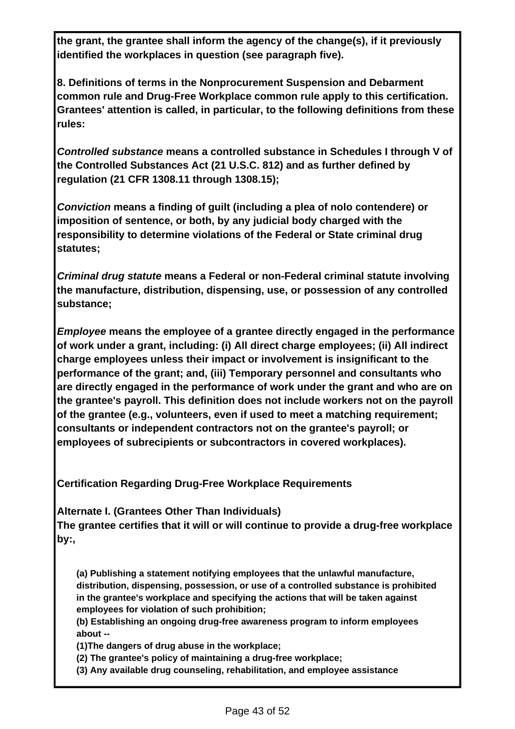**the grant, the grantee shall inform the agency of the change(s), if it previously identified the workplaces in question (see paragraph five).**

**8. Definitions of terms in the Nonprocurement Suspension and Debarment common rule and Drug-Free Workplace common rule apply to this certification. Grantees' attention is called, in particular, to the following definitions from these rules:**

**Controlled substance means a controlled substance in Schedules I through V of the Controlled Substances Act (21 U.S.C. 812) and as further defined by regulation (21 CFR 1308.11 through 1308.15);**

**Conviction means a finding of guilt (including a plea of nolo contendere) or imposition of sentence, or both, by any judicial body charged with the responsibility to determine violations of the Federal or State criminal drug statutes;**

**Criminal drug statute means a Federal or non-Federal criminal statute involving the manufacture, distribution, dispensing, use, or possession of any controlled substance;**

**Employee means the employee of a grantee directly engaged in the performance of work under a grant, including: (i) All direct charge employees; (ii) All indirect charge employees unless their impact or involvement is insignificant to the performance of the grant; and, (iii) Temporary personnel and consultants who are directly engaged in the performance of work under the grant and who are on the grantee's payroll. This definition does not include workers not on the payroll of the grantee (e.g., volunteers, even if used to meet a matching requirement; consultants or independent contractors not on the grantee's payroll; or employees of subrecipients or subcontractors in covered workplaces).**

**Certification Regarding Drug-Free Workplace Requirements**

**Alternate I. (Grantees Other Than Individuals) The grantee certifies that it will or will continue to provide a drug-free workplace by:,**

**(a) Publishing a statement notifying employees that the unlawful manufacture, distribution, dispensing, possession, or use of a controlled substance is prohibited in the grantee's workplace and specifying the actions that will be taken against employees for violation of such prohibition;**

**(b) Establishing an ongoing drug-free awareness program to inform employees about --**

**(1)The dangers of drug abuse in the workplace;**

**(2) The grantee's policy of maintaining a drug-free workplace;**

**(3) Any available drug counseling, rehabilitation, and employee assistance**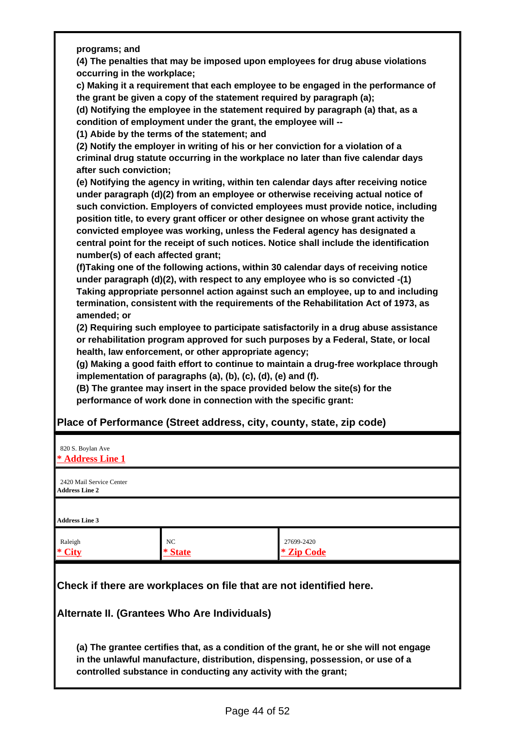**programs; and**

**(4) The penalties that may be imposed upon employees for drug abuse violations occurring in the workplace;**

**c) Making it a requirement that each employee to be engaged in the performance of the grant be given a copy of the statement required by paragraph (a);**

**(d) Notifying the employee in the statement required by paragraph (a) that, as a condition of employment under the grant, the employee will --**

**(1) Abide by the terms of the statement; and**

**(2) Notify the employer in writing of his or her conviction for a violation of a criminal drug statute occurring in the workplace no later than five calendar days after such conviction;**

**(e) Notifying the agency in writing, within ten calendar days after receiving notice under paragraph (d)(2) from an employee or otherwise receiving actual notice of such conviction. Employers of convicted employees must provide notice, including position title, to every grant officer or other designee on whose grant activity the convicted employee was working, unless the Federal agency has designated a central point for the receipt of such notices. Notice shall include the identification number(s) of each affected grant;**

**(f)Taking one of the following actions, within 30 calendar days of receiving notice under paragraph (d)(2), with respect to any employee who is so convicted -(1) Taking appropriate personnel action against such an employee, up to and including termination, consistent with the requirements of the Rehabilitation Act of 1973, as amended; or**

**(2) Requiring such employee to participate satisfactorily in a drug abuse assistance or rehabilitation program approved for such purposes by a Federal, State, or local health, law enforcement, or other appropriate agency;**

**(g) Making a good faith effort to continue to maintain a drug-free workplace through implementation of paragraphs (a), (b), (c), (d), (e) and (f).**

**(B) The grantee may insert in the space provided below the site(s) for the performance of work done in connection with the specific grant:**

**Place of Performance (Street address, city, county, state, zip code)**

| 820 S. Boylan Ave<br><b>* Address Line 1</b>                        |                           |                          |  |
|---------------------------------------------------------------------|---------------------------|--------------------------|--|
| 2420 Mail Service Center<br><b>Address Line 2</b>                   |                           |                          |  |
| <b>Address Line 3</b>                                               |                           |                          |  |
| Raleigh<br>* City                                                   | N <sub>C</sub><br>* State | 27699-2420<br>* Zip Code |  |
| Check if there are workplaces on file that are not identified here. |                           |                          |  |
| Alternate II. (Grantees Who Are Individuals)                        |                           |                          |  |
|                                                                     |                           |                          |  |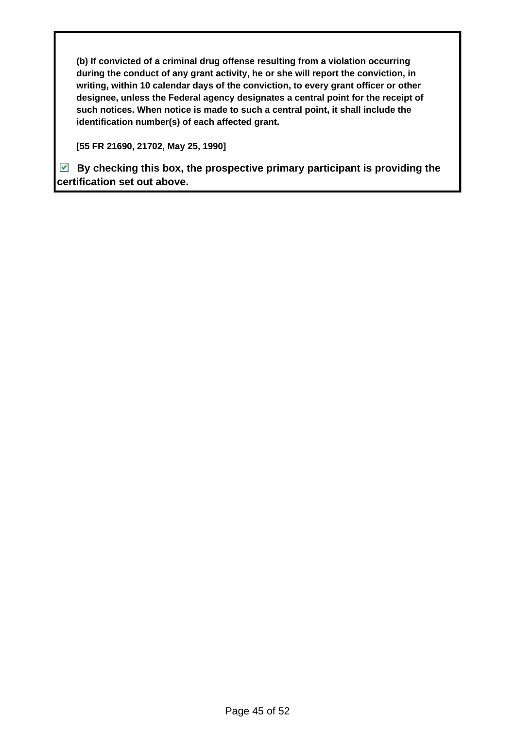**(b) If convicted of a criminal drug offense resulting from a violation occurring during the conduct of any grant activity, he or she will report the conviction, in writing, within 10 calendar days of the conviction, to every grant officer or other designee, unless the Federal agency designates a central point for the receipt of such notices. When notice is made to such a central point, it shall include the identification number(s) of each affected grant.** 

**[55 FR 21690, 21702, May 25, 1990]**

 **By checking this box, the prospective primary participant is providing the certification set out above.**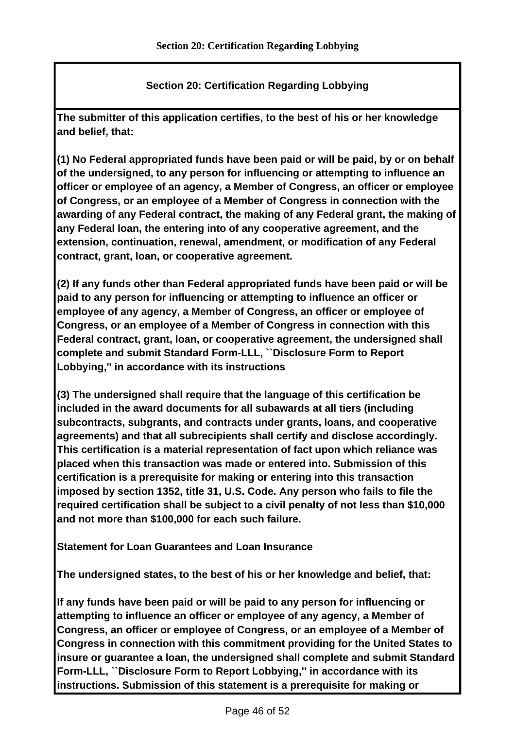<span id="page-45-0"></span>**Section 20: Certification Regarding Lobbying**

**The submitter of this application certifies, to the best of his or her knowledge and belief, that:** 

**(1) No Federal appropriated funds have been paid or will be paid, by or on behalf of the undersigned, to any person for influencing or attempting to influence an officer or employee of an agency, a Member of Congress, an officer or employee of Congress, or an employee of a Member of Congress in connection with the awarding of any Federal contract, the making of any Federal grant, the making of any Federal loan, the entering into of any cooperative agreement, and the extension, continuation, renewal, amendment, or modification of any Federal contract, grant, loan, or cooperative agreement.**

**(2) If any funds other than Federal appropriated funds have been paid or will be paid to any person for influencing or attempting to influence an officer or employee of any agency, a Member of Congress, an officer or employee of Congress, or an employee of a Member of Congress in connection with this Federal contract, grant, loan, or cooperative agreement, the undersigned shall complete and submit Standard Form-LLL, ``Disclosure Form to Report Lobbying,'' in accordance with its instructions** 

**(3) The undersigned shall require that the language of this certification be included in the award documents for all subawards at all tiers (including subcontracts, subgrants, and contracts under grants, loans, and cooperative agreements) and that all subrecipients shall certify and disclose accordingly. This certification is a material representation of fact upon which reliance was placed when this transaction was made or entered into. Submission of this certification is a prerequisite for making or entering into this transaction imposed by section 1352, title 31, U.S. Code. Any person who fails to file the required certification shall be subject to a civil penalty of not less than \$10,000 and not more than \$100,000 for each such failure.**

**Statement for Loan Guarantees and Loan Insurance** 

**The undersigned states, to the best of his or her knowledge and belief, that:**

**If any funds have been paid or will be paid to any person for influencing or attempting to influence an officer or employee of any agency, a Member of Congress, an officer or employee of Congress, or an employee of a Member of Congress in connection with this commitment providing for the United States to insure or guarantee a loan, the undersigned shall complete and submit Standard Form-LLL, ``Disclosure Form to Report Lobbying,'' in accordance with its instructions. Submission of this statement is a prerequisite for making or**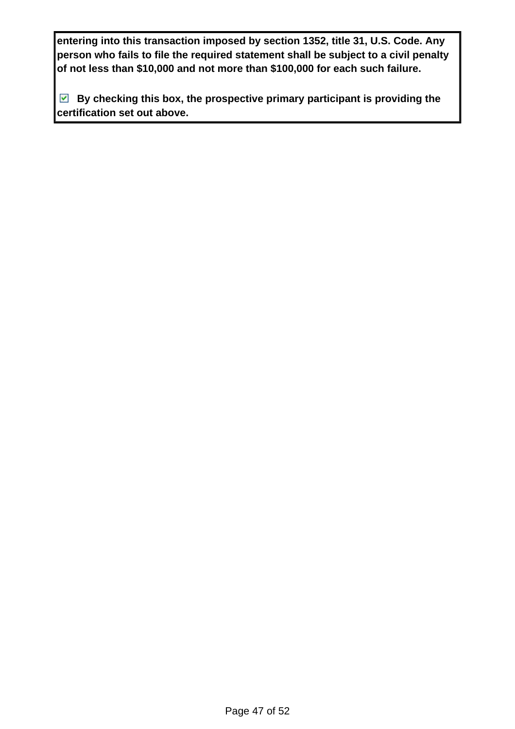**entering into this transaction imposed by section 1352, title 31, U.S. Code. Any person who fails to file the required statement shall be subject to a civil penalty of not less than \$10,000 and not more than \$100,000 for each such failure.**

 **By checking this box, the prospective primary participant is providing the certification set out above.**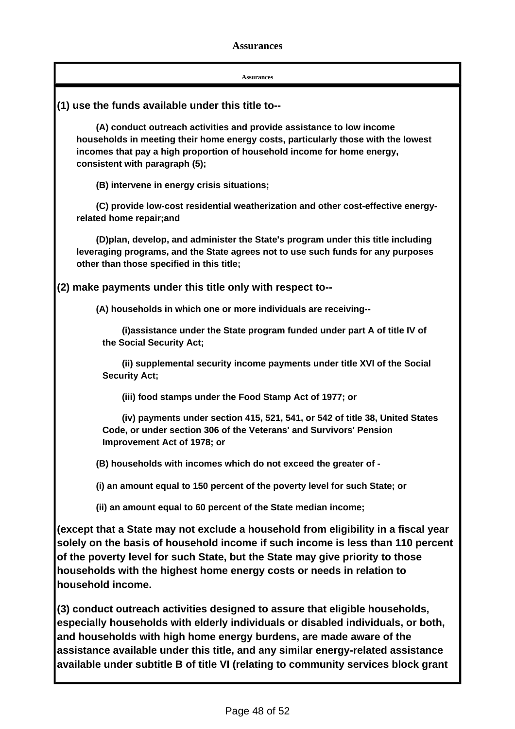<span id="page-47-0"></span>

| <b>Assurances</b>                                                                                                                                                                                                                                                                                                                                                                                                 |
|-------------------------------------------------------------------------------------------------------------------------------------------------------------------------------------------------------------------------------------------------------------------------------------------------------------------------------------------------------------------------------------------------------------------|
| (1) use the funds available under this title to--                                                                                                                                                                                                                                                                                                                                                                 |
| (A) conduct outreach activities and provide assistance to low income<br>households in meeting their home energy costs, particularly those with the lowest<br>incomes that pay a high proportion of household income for home energy,<br>consistent with paragraph (5);                                                                                                                                            |
| (B) intervene in energy crisis situations;                                                                                                                                                                                                                                                                                                                                                                        |
| (C) provide low-cost residential weatherization and other cost-effective energy-<br>related home repair;and                                                                                                                                                                                                                                                                                                       |
| (D)plan, develop, and administer the State's program under this title including<br>leveraging programs, and the State agrees not to use such funds for any purposes<br>other than those specified in this title;                                                                                                                                                                                                  |
| (2) make payments under this title only with respect to--                                                                                                                                                                                                                                                                                                                                                         |
| (A) households in which one or more individuals are receiving--                                                                                                                                                                                                                                                                                                                                                   |
| (i)assistance under the State program funded under part A of title IV of<br>the Social Security Act;                                                                                                                                                                                                                                                                                                              |
| (ii) supplemental security income payments under title XVI of the Social<br><b>Security Act;</b>                                                                                                                                                                                                                                                                                                                  |
| (iii) food stamps under the Food Stamp Act of 1977; or                                                                                                                                                                                                                                                                                                                                                            |
| (iv) payments under section 415, 521, 541, or 542 of title 38, United States<br>Code, or under section 306 of the Veterans' and Survivors' Pension<br>Improvement Act of 1978; or                                                                                                                                                                                                                                 |
| (B) households with incomes which do not exceed the greater of -                                                                                                                                                                                                                                                                                                                                                  |
| (i) an amount equal to 150 percent of the poverty level for such State; or                                                                                                                                                                                                                                                                                                                                        |
| (ii) an amount equal to 60 percent of the State median income;                                                                                                                                                                                                                                                                                                                                                    |
| (except that a State may not exclude a household from eligibility in a fiscal year<br>solely on the basis of household income if such income is less than 110 percent<br>of the poverty level for such State, but the State may give priority to those<br>households with the highest home energy costs or needs in relation to<br>household income.                                                              |
| (3) conduct outreach activities designed to assure that eligible households,<br>especially households with elderly individuals or disabled individuals, or both,<br>and households with high home energy burdens, are made aware of the<br>assistance available under this title, and any similar energy-related assistance<br>available under subtitle B of title VI (relating to community services block grant |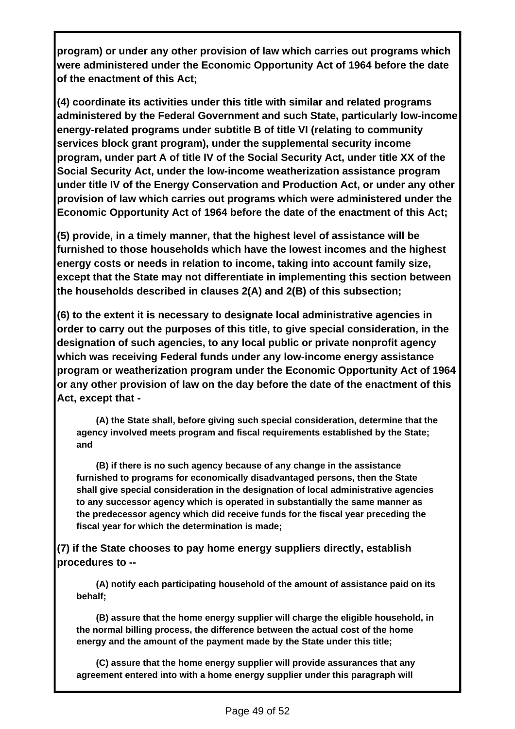**program) or under any other provision of law which carries out programs which were administered under the Economic Opportunity Act of 1964 before the date of the enactment of this Act;**

**(4) coordinate its activities under this title with similar and related programs administered by the Federal Government and such State, particularly low-income energy-related programs under subtitle B of title VI (relating to community services block grant program), under the supplemental security income program, under part A of title IV of the Social Security Act, under title XX of the Social Security Act, under the low-income weatherization assistance program under title IV of the Energy Conservation and Production Act, or under any other provision of law which carries out programs which were administered under the Economic Opportunity Act of 1964 before the date of the enactment of this Act;**

**(5) provide, in a timely manner, that the highest level of assistance will be furnished to those households which have the lowest incomes and the highest energy costs or needs in relation to income, taking into account family size, except that the State may not differentiate in implementing this section between the households described in clauses 2(A) and 2(B) of this subsection;**

**(6) to the extent it is necessary to designate local administrative agencies in order to carry out the purposes of this title, to give special consideration, in the designation of such agencies, to any local public or private nonprofit agency which was receiving Federal funds under any low-income energy assistance program or weatherization program under the Economic Opportunity Act of 1964 or any other provision of law on the day before the date of the enactment of this Act, except that -**

**(A) the State shall, before giving such special consideration, determine that the agency involved meets program and fiscal requirements established by the State; and**

**(B) if there is no such agency because of any change in the assistance furnished to programs for economically disadvantaged persons, then the State shall give special consideration in the designation of local administrative agencies to any successor agency which is operated in substantially the same manner as the predecessor agency which did receive funds for the fiscal year preceding the fiscal year for which the determination is made;**

**(7) if the State chooses to pay home energy suppliers directly, establish procedures to --**

**(A) notify each participating household of the amount of assistance paid on its behalf;**

**(B) assure that the home energy supplier will charge the eligible household, in the normal billing process, the difference between the actual cost of the home energy and the amount of the payment made by the State under this title;**

**(C) assure that the home energy supplier will provide assurances that any agreement entered into with a home energy supplier under this paragraph will**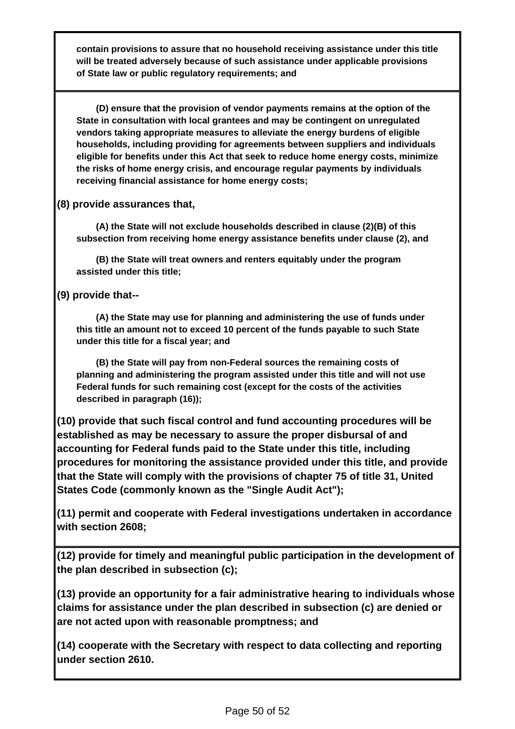**contain provisions to assure that no household receiving assistance under this title will be treated adversely because of such assistance under applicable provisions of State law or public regulatory requirements; and**

**(D) ensure that the provision of vendor payments remains at the option of the State in consultation with local grantees and may be contingent on unregulated vendors taking appropriate measures to alleviate the energy burdens of eligible households, including providing for agreements between suppliers and individuals eligible for benefits under this Act that seek to reduce home energy costs, minimize the risks of home energy crisis, and encourage regular payments by individuals receiving financial assistance for home energy costs;**

**(8) provide assurances that,**

**(A) the State will not exclude households described in clause (2)(B) of this subsection from receiving home energy assistance benefits under clause (2), and**

**(B) the State will treat owners and renters equitably under the program assisted under this title;**

# **(9) provide that--**

**(A) the State may use for planning and administering the use of funds under this title an amount not to exceed 10 percent of the funds payable to such State under this title for a fiscal year; and**

**(B) the State will pay from non-Federal sources the remaining costs of planning and administering the program assisted under this title and will not use Federal funds for such remaining cost (except for the costs of the activities described in paragraph (16));**

**(10) provide that such fiscal control and fund accounting procedures will be established as may be necessary to assure the proper disbursal of and accounting for Federal funds paid to the State under this title, including procedures for monitoring the assistance provided under this title, and provide that the State will comply with the provisions of chapter 75 of title 31, United States Code (commonly known as the "Single Audit Act");**

**(11) permit and cooperate with Federal investigations undertaken in accordance with section 2608;**

**(12) provide for timely and meaningful public participation in the development of the plan described in subsection (c);**

**(13) provide an opportunity for a fair administrative hearing to individuals whose claims for assistance under the plan described in subsection (c) are denied or are not acted upon with reasonable promptness; and**

**(14) cooperate with the Secretary with respect to data collecting and reporting under section 2610.**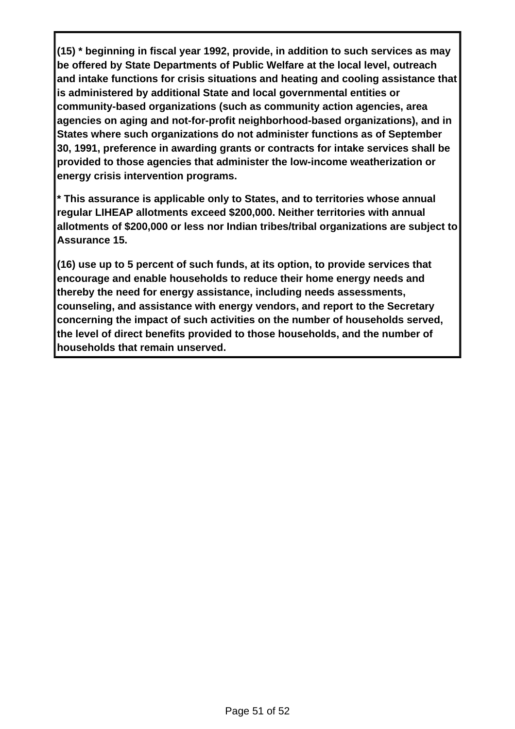**(15) \* beginning in fiscal year 1992, provide, in addition to such services as may be offered by State Departments of Public Welfare at the local level, outreach and intake functions for crisis situations and heating and cooling assistance that is administered by additional State and local governmental entities or community-based organizations (such as community action agencies, area agencies on aging and not-for-profit neighborhood-based organizations), and in States where such organizations do not administer functions as of September 30, 1991, preference in awarding grants or contracts for intake services shall be provided to those agencies that administer the low-income weatherization or energy crisis intervention programs.**

**\* This assurance is applicable only to States, and to territories whose annual regular LIHEAP allotments exceed \$200,000. Neither territories with annual allotments of \$200,000 or less nor Indian tribes/tribal organizations are subject to Assurance 15.**

**(16) use up to 5 percent of such funds, at its option, to provide services that encourage and enable households to reduce their home energy needs and thereby the need for energy assistance, including needs assessments, counseling, and assistance with energy vendors, and report to the Secretary concerning the impact of such activities on the number of households served, the level of direct benefits provided to those households, and the number of households that remain unserved.**